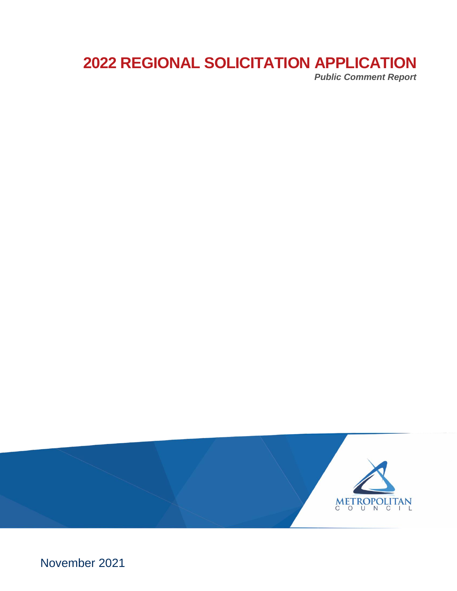# **2022 REGIONAL SOLICITATION APPLICATION** *Public Comment Report*



November 2021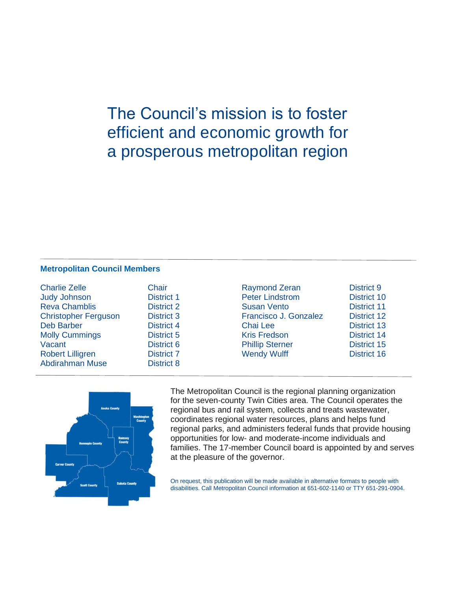The Council's mission is to foster efficient and economic growth for a prosperous metropolitan region

#### **Metropolitan Council Members**

| <b>Charlie Zelle</b>        | Chair             |
|-----------------------------|-------------------|
| <b>Judy Johnson</b>         | <b>District 1</b> |
| <b>Reva Chamblis</b>        | <b>District 2</b> |
| <b>Christopher Ferguson</b> | <b>District 3</b> |
| <b>Deb Barber</b>           | <b>District 4</b> |
| <b>Molly Cummings</b>       | <b>District 5</b> |
| Vacant                      | <b>District 6</b> |
| <b>Robert Lilligren</b>     | <b>District 7</b> |
| <b>Abdirahman Muse</b>      | <b>District 8</b> |
|                             |                   |

Raymond Zeran District 9 Peter Lindstrom District 10 Susan Vento District 11 Francisco J. Gonzalez District 12 Chai Lee **District 13** Kris Fredson **District 14 Phillip Sterner District 15** Wendy Wulff **District 16** 



The Metropolitan Council is the regional planning organization for the seven-county Twin Cities area. The Council operates the regional bus and rail system, collects and treats wastewater, coordinates regional water resources, plans and helps fund regional parks, and administers federal funds that provide housing opportunities for low- and moderate-income individuals and families. The 17-member Council board is appointed by and serves at the pleasure of the governor.

On request, this publication will be made available in alternative formats to people with disabilities. Call Metropolitan Council information at 651-602-1140 or TTY 651-291-0904.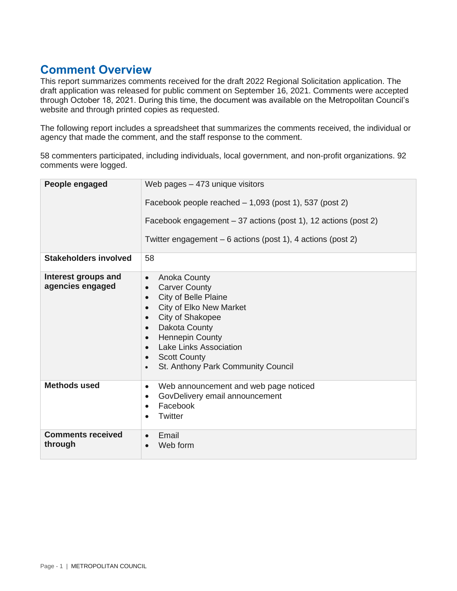## **Comment Overview**

This report summarizes comments received for the draft 2022 Regional Solicitation application. The draft application was released for public comment on September 16, 2021. Comments were accepted through October 18, 2021. During this time, the document was available on the Metropolitan Council's website and through printed copies as requested.

The following report includes a spreadsheet that summarizes the comments received, the individual or agency that made the comment, and the staff response to the comment.

58 commenters participated, including individuals, local government, and non-profit organizations. 92 comments were logged.

| People engaged                          | Web pages $-473$ unique visitors<br>Facebook people reached $-1,093$ (post 1), 537 (post 2)<br>Facebook engagement – 37 actions (post 1), 12 actions (post 2)<br>Twitter engagement – 6 actions (post 1), 4 actions (post 2)                                                                                                                                                     |
|-----------------------------------------|----------------------------------------------------------------------------------------------------------------------------------------------------------------------------------------------------------------------------------------------------------------------------------------------------------------------------------------------------------------------------------|
| <b>Stakeholders involved</b>            | 58                                                                                                                                                                                                                                                                                                                                                                               |
| Interest groups and<br>agencies engaged | <b>Anoka County</b><br>$\bullet$<br><b>Carver County</b><br>$\bullet$<br>City of Belle Plaine<br>$\bullet$<br><b>City of Elko New Market</b><br>$\bullet$<br>City of Shakopee<br>$\bullet$<br>Dakota County<br>$\bullet$<br><b>Hennepin County</b><br>$\bullet$<br>Lake Links Association<br>$\bullet$<br><b>Scott County</b><br>St. Anthony Park Community Council<br>$\bullet$ |
| <b>Methods used</b>                     | Web announcement and web page noticed<br>$\bullet$<br>GovDelivery email announcement<br>$\bullet$<br>Facebook<br>$\bullet$<br>Twitter                                                                                                                                                                                                                                            |
| <b>Comments received</b><br>through     | Email<br>Web form                                                                                                                                                                                                                                                                                                                                                                |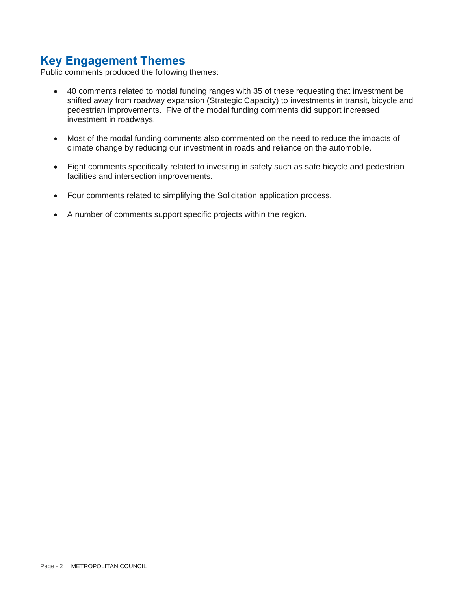## **Key Engagement Themes**

Public comments produced the following themes:

- 40 comments related to modal funding ranges with 35 of these requesting that investment be shifted away from roadway expansion (Strategic Capacity) to investments in transit, bicycle and pedestrian improvements. Five of the modal funding comments did support increased investment in roadways.
- Most of the modal funding comments also commented on the need to reduce the impacts of climate change by reducing our investment in roads and reliance on the automobile.
- Eight comments specifically related to investing in safety such as safe bicycle and pedestrian facilities and intersection improvements.
- Four comments related to simplifying the Solicitation application process.
- A number of comments support specific projects within the region.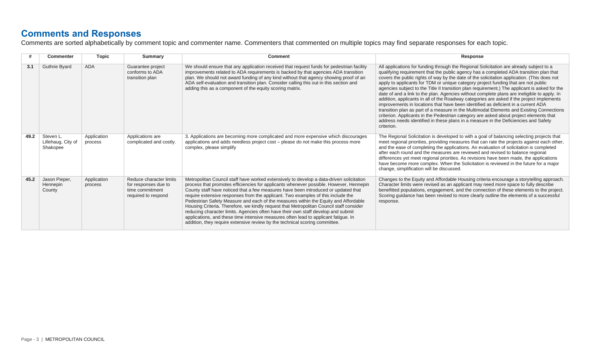#### **Comments and Responses**

Comments are sorted alphabetically by comment topic and commenter name. Commenters that commented on multiple topics may find separate responses for each topic.

|      | <b>Commenter</b>                            | <b>Topic</b>           | Summary                                                                                   | <b>Comment</b>                                                                                                                                                                                                                                                                                                                                                                                                                                                                                                                                                                                                                                                                                                                                                                                            | Response                                                                                                                                                                                                                                                                                                                                                                                                                                                                                                                                                                                                                                                                                                                                                                                                                                                                                                                                                                                                                                            |
|------|---------------------------------------------|------------------------|-------------------------------------------------------------------------------------------|-----------------------------------------------------------------------------------------------------------------------------------------------------------------------------------------------------------------------------------------------------------------------------------------------------------------------------------------------------------------------------------------------------------------------------------------------------------------------------------------------------------------------------------------------------------------------------------------------------------------------------------------------------------------------------------------------------------------------------------------------------------------------------------------------------------|-----------------------------------------------------------------------------------------------------------------------------------------------------------------------------------------------------------------------------------------------------------------------------------------------------------------------------------------------------------------------------------------------------------------------------------------------------------------------------------------------------------------------------------------------------------------------------------------------------------------------------------------------------------------------------------------------------------------------------------------------------------------------------------------------------------------------------------------------------------------------------------------------------------------------------------------------------------------------------------------------------------------------------------------------------|
| 3.1  | <b>Guthrie Byard</b>                        | <b>ADA</b>             | Guarantee project<br>conforms to ADA<br>transition plan                                   | We should ensure that any application received that request funds for pedestrian facility<br>improvements related to ADA requirements is backed by that agencies ADA transition<br>plan. We should not award funding of any kind without that agency showing proof of an<br>ADA self-evaluation and transition plan. Consider calling this out in this section and<br>adding this as a component of the equity scoring matrix.                                                                                                                                                                                                                                                                                                                                                                            | All applications for funding through the Regional Solicitation are already subject to a<br>qualifying requirement that the public agency has a completed ADA transition plan that<br>covers the public rights of way by the date of the solicitation application. (This does not<br>apply to applicants for TDM or unique category project funding that are not public<br>agencies subject to the Title II transition plan requirement.) The applicant is asked for the<br>date of and a link to the plan. Agencies without complete plans are ineligible to apply. In<br>addition, applicants in all of the Roadway categories are asked if the project implements<br>improvements in locations that have been identified as deficient in a current ADA<br>transition plan as part of a measure in the Multimodal Elements and Existing Connections<br>criterion. Applicants in the Pedestrian category are asked about project elements that<br>address needs identified in these plans in a measure in the Deficiencies and Safety<br>criterion. |
| 49.2 | Steven L.<br>Lillehaug, City of<br>Shakopee | Application<br>process | Applications are<br>complicated and costly.                                               | 3. Applications are becoming more complicated and more expensive which discourages<br>applications and adds needless project cost - please do not make this process more<br>complex, please simplify                                                                                                                                                                                                                                                                                                                                                                                                                                                                                                                                                                                                      | The Regional Solicitation is developed to with a goal of balancing selecting projects that<br>meet regional priorities, providing measures that can rate the projects against each other,<br>and the ease of completing the applications. An evaluation of solicitation is completed<br>after each round and the measures are reviewed and revised to balance regional<br>differences yet meet regional priorities. As revisions have been made, the applications<br>have become more complex. When the Solicitation is reviewed in the future for a major<br>change, simplification will be discussed.                                                                                                                                                                                                                                                                                                                                                                                                                                             |
| 45.2 | Jason Pieper,<br>Hennepin<br>County         | Application<br>process | Reduce character limits<br>for responses due to<br>time commitment<br>required to respond | Metropolitan Council staff have worked extensively to develop a data-driven solicitation<br>process that promotes efficiencies for applicants whenever possible. However, Hennepin<br>County staff have noticed that a few measures have been introduced or updated that<br>require extensive responses from the applicant. Two examples of this include the<br>Pedestrian Safety Measure and each of the measures within the Equity and Affordable<br>Housing Criteria. Therefore, we kindly request that Metropolitan Council staff consider<br>reducing character limits. Agencies often have their own staff develop and submit<br>applications, and these time intensive measures often lead to applicant fatique. In<br>addition, they require extensive review by the technical scoring committee. | Changes to the Equity and Affordable Housing criteria encourage a storytelling approach.<br>Character limits were revised as an applicant may need more space to fully describe<br>benefitted populations, engagement, and the connection of these elements to the project.<br>Scoring guidance has been revised to more clearly outline the elements of a successful<br>response.                                                                                                                                                                                                                                                                                                                                                                                                                                                                                                                                                                                                                                                                  |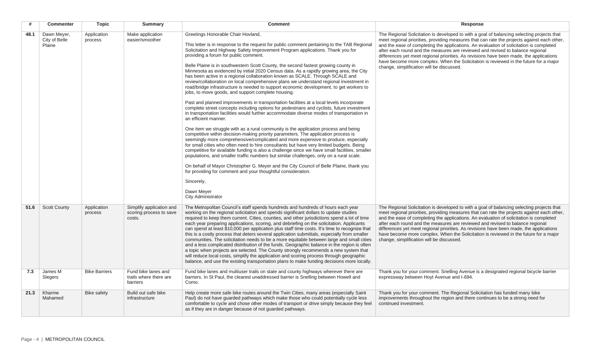| #    | Commenter                              | <b>Topic</b>           | Summary                                                       | <b>Comment</b>                                                                                                                                                                                                                                                                                                                                                                                                                                                                                                                                                                                                                                                                                                                                                                                                                                                                                                                                                                                                                                                                                                                                                                                                                                                                                                                                                                                                                                                                                                                                                                                                                                                                                                                                                                                                                                                    | Response                                                                                                                                                                                                                                                                                                                                                                                                                                                                                                                                                                                                |
|------|----------------------------------------|------------------------|---------------------------------------------------------------|-------------------------------------------------------------------------------------------------------------------------------------------------------------------------------------------------------------------------------------------------------------------------------------------------------------------------------------------------------------------------------------------------------------------------------------------------------------------------------------------------------------------------------------------------------------------------------------------------------------------------------------------------------------------------------------------------------------------------------------------------------------------------------------------------------------------------------------------------------------------------------------------------------------------------------------------------------------------------------------------------------------------------------------------------------------------------------------------------------------------------------------------------------------------------------------------------------------------------------------------------------------------------------------------------------------------------------------------------------------------------------------------------------------------------------------------------------------------------------------------------------------------------------------------------------------------------------------------------------------------------------------------------------------------------------------------------------------------------------------------------------------------------------------------------------------------------------------------------------------------|---------------------------------------------------------------------------------------------------------------------------------------------------------------------------------------------------------------------------------------------------------------------------------------------------------------------------------------------------------------------------------------------------------------------------------------------------------------------------------------------------------------------------------------------------------------------------------------------------------|
| 48.1 | Dawn Mever.<br>City of Belle<br>Plaine | Application<br>process | Make application<br>easier/smoother                           | Greetings Honorable Chair Hovland,<br>This letter is in response to the request for public comment pertaining to the TAB Regional<br>Solicitation and Highway Safety Improvement Program applications. Thank you for<br>providing a forum for public comment.<br>Belle Plaine is in southwestern Scott County, the second fastest growing county in<br>Minnesota as evidenced by initial 2020 Census data. As a rapidly growing area, the City<br>has been active in a regional collaboration known as SCALE. Through SCALE and<br>review/collaboration on local comprehensive plans we understand regional investment in<br>road/bridge infrastructure is needed to support economic development, to get workers to<br>jobs, to move goods, and support complete housing.<br>Past and planned improvements in transportation facilities at a local levels incorporate<br>complete street concepts including options for pedestrians and cyclists, future investment<br>in transportation facilities would further accommodate diverse modes of transportation in<br>an efficient manner.<br>One item we struggle with as a rural community is the application process and being<br>competitive within decision-making priority parameters. The application process is<br>seemingly more comprehensive/complicated and more expensive to produce, especially<br>for small cities who often need to hire consultants but have very limited budgets. Being<br>competitive for available funding is also a challenge since we have small facilities, smaller<br>populations, and smaller traffic numbers but similar challenges, only on a rural scale.<br>On behalf of Mayor Christopher G. Meyer and the City Council of Belle Plaine, thank you<br>for providing for comment and your thoughtful consideration.<br>Sincerely,<br>Dawn Meyer<br>City Administrator | The Regional Solicitation is developed to with a goal of balancing selecting projects that<br>meet regional priorities, providing measures that can rate the projects against each other,<br>and the ease of completing the applications. An evaluation of solicitation is completed<br>after each round and the measures are reviewed and revised to balance regional<br>differences yet meet regional priorities. As revisions have been made, the applications<br>have become more complex. When the Solicitation is reviewed in the future for a major<br>change, simplification will be discussed. |
| 51.6 | <b>Scott County</b>                    | Application<br>process | Simplify application and<br>scoring process to save<br>costs. | The Metropolitan Council's staff spends hundreds and hundreds of hours each year<br>working on the regional solicitation and spends significant dollars to update studies<br>required to keep them current. Cities, counties, and other jurisdictions spend a lot of time<br>each year preparing applications, scoring, and debriefing on the solicitation. Applicants<br>can spend at least \$10,000 per application plus staff time costs. It's time to recognize that<br>this is a costly process that deters several application submittals, especially from smaller<br>communities. The solicitation needs to be a more equitable between large and small cities<br>and a less complicated distribution of the funds. Geographic balance in the region is often<br>a topic when projects are selected. The County strongly recommends a new system that<br>will reduce local costs, simplify the application and scoring process through geographic<br>balance, and use the existing transportation plans to make funding decisions more locally.                                                                                                                                                                                                                                                                                                                                                                                                                                                                                                                                                                                                                                                                                                                                                                                                            | The Regional Solicitation is developed to with a goal of balancing selecting projects that<br>meet regional priorities, providing measures that can rate the projects against each other,<br>and the ease of completing the applications. An evaluation of solicitation is completed<br>after each round and the measures are reviewed and revised to balance regional<br>differences yet meet regional priorities. As revisions have been made, the applications<br>have become more complex. When the Solicitation is reviewed in the future for a major<br>change, simplification will be discussed. |
| 7.3  | James M<br>Slegers                     | <b>Bike Barriers</b>   | Fund bike lanes and<br>trails where there are<br>barriers     | Fund bike lanes and multiuser trails on state and county highways wherever there are<br>barriers. In St Paul, the clearest unaddressed barrier is Snelling between Howell and<br>Como.                                                                                                                                                                                                                                                                                                                                                                                                                                                                                                                                                                                                                                                                                                                                                                                                                                                                                                                                                                                                                                                                                                                                                                                                                                                                                                                                                                                                                                                                                                                                                                                                                                                                            | Thank you for your comment. Snelling Avenue is a designated regional bicycle barrier<br>expressway between Hoyt Avenue and I-694.                                                                                                                                                                                                                                                                                                                                                                                                                                                                       |
| 21.3 | Kharme<br>Mahamed                      | <b>Bike safety</b>     | Build out safe bike<br>infrastructure                         | Help create more safe bike routes around the Twin Cities, many areas (especially Saint<br>Paul) do not have guarded pathways which make those who could potentially cycle less<br>comfortable to cycle and chose other modes of transport or drive simply because they feel<br>as if they are in danger because of not guarded pathways.                                                                                                                                                                                                                                                                                                                                                                                                                                                                                                                                                                                                                                                                                                                                                                                                                                                                                                                                                                                                                                                                                                                                                                                                                                                                                                                                                                                                                                                                                                                          | Thank you for your comment. The Regional Solicitation has funded many bike<br>improvements throughout the region and there continues to be a strong need for<br>continued investment.                                                                                                                                                                                                                                                                                                                                                                                                                   |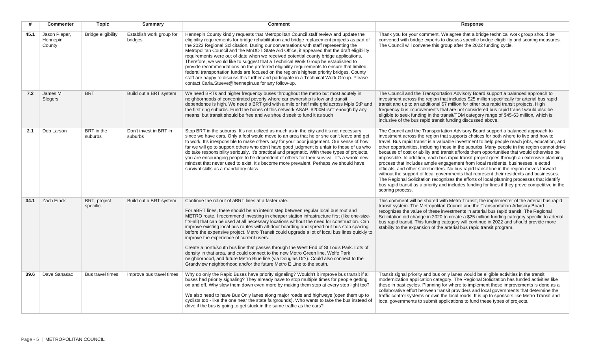| #    | <b>Commenter</b>                    | <b>Topic</b>              | <b>Summary</b>                      | <b>Comment</b>                                                                                                                                                                                                                                                                                                                                                                                                                                                                                                                                                                                                                                                                                                                                                                                                                                                                                                                   | <b>Response</b>                                                                                                                                                                                                                                                                                                                                                                                                                                                                                                                                                                                                                                                                                                                                                                                                                                                                                                                                                                                                                                                    |
|------|-------------------------------------|---------------------------|-------------------------------------|----------------------------------------------------------------------------------------------------------------------------------------------------------------------------------------------------------------------------------------------------------------------------------------------------------------------------------------------------------------------------------------------------------------------------------------------------------------------------------------------------------------------------------------------------------------------------------------------------------------------------------------------------------------------------------------------------------------------------------------------------------------------------------------------------------------------------------------------------------------------------------------------------------------------------------|--------------------------------------------------------------------------------------------------------------------------------------------------------------------------------------------------------------------------------------------------------------------------------------------------------------------------------------------------------------------------------------------------------------------------------------------------------------------------------------------------------------------------------------------------------------------------------------------------------------------------------------------------------------------------------------------------------------------------------------------------------------------------------------------------------------------------------------------------------------------------------------------------------------------------------------------------------------------------------------------------------------------------------------------------------------------|
| 45.1 | Jason Pieper,<br>Hennepin<br>County | <b>Bridge eligibility</b> | Establish work group for<br>bridges | Hennepin County kindly requests that Metropolitan Council staff review and update the<br>eligibility requirements for bridge rehabilitation and bridge replacement projects as part of<br>the 2022 Regional Solicitation. During our conversations with staff representing the<br>Metropolitan Council and the MnDOT State Aid Office, it appeared that the draft eligibility<br>requirements were out of date when we received potential county bridge applications.<br>Therefore, we would like to suggest that a Technical Work Group be established to<br>provide recommendations on the preferred eligibility requirements to ensure that limited<br>federal transportation funds are focused on the region's highest priority bridges. County<br>staff are happy to discuss this further and participate in a Technical Work Group. Please<br>contact Carla.Stueve@hennepin.us for any follow-up.                          | Thank you for your comment. We agree that a bridge technical work group should be<br>convened with bridge experts to discuss specific bridge eligibility and scoring measures.<br>The Council will convene this group after the 2022 funding cycle.                                                                                                                                                                                                                                                                                                                                                                                                                                                                                                                                                                                                                                                                                                                                                                                                                |
| 7.2  | James M<br>Slegers                  | <b>BRT</b>                | Build out a BRT system              | We need BRTs and higher frequency buses throughout the metro but most acutely in<br>neighborhoods of concentrated poverty where car ownership is low and transit<br>dependence is high. We need a BRT grid with a mile or half mile grid across Mpls StP and<br>the first ring suburbs. Fund the bones of this network ASAP. \$200M isn't enough by any<br>means, but transit should be free and we should seek to fund it as such                                                                                                                                                                                                                                                                                                                                                                                                                                                                                               | The Council and the Transportation Advisory Board support a balanced approach to<br>investment across the region that includes \$25 million specifically for arterial bus rapid<br>transit and up to an additional \$7 million for other bus rapid transit projects. High<br>frequency bus improvements that are not considered bus rapid transit would also be<br>eligible to seek funding in the transit/TDM category range of \$45-63 million, which is<br>inclusive of the bus rapid transit funding discussed above.                                                                                                                                                                                                                                                                                                                                                                                                                                                                                                                                          |
| 2.1  | Deb Larson                          | BRT in the<br>suburbs     | Don't invest in BRT in<br>suburbs   | Stop BRT in the suburbs. It's not utilized as much as in the city and it's not necessary<br>since we have cars. Only a fool would move to an area that he or she can't leave and get<br>to work. It's irresponsible to make others pay for your poor judgement. Our sense of how<br>far we will go to support others who don't have good judgment is unfair to those of us who<br>do take responsibility seriously. It's practical and pragmatic. With these types of projects,<br>you are encouraging people to be dependent of others for their survival. It's a whole new<br>mindset that never used to exist. It's become more prevalent. Perhaps we should have<br>survival skills as a mandatory class.                                                                                                                                                                                                                    | The Council and the Transportation Advisory Board support a balanced approach to<br>investment across the region that supports choices for both where to live and how to<br>travel. Bus rapid transit is a valuable investment to help people reach jobs, education, and<br>other opportunities, including those in the suburbs. Many people in the region cannot drive<br>because of cost or ability and transit affords them opportunities that would otherwise be<br>impossible. In addition, each bus rapid transit project goes through an extensive planning<br>process that includes ample engagement from local residents, businesses, elected<br>officials, and other stakeholders. No bus rapid transit line in the region moves forward<br>without the support of local governments that represent their residents and businesses.<br>The Regional Solicitation recognizes the efforts of local planning processes that identify<br>bus rapid transit as a priority and includes funding for lines if they prove competitive in the<br>scoring process. |
| 34.1 | Zach Einck                          | BRT, project<br>specific  | Build out a BRT system              | Continue the rollout of aBRT lines at a faster rate.<br>For aBRT lines, there should be an interim step between regular local bus rout and<br>METRO route. I recommend investing in cheaper station infrastructure first (like one-size-<br>fits-all) that can be used at all necessary locations without the need for construction. Can<br>improve existing local bus routes with all-door boarding and spread out bus stop spacing<br>before the expensive project. Metro Transit could upgrade a lot of local bus lines quickly to<br>improve the experience of current users.<br>Create a north/south bus line that passes through the West End of St Louis Park. Lots of<br>density in that area, and could connect to the new Metro Green line, Wolfe Park<br>neighborhood, and future Metro Blue line (via Douglas Dr?). Could also connect to the<br>Grandview neighborhood and/or the future Metro E Line to the south. | This comment will be shared with Metro Transit, the implementer of the arterial bus rapid<br>transit system. The Metropolitan Council and the Transportation Advisory Board<br>recognizes the value of these investments in arterial bus rapid transit. The Regional<br>Solicitation did change in 2020 to create a \$25 million funding category specific to arterial<br>bus rapid transit. This funding category will continue in 2022 and should provide more<br>stability to the expansion of the arterial bus rapid transit program.                                                                                                                                                                                                                                                                                                                                                                                                                                                                                                                          |
| 39.6 | Dave Sanasac                        | Bus travel times          | Improve bus travel times            | Why do only the Rapid Buses have priority signaling? Wouldn't it improve bus transit if all<br>buses had priority signaling? They already have to stop multiple times for people getting<br>on and off. Why slow them down even more by making them stop at every stop light too?<br>We also need to have Bus Only lanes along major roads and highways (open them up to<br>cyclists too - like the one near the state fairgrounds). Who wants to take the bus instead of<br>drive if the bus is going to get stuck in the same traffic as the cars?                                                                                                                                                                                                                                                                                                                                                                             | Transit signal priority and bus only lanes would be eligible activities in the transit<br>modernization application category. The Regional Solicitation has funded activities like<br>these in past cycles. Planning for where to implement these improvements is done as a<br>collaborative effort between transit providers and local governments that determine the<br>traffic control systems or own the local roads. It is up to sponsors like Metro Transit and<br>local governments to submit applications to fund these types of projects.                                                                                                                                                                                                                                                                                                                                                                                                                                                                                                                 |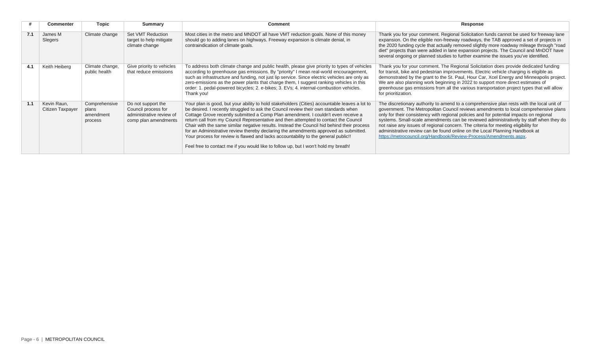|     | <b>Commenter</b>                | <b>Topic</b>                                   | Summary                                                                                       | <b>Comment</b>                                                                                                                                                                                                                                                                                                                                                                                                                                                                                                                                                                                                                                                                                                                       | Response                                                                                                                                                                                                                                                                                                                                                                                                                                                                                                                                                                                                         |
|-----|---------------------------------|------------------------------------------------|-----------------------------------------------------------------------------------------------|--------------------------------------------------------------------------------------------------------------------------------------------------------------------------------------------------------------------------------------------------------------------------------------------------------------------------------------------------------------------------------------------------------------------------------------------------------------------------------------------------------------------------------------------------------------------------------------------------------------------------------------------------------------------------------------------------------------------------------------|------------------------------------------------------------------------------------------------------------------------------------------------------------------------------------------------------------------------------------------------------------------------------------------------------------------------------------------------------------------------------------------------------------------------------------------------------------------------------------------------------------------------------------------------------------------------------------------------------------------|
| 7.1 | James M<br>Slegers              | Climate change                                 | Set VMT Reduction<br>target to help mitigate<br>climate change                                | Most cities in the metro and MNDOT all have VMT reduction goals. None of this money<br>should go to adding lanes on highways. Freeway expansion is climate denial, in<br>contraindication of climate goals.                                                                                                                                                                                                                                                                                                                                                                                                                                                                                                                          | Thank you for your comment. Regional Solicitation funds cannot be used for freeway lane<br>expansion. On the eligible non-freeway roadways, the TAB approved a set of projects in<br>the 2020 funding cycle that actually removed slightly more roadway mileage through "road<br>diet" projects than were added in lane expansion projects. The Council and MnDOT have<br>several ongoing or planned studies to further examine the issues you've identified.                                                                                                                                                    |
| 4.1 | Keith Heiberg                   | Climate change,<br>public health               | Give priority to vehicles<br>that reduce emissions                                            | To address both climate change and public health, please give priority to types of vehicles<br>according to greenhouse gas emissions. By "priority" I mean real-world encouragement,<br>such as infrastructure and funding, not just lip service. Since electric vehicles are only as<br>zero-emissions as the power plants that charge them, I suggest ranking vehicles in this<br>order: 1. pedal-powered bicycles; 2. e-bikes; 3. EVs; 4. internal-combustion vehicles.<br>Thank you!                                                                                                                                                                                                                                             | Thank you for your comment. The Regional Solicitation does provide dedicated funding<br>for transit, bike and pedestrian improvements. Electric vehicle charging is eligible as<br>demonstrated by the grant to the St. Paul, Hour Car, Xcel Energy and Minneapolis project.<br>We are also planning work beginning in 2022 to support more direct estimates of<br>greenhouse gas emissions from all the various transportation project types that will allow<br>for prioritization.                                                                                                                             |
| 1.1 | Kevin Raun,<br>Citizen Taxpayer | Comprehensive<br>plans<br>amendment<br>process | Do not support the<br>Council process for<br>administrative review of<br>comp plan amendments | Your plan is good, but your ability to hold stakeholders (Cities) accountable leaves a lot to<br>be desired. I recently struggled to ask the Council review their own standards when<br>Cottage Grove recently submitted a Comp Plan amendment. I couldn't even receive a<br>return call from my Council Representative and then attempted to contact the Council<br>Chair with the same similar negative results. Instead the Council hid behind their process<br>for an Administrative review thereby declaring the amendments approved as submitted.<br>Your process for review is flawed and lacks accountability to the general public!!<br>Feel free to contact me if you would like to follow up, but I won't hold my breath! | The discretionary authority to amend to a comprehensive plan rests with the local unit of<br>government. The Metropolitan Council reviews amendments to local comprehensive plans<br>only for their consistency with regional policies and for potential impacts on regional<br>systems. Small-scale amendments can be reviewed administratively by staff when they do<br>not raise any issues of regional concern. The criteria for meeting eligibility for<br>administrative review can be found online on the Local Planning Handbook at<br>https://metrocouncil.org/Handbook/Review-Process/Amendments.aspx. |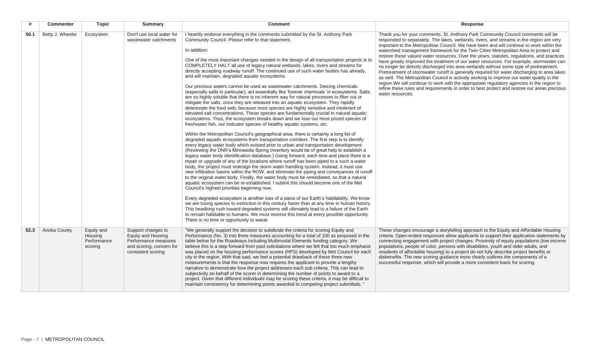|      | <b>Commenter</b> | <b>Topic</b>                                    | <b>Summary</b>                                                                                                     | <b>Comment</b>                                                                                                                                                                                                                                                                                                                                                                                                                                                                                                                                                                                                                                                                                                                                                                                                                                                                                                                                                                                                                                                                                                                                                                                                                                                                                                                                                                                                                                                                                                                                                                                                                                                                                                                                                                                                                                                                                                                                                                                                                                                                                                                                                                                                                                                                                                                                                                                                                                                                                                                                                                                                                                   | Response                                                                                                                                                                                                                                                                                                                                                                                                                                                                                                                                                                                                                                                                                                                                                                                                                                                                                                                                                                                                                                                        |
|------|------------------|-------------------------------------------------|--------------------------------------------------------------------------------------------------------------------|--------------------------------------------------------------------------------------------------------------------------------------------------------------------------------------------------------------------------------------------------------------------------------------------------------------------------------------------------------------------------------------------------------------------------------------------------------------------------------------------------------------------------------------------------------------------------------------------------------------------------------------------------------------------------------------------------------------------------------------------------------------------------------------------------------------------------------------------------------------------------------------------------------------------------------------------------------------------------------------------------------------------------------------------------------------------------------------------------------------------------------------------------------------------------------------------------------------------------------------------------------------------------------------------------------------------------------------------------------------------------------------------------------------------------------------------------------------------------------------------------------------------------------------------------------------------------------------------------------------------------------------------------------------------------------------------------------------------------------------------------------------------------------------------------------------------------------------------------------------------------------------------------------------------------------------------------------------------------------------------------------------------------------------------------------------------------------------------------------------------------------------------------------------------------------------------------------------------------------------------------------------------------------------------------------------------------------------------------------------------------------------------------------------------------------------------------------------------------------------------------------------------------------------------------------------------------------------------------------------------------------------------------|-----------------------------------------------------------------------------------------------------------------------------------------------------------------------------------------------------------------------------------------------------------------------------------------------------------------------------------------------------------------------------------------------------------------------------------------------------------------------------------------------------------------------------------------------------------------------------------------------------------------------------------------------------------------------------------------------------------------------------------------------------------------------------------------------------------------------------------------------------------------------------------------------------------------------------------------------------------------------------------------------------------------------------------------------------------------|
| 50.1 | Betty J. Wheeler | Ecosystem                                       | Don't use local water for<br>wastewater catchments                                                                 | I heartily endorse everything in the comments submitted by the St. Anthony Park<br>Community Council. Please refer to that statement.<br>In addition:<br>One of the most important changes needed in the design of all transportation projects is to<br>COMPLETELY HALT all use of legacy natural wetlands, lakes, rivers and streams for<br>directly accepting roadway runoff. The continued use of such water bodies has already,<br>and will maintain, degraded aquatic ecosystems.<br>Our precious waters cannot be used as wastewater catchments. Deicing chemicals<br>(especially salts in particular), act essentially like 'forever chemicals' in ecosystems. Salts<br>are so highly soluble that there is no inherent way for natural processes to filter out or<br>mitigate the salts, once they are released into an aquatic ecosystem. They rapidly<br>deteriorate the food web, because most species are highly sensitive and intolerant of<br>elevated salt concentrations. These species are fundamentally crucial in natural aquatic<br>ecosystems. Thus, the ecosystem breaks down and we lose our most prized species of<br>freshwater fish, our indicator species of healthy aquatic systems, etc.<br>Within the Metropolitan Council's geographical area, there is certainly a long list of<br>degraded aquatic ecosystems from transportation corridors. The first step is to identify<br>every legacy water body which existed prior to urban and transportation development.<br>(Reviewing the DNR's Minnesota Spring Inventory would be of great help to establish a<br>legacy water body identification database.) Going forward, each time and place there is a<br>repair or upgrade of any of the locations where runoff has been piped to a such a water<br>body, the project must redesign the storm water handling system. Instead, it must use<br>new infiltration basins within the ROW, and eliminate the piping and conveyances of runoff<br>to the original water body. Finally, the water body must be remediated, so that a natural<br>aquatic ecosystem can be re-established. I submit this should become one of the Met<br>Council's highest priorities beginning now.<br>Every degraded ecosystem is another loss of a piece of our Earth's habitability. We know<br>we are losing species to extinction in this century faster than at any time in human history.<br>This headlong rush toward degraded systems will ultimately lead to a failure of the Earth<br>to remain habitable to humans. We must reverse this trend at every possible opportunity.<br>There is no time or opportunity to waste | Thank you for your comments. St. Anthony Park Community Council comments will be<br>responded to separately. The lakes, wetlands, rivers, and streams in the region are very<br>important to the Metropolitan Council. We have been and will continue to work within the<br>watershed management framework for the Twin Cities Metropolitan Area to protect and<br>restore these valued water resources. Over the years, statutes, regulations, and practices<br>have greatly improved the treatment of our water resources. For example, stormwater can<br>no longer be directly discharged into area wetlands without some type of pretreatment.<br>Pretreatment of stormwater runoff is generally required for water discharging to area lakes<br>as well. The Metropolitan Council is actively working to improve our water quality in the<br>region. We will continue to work with the appropriate regulatory agencies in the region to<br>refine these rules and requirements in order to best protect and restore our areas precious<br>water resources. |
| 52.3 | Anoka County     | Equity and<br>Housing<br>Performance<br>scoring | Support changes to<br>Equity and Housing<br>Performance measures<br>and scoring; concern for<br>consistent scoring | "We generally support the decision to subdivide the criteria for scoring Equity and<br>Performance (No. 3) into three measures accounting for a total of 100 as proposed in the<br>table below for the Roadways Including Multimodal Elements funding category. We<br>believe this is a step forward from past solicitations where we felt that too much emphasis<br>was placed on the housing performance scores (HPS) developed by Met Council for each<br>city in the region. With that said, we feel a potential drawback of these three new<br>measurements is that the response now requires the applicant to provide a lengthy<br>narrative to demonstrate how the project addresses each sub criteria. This can lead to<br>subjectivity on behalf of the scorer in determining the number of points to award to a<br>project. Given that different individuals may be scoring these criteria, it may be difficult to<br>maintain consistency for determining points awarded to competing project submittals. "                                                                                                                                                                                                                                                                                                                                                                                                                                                                                                                                                                                                                                                                                                                                                                                                                                                                                                                                                                                                                                                                                                                                                                                                                                                                                                                                                                                                                                                                                                                                                                                                                           | These changes encourage a storytelling approach to the Equity and Affordable Housing<br>criteria. Open-ended responses allow applicants to support their application statements by<br>connecting engagement with project changes. Proximity of equity populations (low-income<br>populations, people of color, persons with disabilities, youth and older adults, and<br>residents of affordable housing) to a project do not fully describe project benefits or<br>disbenefits. The new scoring guidance more clearly outlines the components of a<br>successful response, which will provide a more consistent basis for scoring.                                                                                                                                                                                                                                                                                                                                                                                                                             |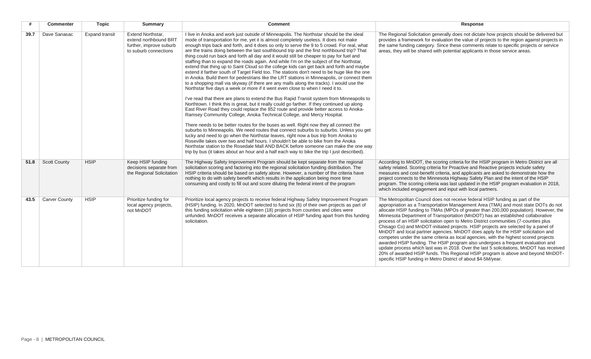|      | <b>Commenter</b>     | <b>Topic</b>          | <b>Summary</b>                                                                                        | <b>Comment</b>                                                                                                                                                                                                                                                                                                                                                                                                                                                                                                                                                                                                                                                                                                                                                                                                                                                                                                                                                                                                                                                                                                                                                                                                                                                                                                                                                                                                                                                                                                                                                                                                                                                                                                                                                                                                                                                                                                                                                 | Response                                                                                                                                                                                                                                                                                                                                                                                                                                                                                                                                                                                                                                                                                                                                                                                                                                                                                                                                                                                                                                     |
|------|----------------------|-----------------------|-------------------------------------------------------------------------------------------------------|----------------------------------------------------------------------------------------------------------------------------------------------------------------------------------------------------------------------------------------------------------------------------------------------------------------------------------------------------------------------------------------------------------------------------------------------------------------------------------------------------------------------------------------------------------------------------------------------------------------------------------------------------------------------------------------------------------------------------------------------------------------------------------------------------------------------------------------------------------------------------------------------------------------------------------------------------------------------------------------------------------------------------------------------------------------------------------------------------------------------------------------------------------------------------------------------------------------------------------------------------------------------------------------------------------------------------------------------------------------------------------------------------------------------------------------------------------------------------------------------------------------------------------------------------------------------------------------------------------------------------------------------------------------------------------------------------------------------------------------------------------------------------------------------------------------------------------------------------------------------------------------------------------------------------------------------------------------|----------------------------------------------------------------------------------------------------------------------------------------------------------------------------------------------------------------------------------------------------------------------------------------------------------------------------------------------------------------------------------------------------------------------------------------------------------------------------------------------------------------------------------------------------------------------------------------------------------------------------------------------------------------------------------------------------------------------------------------------------------------------------------------------------------------------------------------------------------------------------------------------------------------------------------------------------------------------------------------------------------------------------------------------|
| 39.7 | Dave Sanasac         | <b>Expand transit</b> | <b>Extend Northstar.</b><br>extend northbound BRT<br>further, improve suburb<br>to suburb connections | I live in Anoka and work just outside of Minneapolis. The Northstar should be the ideal<br>mode of transportation for me, yet it is almost completely useless. It does not make<br>enough trips back and forth, and it does so only to serve the 9 to 5 crowd. For real, what<br>are the trains doing between the last southbound trip and the first northbound trip? That<br>thing could run back and forth all day and it would still be cheaper to pay for fuel and<br>staffing than to expand the roads again. And while I'm on the subject of the Northstar,<br>extend that thing up to Saint Cloud so the college kids can get back and forth and maybe<br>extend it farther south of Target Field too. The stations don't need to be huge like the one<br>in Anoka. Build them for pedestrians like the LRT stations in Minneapolis, or connect them<br>to a shopping mall via skyway (if there are any malls along the tracks). I would use the<br>Northstar five days a week or more if it went even close to when I need it to.<br>I've read that there are plans to extend the Bus Rapid Transit system from Minneapolis to<br>Northtown. I think this is great, but it really could go farther. If they continued up along<br>East River Road they could replace the 852 route and provide better access to Anoka-<br>Ramsey Community College, Anoka Technical College, and Mercy Hospital.<br>There needs to be better routes for the buses as well. Right now they all connect the<br>suburbs to Minneapolis. We need routes that connect suburbs to suburbs. Unless you get<br>lucky and need to go when the Northstar leaves, right now a bus trip from Anoka to<br>Roseville takes over two and half hours. I shouldn't be able to bike from the Anoka<br>Northstar station to the Rosedale Mall AND BACK before someone can make the one way<br>trip by bus (it takes about an hour and a half each way to bike the trip I just described). | The Regional Solicitation generally does not dictate how projects should be delivered but<br>provides a framework for evaluation the value of projects to the region against projects in<br>the same funding category. Since these comments relate to specific projects or service<br>areas, they will be shared with potential applicants in those service areas.                                                                                                                                                                                                                                                                                                                                                                                                                                                                                                                                                                                                                                                                           |
| 51.8 | <b>Scott County</b>  | <b>HSIP</b>           | Keep HSIP funding<br>decisions separate from<br>the Regional Solicitation                             | The Highway Safety Improvement Program should be kept separate from the regional<br>solicitation scoring and factoring into the regional solicitation funding distribution. The<br>HSIP criteria should be based on safety alone. However, a number of the criteria have<br>nothing to do with safety benefit which results in the application being more time<br>consuming and costly to fill out and score diluting the federal intent of the program                                                                                                                                                                                                                                                                                                                                                                                                                                                                                                                                                                                                                                                                                                                                                                                                                                                                                                                                                                                                                                                                                                                                                                                                                                                                                                                                                                                                                                                                                                        | According to MnDOT, the scoring criteria for the HSIP program in Metro District are all<br>safety related. Scoring criteria for Proactive and Reactive projects include safety<br>measures and cost-benefit criteria, and applicants are asked to demonstrate how the<br>project connects to the Minnesota Highway Safety Plan and the intent of the HSIP<br>program. The scoring criteria was last updated in the HSIP program evaluation in 2018,<br>which included engagement and input with local partners.                                                                                                                                                                                                                                                                                                                                                                                                                                                                                                                              |
| 43.5 | <b>Carver County</b> | <b>HSIP</b>           | Prioritize funding for<br>local agency projects,<br>not MnDOT                                         | Prioritize local agency projects to receive federal Highway Safety Improvement Program<br>(HSIP) funding. In 2020, MnDOT selected to fund six (6) of their own projects as part of<br>this funding solicitation while eighteen (18) projects from counties and cities were<br>unfunded. MnDOT receives a separate allocation of HSIP funding apart from this funding<br>solicitation.                                                                                                                                                                                                                                                                                                                                                                                                                                                                                                                                                                                                                                                                                                                                                                                                                                                                                                                                                                                                                                                                                                                                                                                                                                                                                                                                                                                                                                                                                                                                                                          | The Metropolitan Council does not receive federal HSIP funding as part of the<br>appropriation as a Transportation Management Area (TMA) and most state DOTs do not<br>allocate HSIP funding to TMAs (MPOs of greater than 200,000 population). However, the<br>Minnesota Department of Transportation (MnDOT) has an established collaborative<br>process of an HSIP solicitation open to Metro District communities (7-counties plus<br>Chisago Co) and MnDOT-initiated projects. HSIP projects are selected by a panel of<br>MnDOT and local partner agencies. MnDOT does apply for the HSIP solicitation and<br>competes under the same criteria as local agencies, with the highest scored projects<br>awarded HSIP funding. The HSIP program also undergoes a frequent evaluation and<br>update process which last was in 2018. Over the last 5 solicitations, MnDOT has received<br>20% of awarded HSIP funds. This Regional HSIP program is above and beyond MnDOT-<br>specific HSIP funding in Metro District of about \$4-5M/year. |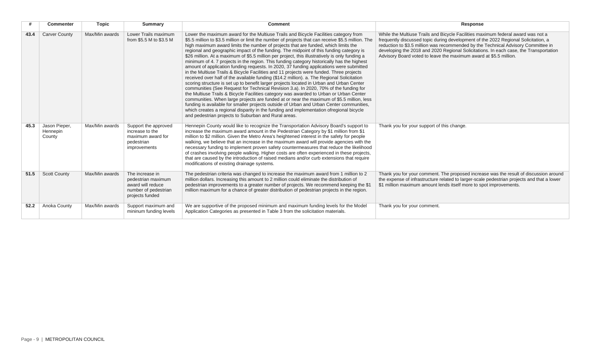|      | <b>Commenter</b>                    | <b>Topic</b>   | <b>Summary</b>                                                                                        | <b>Comment</b>                                                                                                                                                                                                                                                                                                                                                                                                                                                                                                                                                                                                                                                                                                                                                                                                                                                                                                                                                                                                                                                                                                                                                                                                                                                                                                                                                                                                                                                                            | Response                                                                                                                                                                                                                                                                                                                                                                                                                  |
|------|-------------------------------------|----------------|-------------------------------------------------------------------------------------------------------|-------------------------------------------------------------------------------------------------------------------------------------------------------------------------------------------------------------------------------------------------------------------------------------------------------------------------------------------------------------------------------------------------------------------------------------------------------------------------------------------------------------------------------------------------------------------------------------------------------------------------------------------------------------------------------------------------------------------------------------------------------------------------------------------------------------------------------------------------------------------------------------------------------------------------------------------------------------------------------------------------------------------------------------------------------------------------------------------------------------------------------------------------------------------------------------------------------------------------------------------------------------------------------------------------------------------------------------------------------------------------------------------------------------------------------------------------------------------------------------------|---------------------------------------------------------------------------------------------------------------------------------------------------------------------------------------------------------------------------------------------------------------------------------------------------------------------------------------------------------------------------------------------------------------------------|
| 43.4 | <b>Carver County</b>                | Max/Min awards | Lower Trails maximum<br>from \$5.5 M to \$3.5 M                                                       | Lower the maximum award for the Multiuse Trails and Bicycle Facilities category from<br>\$5.5 million to \$3.5 million or limit the number of projects that can receive \$5.5 million. The<br>high maximum award limits the number of projects that are funded, which limits the<br>regional and geographic impact of the funding. The midpoint of this funding category is<br>\$26 million. At a maximum of \$5.5 million per project, this illustratively is only funding a<br>minimum of 4.7 projects in the region. This funding category historically has the highest<br>amount of application funding requests. In 2020, 37 funding applications were submitted<br>in the Multiuse Trails & Bicycle Facilities and 11 projects were funded. Three projects<br>received over half of the available funding (\$14.2 million). a. The Regional Solicitation<br>scoring structure is set up to benefit larger projects located in Urban and Urban Center<br>communities (See Request for Technical Revision 3.a). In 2020, 70% of the funding for<br>the Multiuse Trails & Bicycle Facilities category was awarded to Urban or Urban Center<br>communities. When large projects are funded at or near the maximum of \$5.5 million, less<br>funding is available for smaller projects outside of Urban and Urban Center communities,<br>which creates a regional disparity in the funding and implementation ofregional bicycle<br>and pedestrian projects to Suburban and Rural areas. | While the Multiuse Trails and Bicycle Facilities maximum federal award was not a<br>frequently discussed topic during development of the 2022 Regional Solicitation, a<br>reduction to \$3.5 million was recommended by the Technical Advisory Committee in<br>developing the 2018 and 2020 Regional Solicitations. In each case, the Transportation<br>Advisory Board voted to leave the maximum award at \$5.5 million. |
| 45.3 | Jason Pieper.<br>Hennepin<br>County | Max/Min awards | Support the approved<br>increase to the<br>maximum award for<br>pedestrian<br>improvements            | Hennepin County would like to recognize the Transportation Advisory Board's support to<br>increase the maximum award amount in the Pedestrian Category by \$1 million from \$1<br>million to \$2 million. Given the Metro Area's heightened interest in the safety for people<br>walking, we believe that an increase in the maximum award will provide agencies with the<br>necessary funding to implement proven safety countermeasures that reduce the likelihood<br>of crashes involving people walking. Higher costs are often experienced in these projects,<br>that are caused by the introduction of raised medians and/or curb extensions that require<br>modifications of existing drainage systems.                                                                                                                                                                                                                                                                                                                                                                                                                                                                                                                                                                                                                                                                                                                                                                            | Thank you for your support of this change.                                                                                                                                                                                                                                                                                                                                                                                |
| 51.5 | <b>Scott County</b>                 | Max/Min awards | The increase in<br>pedestrian maximum<br>award will reduce<br>number of pedestrian<br>projects funded | The pedestrian criteria was changed to increase the maximum award from 1 million to 2<br>million dollars. Increasing this amount to 2 million could eliminate the distribution of<br>pedestrian improvements to a greater number of projects. We recommend keeping the \$1<br>million maximum for a chance of greater distribution of pedestrian projects in the region.                                                                                                                                                                                                                                                                                                                                                                                                                                                                                                                                                                                                                                                                                                                                                                                                                                                                                                                                                                                                                                                                                                                  | Thank you for your comment. The proposed increase was the result of discussion around<br>the expense of infrastructure related to larger-scale pedestrian projects and that a lower<br>\$1 million maximum amount lends itself more to spot improvements.                                                                                                                                                                 |
| 52.2 | Anoka County                        | Max/Min awards | Support maximum and<br>mininum funding levels                                                         | We are supportive of the proposed minimum and maximum funding levels for the Model<br>Application Categories as presented in Table 3 from the solicitation materials.                                                                                                                                                                                                                                                                                                                                                                                                                                                                                                                                                                                                                                                                                                                                                                                                                                                                                                                                                                                                                                                                                                                                                                                                                                                                                                                     | Thank you for your comment.                                                                                                                                                                                                                                                                                                                                                                                               |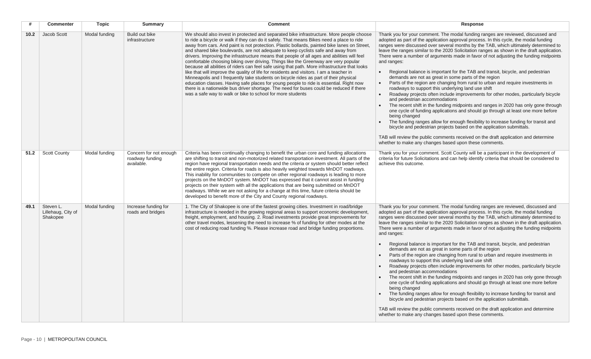| #    | <b>Commenter</b>                            | <b>Topic</b>  | <b>Summary</b>                                          | <b>Comment</b>                                                                                                                                                                                                                                                                                                                                                                                                                                                                                                                                                                                                                                                                                                                                                                                                                                                                                                                                                                                                                                                                                           | Response                                                                                                                                                                                                                                                                                                                                                                                                                                                                                                                                                                                                                                                                                                                                                                                                                                                                                                                                                                                                                                                                                                                                                                                                                                                                                                                                                                                                  |
|------|---------------------------------------------|---------------|---------------------------------------------------------|----------------------------------------------------------------------------------------------------------------------------------------------------------------------------------------------------------------------------------------------------------------------------------------------------------------------------------------------------------------------------------------------------------------------------------------------------------------------------------------------------------------------------------------------------------------------------------------------------------------------------------------------------------------------------------------------------------------------------------------------------------------------------------------------------------------------------------------------------------------------------------------------------------------------------------------------------------------------------------------------------------------------------------------------------------------------------------------------------------|-----------------------------------------------------------------------------------------------------------------------------------------------------------------------------------------------------------------------------------------------------------------------------------------------------------------------------------------------------------------------------------------------------------------------------------------------------------------------------------------------------------------------------------------------------------------------------------------------------------------------------------------------------------------------------------------------------------------------------------------------------------------------------------------------------------------------------------------------------------------------------------------------------------------------------------------------------------------------------------------------------------------------------------------------------------------------------------------------------------------------------------------------------------------------------------------------------------------------------------------------------------------------------------------------------------------------------------------------------------------------------------------------------------|
| 10.2 | Jacob Scott                                 | Modal funding | Build out bike<br>infrastructure                        | We should also invest in protected and separated bike infrastructure. More people choose<br>to ride a bicycle or walk if they can do it safely. That means Bikes need a place to ride<br>away from cars. And paint is not protection. Plastic bollards, painted bike lanes on Street,<br>and shared bike boulevards, are not adequate to keep cyclists safe and away from<br>drivers. Improving the infrastructure means that people of all ages and abilities will feel<br>comfortable choosing biking over driving. Things like the Greenway are very popular<br>because all abilities of riders can feel safe using that path. More infrastructure that looks<br>like that will improve the quality of life for residents and visitors. I am a teacher in<br>Minneapolis and I frequently take students on bicycle rides as part of their physical<br>education classes. Having safe places for young people to ride is essential. Right now<br>there is a nationwide bus driver shortage. The need for buses could be reduced if there<br>was a safe way to walk or bike to school for more students | Thank you for your comment. The modal funding ranges are reviewed, discussed and<br>adopted as part of the application approval process. In this cycle, the modal funding<br>ranges were discussed over several months by the TAB, which ultimately determined to<br>leave the ranges similar to the 2020 Solicitation ranges as shown in the draft application.<br>There were a number of arguments made in favor of not adjusting the funding midpoints<br>and ranges:<br>Regional balance is important for the TAB and transit, bicycle, and pedestrian<br>demands are not as great in some parts of the region<br>Parts of the region are changing from rural to urban and require investments in<br>$\bullet$<br>roadways to support this underlying land use shift<br>Roadway projects often include improvements for other modes, particularly bicycle<br>and pedestrian accommodations<br>The recent shift in the funding midpoints and ranges in 2020 has only gone through<br>one cycle of funding applications and should go through at least one more before<br>being changed<br>The funding ranges allow for enough flexibility to increase funding for transit and<br>bicycle and pedestrian projects based on the application submittals.<br>TAB will review the public comments received on the draft application and determine<br>whether to make any changes based upon these comments. |
| 51.2 | <b>Scott County</b>                         | Modal funding | Concern for not enough<br>roadway funding<br>available. | Criteria has been continually changing to benefit the urban core and funding allocations<br>are shifting to transit and non-motorized related transportation investment. All parts of the<br>region have regional transportation needs and the criteria or system should better reflect<br>the entire region. Criteria for roads is also heavily weighted towards MnDOT roadways.<br>This inability for communities to compete on other regional roadways is leading to more<br>projects on the MnDOT system. MnDOT has expressed that it cannot assist in funding<br>projects on their system with all the applications that are being submitted on MnDOT<br>roadways. While we are not asking for a change at this time, future criteria should be<br>developed to benefit more of the City and County regional roadways.                                                                                                                                                                                                                                                                              | Thank you for your comment. Scott County will be a participant in the development of<br>criteria for future Solicitations and can help identify criteria that should be considered to<br>achieve this outcome.                                                                                                                                                                                                                                                                                                                                                                                                                                                                                                                                                                                                                                                                                                                                                                                                                                                                                                                                                                                                                                                                                                                                                                                            |
| 49.1 | Steven L.<br>Lillehaug, City of<br>Shakopee | Modal funding | Increase funding for<br>roads and bridges               | 1. The City of Shakopee is one of the fastest growing cities. Investment in road/bridge<br>infrastructure is needed in the growing regional areas to support economic development,<br>freight, employment, and housing. 2. Road investments provide great improvements for<br>other travel modes, lessening the need to increase % of funding for other modes at the<br>cost of reducing road funding %. Please increase road and bridge funding proportions.                                                                                                                                                                                                                                                                                                                                                                                                                                                                                                                                                                                                                                            | Thank you for your comment. The modal funding ranges are reviewed, discussed and<br>adopted as part of the application approval process. In this cycle, the modal funding<br>ranges were discussed over several months by the TAB, which ultimately determined to<br>leave the ranges similar to the 2020 Solicitation ranges as shown in the draft application.<br>There were a number of arguments made in favor of not adjusting the funding midpoints<br>and ranges:<br>Regional balance is important for the TAB and transit, bicycle, and pedestrian<br>demands are not as great in some parts of the region<br>Parts of the region are changing from rural to urban and require investments in<br>roadways to support this underlying land use shift<br>Roadway projects often include improvements for other modes, particularly bicycle<br>and pedestrian accommodations<br>The recent shift in the funding midpoints and ranges in 2020 has only gone through<br>one cycle of funding applications and should go through at least one more before<br>being changed<br>The funding ranges allow for enough flexibility to increase funding for transit and<br>bicycle and pedestrian projects based on the application submittals.<br>TAB will review the public comments received on the draft application and determine<br>whether to make any changes based upon these comments.              |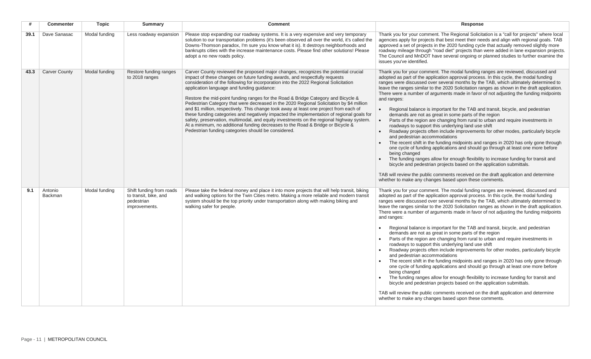|      | <b>Commenter</b>          | <b>Topic</b>  | <b>Summary</b>                                                                   | <b>Comment</b>                                                                                                                                                                                                                                                                                                                                                                                                                                                                                                                                                                                                                                                                                                                                                                                                                                                                                                         | Response                                                                                                                                                                                                                                                                                                                                                                                                                                                                                                                                                                                                                                                                                                                                                                                                                                                                                                                                                                                                                                                                                                                                                                                                                                                                                                                                                                                     |
|------|---------------------------|---------------|----------------------------------------------------------------------------------|------------------------------------------------------------------------------------------------------------------------------------------------------------------------------------------------------------------------------------------------------------------------------------------------------------------------------------------------------------------------------------------------------------------------------------------------------------------------------------------------------------------------------------------------------------------------------------------------------------------------------------------------------------------------------------------------------------------------------------------------------------------------------------------------------------------------------------------------------------------------------------------------------------------------|----------------------------------------------------------------------------------------------------------------------------------------------------------------------------------------------------------------------------------------------------------------------------------------------------------------------------------------------------------------------------------------------------------------------------------------------------------------------------------------------------------------------------------------------------------------------------------------------------------------------------------------------------------------------------------------------------------------------------------------------------------------------------------------------------------------------------------------------------------------------------------------------------------------------------------------------------------------------------------------------------------------------------------------------------------------------------------------------------------------------------------------------------------------------------------------------------------------------------------------------------------------------------------------------------------------------------------------------------------------------------------------------|
| 39.1 | Dave Sanasac              | Modal funding | Less roadway expansion                                                           | Please stop expanding our roadway systems. It is a very expensive and very temporary<br>solution to our transportation problems (it's been observed all over the world, it's called the<br>Downs-Thomson paradox, I'm sure you know what it is). It destroys neighborhoods and<br>bankrupts cities with the increase maintenance costs. Please find other solutions! Please<br>adopt a no new roads policy.                                                                                                                                                                                                                                                                                                                                                                                                                                                                                                            | Thank you for your comment. The Regional Solicitation is a "call for projects" where local<br>agencies apply for projects that best meet their needs and align with regional goals. TAB<br>approved a set of projects in the 2020 funding cycle that actually removed slightly more<br>roadway mileage through "road diet" projects than were added in lane expansion projects.<br>The Council and MnDOT have several ongoing or planned studies to further examine the<br>issues you've identified.                                                                                                                                                                                                                                                                                                                                                                                                                                                                                                                                                                                                                                                                                                                                                                                                                                                                                         |
| 43.3 | <b>Carver County</b>      | Modal funding | Restore funding ranges<br>to 2018 ranges                                         | Carver County reviewed the proposed major changes, recognizes the potential crucial<br>impact of these changes on future funding awards, and respectfully requests<br>consideration of the following for incorporation into the 2022 Regional Solicitation<br>application language and funding guidance:<br>Restore the mid-point funding ranges for the Road & Bridge Category and Bicycle &<br>Pedestrian Category that were decreased in the 2020 Regional Solicitation by \$4 million<br>and \$1 million, respectively. This change took away at least one project from each of<br>these funding categories and negatively impacted the implementation of regional goals for<br>safety, preservation, multimodal, and equity investments on the regional highway system.<br>At a minimum, no additional funding decreases to the Road & Bridge or Bicycle &<br>Pedestrian funding categories should be considered. | Thank you for your comment. The modal funding ranges are reviewed, discussed and<br>adopted as part of the application approval process. In this cycle, the modal funding<br>ranges were discussed over several months by the TAB, which ultimately determined to<br>leave the ranges similar to the 2020 Solicitation ranges as shown in the draft application.<br>There were a number of arguments made in favor of not adjusting the funding midpoints<br>and ranges:<br>Regional balance is important for the TAB and transit, bicycle, and pedestrian<br>demands are not as great in some parts of the region<br>Parts of the region are changing from rural to urban and require investments in<br>roadways to support this underlying land use shift<br>Roadway projects often include improvements for other modes, particularly bicycle<br>and pedestrian accommodations<br>The recent shift in the funding midpoints and ranges in 2020 has only gone through<br>one cycle of funding applications and should go through at least one more before<br>being changed<br>The funding ranges allow for enough flexibility to increase funding for transit and<br>bicycle and pedestrian projects based on the application submittals.<br>TAB will review the public comments received on the draft application and determine<br>whether to make any changes based upon these comments. |
| 9.1  | Antonio<br><b>Backman</b> | Modal funding | Shift funding from roads<br>to transit, bike, and<br>pedestrian<br>improvements. | Please take the federal money and place it into more projects that will help transit, biking<br>and walking options for the Twin Cities metro. Making a more reliable and modern transit<br>system should be the top priority under transportation along with making biking and<br>walking safer for people.                                                                                                                                                                                                                                                                                                                                                                                                                                                                                                                                                                                                           | Thank you for your comment. The modal funding ranges are reviewed, discussed and<br>adopted as part of the application approval process. In this cycle, the modal funding<br>ranges were discussed over several months by the TAB, which ultimately determined to<br>leave the ranges similar to the 2020 Solicitation ranges as shown in the draft application.<br>There were a number of arguments made in favor of not adjusting the funding midpoints<br>and ranges:<br>Regional balance is important for the TAB and transit, bicycle, and pedestrian<br>demands are not as great in some parts of the region<br>Parts of the region are changing from rural to urban and require investments in<br>roadways to support this underlying land use shift<br>Roadway projects often include improvements for other modes, particularly bicycle<br>and pedestrian accommodations<br>The recent shift in the funding midpoints and ranges in 2020 has only gone through<br>one cycle of funding applications and should go through at least one more before<br>being changed<br>The funding ranges allow for enough flexibility to increase funding for transit and<br>bicycle and pedestrian projects based on the application submittals.<br>TAB will review the public comments received on the draft application and determine<br>whether to make any changes based upon these comments. |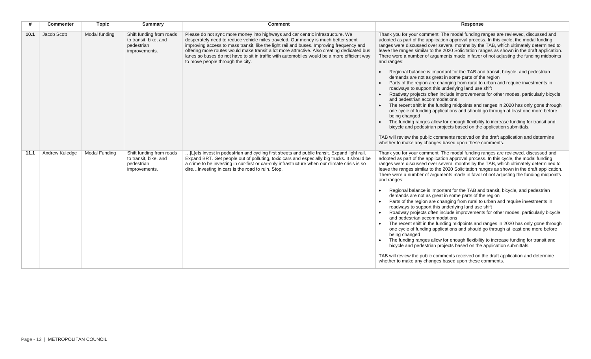| #    | <b>Commenter</b> | <b>Topic</b>  | <b>Summary</b>                                                                   | <b>Comment</b>                                                                                                                                                                                                                                                                                                                                                                                                                                                                                   | Response                                                                                                                                                                                                                                                                                                                                                                                                                                                                                                                                                                                                                                                                                                                                                                                                                                                                                                                                                                                                                                                                                                                                                                                                                                                                                                                                                                                     |
|------|------------------|---------------|----------------------------------------------------------------------------------|--------------------------------------------------------------------------------------------------------------------------------------------------------------------------------------------------------------------------------------------------------------------------------------------------------------------------------------------------------------------------------------------------------------------------------------------------------------------------------------------------|----------------------------------------------------------------------------------------------------------------------------------------------------------------------------------------------------------------------------------------------------------------------------------------------------------------------------------------------------------------------------------------------------------------------------------------------------------------------------------------------------------------------------------------------------------------------------------------------------------------------------------------------------------------------------------------------------------------------------------------------------------------------------------------------------------------------------------------------------------------------------------------------------------------------------------------------------------------------------------------------------------------------------------------------------------------------------------------------------------------------------------------------------------------------------------------------------------------------------------------------------------------------------------------------------------------------------------------------------------------------------------------------|
| 10.1 | Jacob Scott      | Modal funding | Shift funding from roads<br>to transit, bike, and<br>pedestrian<br>improvements. | Please do not sync more money into highways and car centric infrastructure. We<br>desperately need to reduce vehicle miles traveled. Our money is much better spent<br>improving access to mass transit, like the light rail and buses. Improving frequency and<br>offering more routes would make transit a lot more attractive. Also creating dedicated bus<br>lanes so buses do not have to sit in traffic with automobiles would be a more efficient way<br>to move people through the city. | Thank you for your comment. The modal funding ranges are reviewed, discussed and<br>adopted as part of the application approval process. In this cycle, the modal funding<br>ranges were discussed over several months by the TAB, which ultimately determined to<br>leave the ranges similar to the 2020 Solicitation ranges as shown in the draft application.<br>There were a number of arguments made in favor of not adjusting the funding midpoints<br>and ranges:<br>Regional balance is important for the TAB and transit, bicycle, and pedestrian<br>demands are not as great in some parts of the region<br>Parts of the region are changing from rural to urban and require investments in<br>roadways to support this underlying land use shift<br>Roadway projects often include improvements for other modes, particularly bicycle<br>and pedestrian accommodations<br>The recent shift in the funding midpoints and ranges in 2020 has only gone through<br>one cycle of funding applications and should go through at least one more before<br>being changed<br>The funding ranges allow for enough flexibility to increase funding for transit and<br>bicycle and pedestrian projects based on the application submittals.<br>TAB will review the public comments received on the draft application and determine<br>whether to make any changes based upon these comments. |
| 11.1 | Andrew Kuledge   | Modal Funding | Shift funding from roads<br>to transit, bike, and<br>pedestrian<br>improvements. | [L]ets invest in pedestrian and cycling first streets and public transit. Expand light rail.<br>Expand BRT. Get people out of polluting, toxic cars and especially big trucks. It should be<br>a crime to be investing in car-first or car-only infrastructure when our climate crisis is so<br>direInvesting in cars is the road to ruin. Stop.                                                                                                                                                 | Thank you for your comment. The modal funding ranges are reviewed, discussed and<br>adopted as part of the application approval process. In this cycle, the modal funding<br>ranges were discussed over several months by the TAB, which ultimately determined to<br>leave the ranges similar to the 2020 Solicitation ranges as shown in the draft application.<br>There were a number of arguments made in favor of not adjusting the funding midpoints<br>and ranges:<br>Regional balance is important for the TAB and transit, bicycle, and pedestrian<br>demands are not as great in some parts of the region<br>Parts of the region are changing from rural to urban and require investments in<br>roadways to support this underlying land use shift<br>Roadway projects often include improvements for other modes, particularly bicycle<br>and pedestrian accommodations<br>The recent shift in the funding midpoints and ranges in 2020 has only gone through<br>one cycle of funding applications and should go through at least one more before<br>being changed<br>The funding ranges allow for enough flexibility to increase funding for transit and<br>bicycle and pedestrian projects based on the application submittals.<br>TAB will review the public comments received on the draft application and determine<br>whether to make any changes based upon these comments. |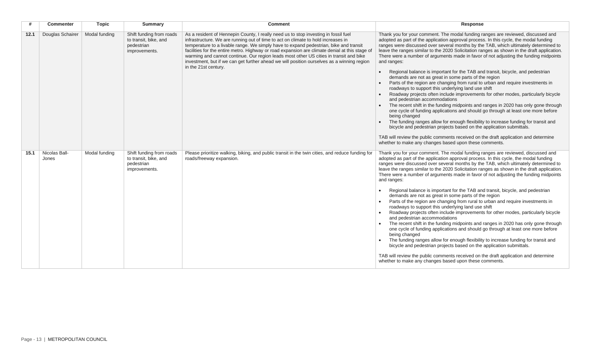| #    | <b>Commenter</b>       | <b>Topic</b>  | <b>Summary</b>                                                                   | <b>Comment</b>                                                                                                                                                                                                                                                                                                                                                                                                                                                                                                                                                                      | Response                                                                                                                                                                                                                                                                                                                                                                                                                                                                                                                                                                                                                                                                                                                                                                                                                                                                                                                                                                                                                                                                                                                                                                                                                                                                                                                                                                                     |
|------|------------------------|---------------|----------------------------------------------------------------------------------|-------------------------------------------------------------------------------------------------------------------------------------------------------------------------------------------------------------------------------------------------------------------------------------------------------------------------------------------------------------------------------------------------------------------------------------------------------------------------------------------------------------------------------------------------------------------------------------|----------------------------------------------------------------------------------------------------------------------------------------------------------------------------------------------------------------------------------------------------------------------------------------------------------------------------------------------------------------------------------------------------------------------------------------------------------------------------------------------------------------------------------------------------------------------------------------------------------------------------------------------------------------------------------------------------------------------------------------------------------------------------------------------------------------------------------------------------------------------------------------------------------------------------------------------------------------------------------------------------------------------------------------------------------------------------------------------------------------------------------------------------------------------------------------------------------------------------------------------------------------------------------------------------------------------------------------------------------------------------------------------|
| 12.1 | Douglas Schairer       | Modal funding | Shift funding from roads<br>to transit, bike, and<br>pedestrian<br>improvements. | As a resident of Hennepin County, I really need us to stop investing in fossil fuel<br>infrastructure. We are running out of time to act on climate to hold increases in<br>temperature to a livable range. We simply have to expand pedestrian, bike and transit<br>facilities for the entire metro. Highway or road expansion are climate denial at this stage of<br>warming and cannot continue. Our region leads most other US cities in transit and bike<br>investment, but if we can get further ahead we will position ourselves as a winning region<br>in the 21st century. | Thank you for your comment. The modal funding ranges are reviewed, discussed and<br>adopted as part of the application approval process. In this cycle, the modal funding<br>ranges were discussed over several months by the TAB, which ultimately determined to<br>leave the ranges similar to the 2020 Solicitation ranges as shown in the draft application.<br>There were a number of arguments made in favor of not adjusting the funding midpoints<br>and ranges:<br>Regional balance is important for the TAB and transit, bicycle, and pedestrian<br>demands are not as great in some parts of the region<br>Parts of the region are changing from rural to urban and require investments in<br>roadways to support this underlying land use shift<br>Roadway projects often include improvements for other modes, particularly bicycle<br>and pedestrian accommodations<br>The recent shift in the funding midpoints and ranges in 2020 has only gone through<br>one cycle of funding applications and should go through at least one more before<br>being changed<br>The funding ranges allow for enough flexibility to increase funding for transit and<br>bicycle and pedestrian projects based on the application submittals.<br>TAB will review the public comments received on the draft application and determine<br>whether to make any changes based upon these comments. |
| 15.1 | Nicolas Ball-<br>Jones | Modal funding | Shift funding from roads<br>to transit, bike, and<br>pedestrian<br>improvements. | Please prioritize walking, biking, and public transit in the twin cities, and reduce funding for<br>roads/freeway expansion.                                                                                                                                                                                                                                                                                                                                                                                                                                                        | Thank you for your comment. The modal funding ranges are reviewed, discussed and<br>adopted as part of the application approval process. In this cycle, the modal funding<br>ranges were discussed over several months by the TAB, which ultimately determined to<br>leave the ranges similar to the 2020 Solicitation ranges as shown in the draft application.<br>There were a number of arguments made in favor of not adjusting the funding midpoints<br>and ranges:<br>Regional balance is important for the TAB and transit, bicycle, and pedestrian<br>demands are not as great in some parts of the region<br>Parts of the region are changing from rural to urban and require investments in<br>roadways to support this underlying land use shift<br>Roadway projects often include improvements for other modes, particularly bicycle<br>and pedestrian accommodations<br>The recent shift in the funding midpoints and ranges in 2020 has only gone through<br>one cycle of funding applications and should go through at least one more before<br>being changed<br>The funding ranges allow for enough flexibility to increase funding for transit and<br>bicycle and pedestrian projects based on the application submittals.<br>TAB will review the public comments received on the draft application and determine<br>whether to make any changes based upon these comments. |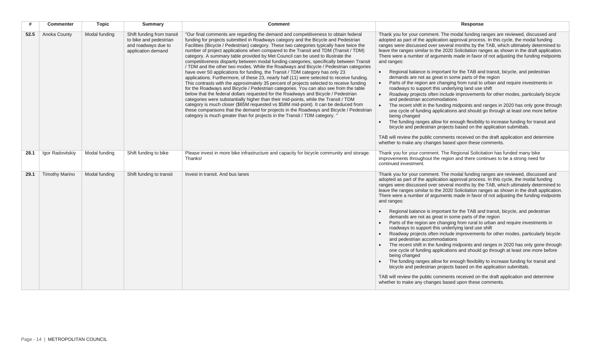|      | <b>Commenter</b>      | <b>Topic</b>  | <b>Summary</b>                                                                                    | <b>Comment</b>                                                                                                                                                                                                                                                                                                                                                                                                                                                                                                                                                                                                                                                                                                                                                                                                                                                                                                                                                                                                                                                                                                                                                                                                                                                                                                                                                                                                                                        | Response                                                                                                                                                                                                                                                                                                                                                                                                                                                                                                                                                                                                                                                                                                                                                                                                                                                                                                                                                                                                                                                                                                                                                                                                                                                                                                                                                                                     |
|------|-----------------------|---------------|---------------------------------------------------------------------------------------------------|-------------------------------------------------------------------------------------------------------------------------------------------------------------------------------------------------------------------------------------------------------------------------------------------------------------------------------------------------------------------------------------------------------------------------------------------------------------------------------------------------------------------------------------------------------------------------------------------------------------------------------------------------------------------------------------------------------------------------------------------------------------------------------------------------------------------------------------------------------------------------------------------------------------------------------------------------------------------------------------------------------------------------------------------------------------------------------------------------------------------------------------------------------------------------------------------------------------------------------------------------------------------------------------------------------------------------------------------------------------------------------------------------------------------------------------------------------|----------------------------------------------------------------------------------------------------------------------------------------------------------------------------------------------------------------------------------------------------------------------------------------------------------------------------------------------------------------------------------------------------------------------------------------------------------------------------------------------------------------------------------------------------------------------------------------------------------------------------------------------------------------------------------------------------------------------------------------------------------------------------------------------------------------------------------------------------------------------------------------------------------------------------------------------------------------------------------------------------------------------------------------------------------------------------------------------------------------------------------------------------------------------------------------------------------------------------------------------------------------------------------------------------------------------------------------------------------------------------------------------|
| 52.5 | Anoka County          | Modal funding | Shift funding from transit<br>to bike and pedestrian<br>and roadways due to<br>application demand | "Our final comments are regarding the demand and competitiveness to obtain federal<br>funding for projects submitted in Roadways category and the Bicycle and Pedestrian<br>Facilities (Bicycle / Pedestrian) category. These two categories typically have twice the<br>number of project applications when compared to the Transit and TDM (Transit / TDM)<br>category. A summary table provided by Met Council can be used to illustrate the<br>competitiveness disparity between modal funding categories, specifically between Transit<br>/ TDM and the other two modes. While the Roadways and Bicycle / Pedestrian categories<br>have over 50 applications for funding, the Transit / TDM category has only 23<br>applications. Furthermore, of these 23, nearly half (11) were selected to receive funding.<br>This contrasts with the approximately 35 percent of projects selected to receive funding<br>for the Roadways and Bicycle / Pedestrian categories. You can also see from the table<br>below that the federal dollars requested for the Roadways and Bicycle / Pedestrian<br>categories were substantially higher than their mid-points, while the Transit / TDM<br>category is much closer (\$65M requested vs \$58M mid-point). It can be deduced from<br>these comparisons that the demand for projects in the Roadways and Bicycle / Pedestrian<br>category is much greater than for projects in the Transit / TDM category. | Thank you for your comment. The modal funding ranges are reviewed, discussed and<br>adopted as part of the application approval process. In this cycle, the modal funding<br>ranges were discussed over several months by the TAB, which ultimately determined to<br>leave the ranges similar to the 2020 Solicitation ranges as shown in the draft application.<br>There were a number of arguments made in favor of not adjusting the funding midpoints<br>and ranges:<br>Regional balance is important for the TAB and transit, bicycle, and pedestrian<br>demands are not as great in some parts of the region<br>Parts of the region are changing from rural to urban and require investments in<br>roadways to support this underlying land use shift<br>Roadway projects often include improvements for other modes, particularly bicycle<br>and pedestrian accommodations<br>The recent shift in the funding midpoints and ranges in 2020 has only gone through<br>one cycle of funding applications and should go through at least one more before<br>being changed<br>The funding ranges allow for enough flexibility to increase funding for transit and<br>bicycle and pedestrian projects based on the application submittals.<br>TAB will review the public comments received on the draft application and determine<br>whether to make any changes based upon these comments. |
| 28.1 | Igor Radovitskiy      | Modal funding | Shift funding to bike                                                                             | Please invest in more bike infrastructure and capacity for bicycle community and storage.<br>Thanks!                                                                                                                                                                                                                                                                                                                                                                                                                                                                                                                                                                                                                                                                                                                                                                                                                                                                                                                                                                                                                                                                                                                                                                                                                                                                                                                                                  | Thank you for your comment. The Regional Solicitation has funded many bike<br>improvements throughout the region and there continues to be a strong need for<br>continued investment.                                                                                                                                                                                                                                                                                                                                                                                                                                                                                                                                                                                                                                                                                                                                                                                                                                                                                                                                                                                                                                                                                                                                                                                                        |
| 29.1 | <b>Timothy Marino</b> | Modal funding | Shift funding to transit                                                                          | Invest in transit. And bus lanes                                                                                                                                                                                                                                                                                                                                                                                                                                                                                                                                                                                                                                                                                                                                                                                                                                                                                                                                                                                                                                                                                                                                                                                                                                                                                                                                                                                                                      | Thank you for your comment. The modal funding ranges are reviewed, discussed and<br>adopted as part of the application approval process. In this cycle, the modal funding<br>ranges were discussed over several months by the TAB, which ultimately determined to<br>leave the ranges similar to the 2020 Solicitation ranges as shown in the draft application.<br>There were a number of arguments made in favor of not adjusting the funding midpoints<br>and ranges:<br>Regional balance is important for the TAB and transit, bicycle, and pedestrian<br>demands are not as great in some parts of the region<br>Parts of the region are changing from rural to urban and require investments in<br>roadways to support this underlying land use shift<br>Roadway projects often include improvements for other modes, particularly bicycle<br>and pedestrian accommodations<br>The recent shift in the funding midpoints and ranges in 2020 has only gone through<br>one cycle of funding applications and should go through at least one more before<br>being changed<br>The funding ranges allow for enough flexibility to increase funding for transit and<br>bicycle and pedestrian projects based on the application submittals.<br>TAB will review the public comments received on the draft application and determine<br>whether to make any changes based upon these comments. |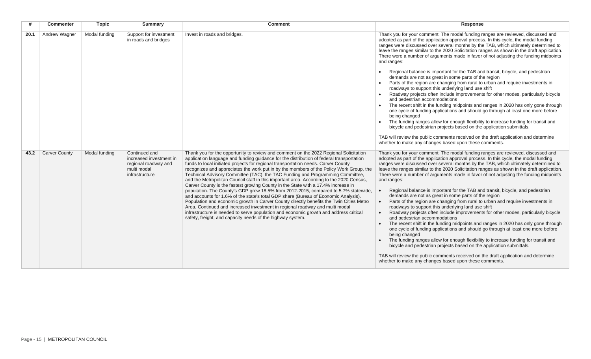| #    | <b>Commenter</b>     | <b>Topic</b>  | <b>Summary</b>                                                                                    | <b>Comment</b>                                                                                                                                                                                                                                                                                                                                                                                                                                                                                                                                                                                                                                                                                                                                                                                                                                                                                                                                                                                                                                                                                                                                        | Response                                                                                                                                                                                                                                                                                                                                                                                                                                                                                                                                                                                                                                                                                                                                                                                                                                                                                                                                                                                                                                                                                                                                                                                                                                                                                                                                                                                     |
|------|----------------------|---------------|---------------------------------------------------------------------------------------------------|-------------------------------------------------------------------------------------------------------------------------------------------------------------------------------------------------------------------------------------------------------------------------------------------------------------------------------------------------------------------------------------------------------------------------------------------------------------------------------------------------------------------------------------------------------------------------------------------------------------------------------------------------------------------------------------------------------------------------------------------------------------------------------------------------------------------------------------------------------------------------------------------------------------------------------------------------------------------------------------------------------------------------------------------------------------------------------------------------------------------------------------------------------|----------------------------------------------------------------------------------------------------------------------------------------------------------------------------------------------------------------------------------------------------------------------------------------------------------------------------------------------------------------------------------------------------------------------------------------------------------------------------------------------------------------------------------------------------------------------------------------------------------------------------------------------------------------------------------------------------------------------------------------------------------------------------------------------------------------------------------------------------------------------------------------------------------------------------------------------------------------------------------------------------------------------------------------------------------------------------------------------------------------------------------------------------------------------------------------------------------------------------------------------------------------------------------------------------------------------------------------------------------------------------------------------|
| 20.1 | Andrew Wagner        | Modal funding | Support for investment<br>in roads and bridges                                                    | Invest in roads and bridges.                                                                                                                                                                                                                                                                                                                                                                                                                                                                                                                                                                                                                                                                                                                                                                                                                                                                                                                                                                                                                                                                                                                          | Thank you for your comment. The modal funding ranges are reviewed, discussed and<br>adopted as part of the application approval process. In this cycle, the modal funding<br>ranges were discussed over several months by the TAB, which ultimately determined to<br>leave the ranges similar to the 2020 Solicitation ranges as shown in the draft application.<br>There were a number of arguments made in favor of not adjusting the funding midpoints<br>and ranges:<br>Regional balance is important for the TAB and transit, bicycle, and pedestrian<br>demands are not as great in some parts of the region<br>Parts of the region are changing from rural to urban and require investments in<br>roadways to support this underlying land use shift<br>Roadway projects often include improvements for other modes, particularly bicycle<br>and pedestrian accommodations<br>The recent shift in the funding midpoints and ranges in 2020 has only gone through<br>one cycle of funding applications and should go through at least one more before<br>being changed<br>The funding ranges allow for enough flexibility to increase funding for transit and<br>bicycle and pedestrian projects based on the application submittals.<br>TAB will review the public comments received on the draft application and determine<br>whether to make any changes based upon these comments. |
| 43.2 | <b>Carver County</b> | Modal funding | Continued and<br>increased investment in<br>regional roadway and<br>multi modal<br>infrastructure | Thank you for the opportunity to review and comment on the 2022 Regional Solicitation<br>application language and funding guidance for the distribution of federal transportation<br>funds to local initiated projects for regional transportation needs. Carver County<br>recognizes and appreciates the work put in by the members of the Policy Work Group, the<br>Technical Advisory Committee (TAC), the TAC Funding and Programming Committee,<br>and the Metropolitan Council staff in this important area. According to the 2020 Census,<br>Carver County is the fastest growing County in the State with a 17.4% increase in<br>population. The County's GDP grew 18.5% from 2012-2015, compared to 5.7% statewide,<br>and accounts for 1.6% of the state's total GDP share (Bureau of Economic Analysis).<br>Population and economic growth in Carver County directly benefits the Twin Cities Metro<br>Area. Continued and increased investment in regional roadway and multi modal<br>infrastructure is needed to serve population and economic growth and address critical<br>safety, freight, and capacity needs of the highway system. | Thank you for your comment. The modal funding ranges are reviewed, discussed and<br>adopted as part of the application approval process. In this cycle, the modal funding<br>ranges were discussed over several months by the TAB, which ultimately determined to<br>leave the ranges similar to the 2020 Solicitation ranges as shown in the draft application.<br>There were a number of arguments made in favor of not adjusting the funding midpoints<br>and ranges:<br>Regional balance is important for the TAB and transit, bicycle, and pedestrian<br>demands are not as great in some parts of the region<br>Parts of the region are changing from rural to urban and require investments in<br>roadways to support this underlying land use shift<br>Roadway projects often include improvements for other modes, particularly bicycle<br>and pedestrian accommodations<br>The recent shift in the funding midpoints and ranges in 2020 has only gone through<br>one cycle of funding applications and should go through at least one more before<br>being changed<br>The funding ranges allow for enough flexibility to increase funding for transit and<br>bicycle and pedestrian projects based on the application submittals.<br>TAB will review the public comments received on the draft application and determine<br>whether to make any changes based upon these comments. |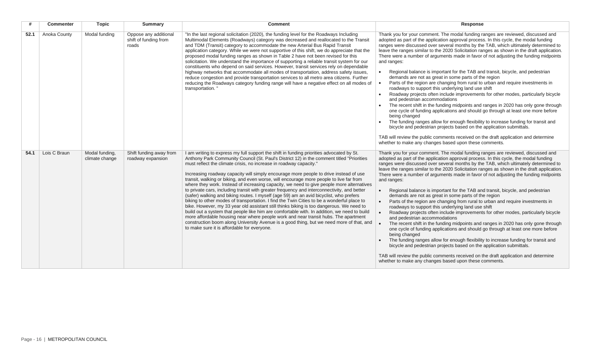| #    | Commenter    | <b>Topic</b>                     | <b>Summary</b>                                          | <b>Comment</b>                                                                                                                                                                                                                                                                                                                                                                                                                                                                                                                                                                                                                                                                                                                                                                                                                                                                                                                                                                                                                                                                                                                                                                                                                                                   | Response                                                                                                                                                                                                                                                                                                                                                                                                                                                                                                                                                                                                                                                                                                                                                                                                                                                                                                                                                                                                                                                                                                                                                                                                                                                                                                                                                                                                  |
|------|--------------|----------------------------------|---------------------------------------------------------|------------------------------------------------------------------------------------------------------------------------------------------------------------------------------------------------------------------------------------------------------------------------------------------------------------------------------------------------------------------------------------------------------------------------------------------------------------------------------------------------------------------------------------------------------------------------------------------------------------------------------------------------------------------------------------------------------------------------------------------------------------------------------------------------------------------------------------------------------------------------------------------------------------------------------------------------------------------------------------------------------------------------------------------------------------------------------------------------------------------------------------------------------------------------------------------------------------------------------------------------------------------|-----------------------------------------------------------------------------------------------------------------------------------------------------------------------------------------------------------------------------------------------------------------------------------------------------------------------------------------------------------------------------------------------------------------------------------------------------------------------------------------------------------------------------------------------------------------------------------------------------------------------------------------------------------------------------------------------------------------------------------------------------------------------------------------------------------------------------------------------------------------------------------------------------------------------------------------------------------------------------------------------------------------------------------------------------------------------------------------------------------------------------------------------------------------------------------------------------------------------------------------------------------------------------------------------------------------------------------------------------------------------------------------------------------|
| 52.1 | Anoka County | Modal funding                    | Oppose any additional<br>shift of funding from<br>roads | "In the last regional solicitation (2020), the funding level for the Roadways Including<br>Multimodal Elements (Roadways) category was decreased and reallocated to the Transit<br>and TDM (Transit) category to accommodate the new Arterial Bus Rapid Transit<br>application category. While we were not supportive of this shift, we do appreciate that the<br>proposed modal funding ranges as shown in Table 2 have not been revised for this<br>solicitation. We understand the importance of supporting a reliable transit system for our<br>constituents who depend on said services. However, transit services rely on dependable<br>highway networks that accommodate all modes of transportation, address safety issues,<br>reduce congestion and provide transportation services to all metro area citizens. Further<br>reducing the Roadways category funding range will have a negative effect on all modes of<br>transportation.'                                                                                                                                                                                                                                                                                                                 | Thank you for your comment. The modal funding ranges are reviewed, discussed and<br>adopted as part of the application approval process. In this cycle, the modal funding<br>ranges were discussed over several months by the TAB, which ultimately determined to<br>leave the ranges similar to the 2020 Solicitation ranges as shown in the draft application.<br>There were a number of arguments made in favor of not adjusting the funding midpoints<br>and ranges:<br>Regional balance is important for the TAB and transit, bicycle, and pedestrian<br>demands are not as great in some parts of the region<br>Parts of the region are changing from rural to urban and require investments in<br>roadways to support this underlying land use shift<br>Roadway projects often include improvements for other modes, particularly bicycle<br>and pedestrian accommodations<br>The recent shift in the funding midpoints and ranges in 2020 has only gone through<br>one cycle of funding applications and should go through at least one more before<br>being changed<br>The funding ranges allow for enough flexibility to increase funding for transit and<br>bicycle and pedestrian projects based on the application submittals.<br>TAB will review the public comments received on the draft application and determine<br>whether to make any changes based upon these comments.              |
| 54.1 | Lois C Braun | Modal funding,<br>climate change | Shift funding away from<br>roadway expansion            | I am writing to express my full support the shift in funding priorities advocated by St.<br>Anthony Park Community Council (St. Paul's District 12) in the comment titled "Priorities<br>must reflect the climate crisis, no increase in roadway capacity."<br>Increasing roadway capacity will simply encourage more people to drive instead of use<br>transit, walking or biking, and even worse, will encourage more people to live far from<br>where they work. Instead of increasing capacity, we need to give people more alternatives<br>to private cars, including transit with greater frequency and interconnectivity, and better<br>(safer) walking and biking routes. I myself (age 59) am an avid bicyclist, who prefers<br>biking to other modes of transportation. I find the Twin Cities to be a wonderful place to<br>bike. However, my 33 year old assistant still thinks biking is too dangerous. We need to<br>build out a system that people like him are comfortable with. In addition, we need to build<br>more affordable housing near where people work and near transit hubs. The apartment<br>construction boom along University Avenue is a good thing, but we need more of that, and<br>to make sure it is affordable for everyone. | Thank you for your comment. The modal funding ranges are reviewed, discussed and<br>adopted as part of the application approval process. In this cycle, the modal funding<br>ranges were discussed over several months by the TAB, which ultimately determined to<br>leave the ranges similar to the 2020 Solicitation ranges as shown in the draft application.<br>There were a number of arguments made in favor of not adjusting the funding midpoints<br>and ranges:<br>Regional balance is important for the TAB and transit, bicycle, and pedestrian<br>demands are not as great in some parts of the region<br>Parts of the region are changing from rural to urban and require investments in<br>$\bullet$<br>roadways to support this underlying land use shift<br>Roadway projects often include improvements for other modes, particularly bicycle<br>and pedestrian accommodations<br>The recent shift in the funding midpoints and ranges in 2020 has only gone through<br>one cycle of funding applications and should go through at least one more before<br>being changed<br>The funding ranges allow for enough flexibility to increase funding for transit and<br>bicycle and pedestrian projects based on the application submittals.<br>TAB will review the public comments received on the draft application and determine<br>whether to make any changes based upon these comments. |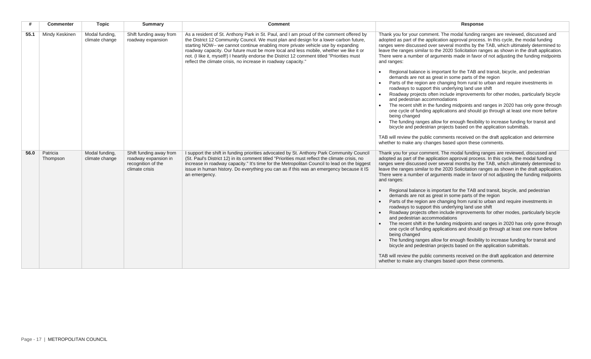| #    | <b>Commenter</b>     | <b>Topic</b>                     | <b>Summary</b>                                                                          | <b>Comment</b>                                                                                                                                                                                                                                                                                                                                                                                                                                                                                                                  | Response                                                                                                                                                                                                                                                                                                                                                                                                                                                                                                                                                                                                                                                                                                                                                                                                                                                                                                                                                                                                                                                                                                                                                                                                                                                                                                                                                                                     |
|------|----------------------|----------------------------------|-----------------------------------------------------------------------------------------|---------------------------------------------------------------------------------------------------------------------------------------------------------------------------------------------------------------------------------------------------------------------------------------------------------------------------------------------------------------------------------------------------------------------------------------------------------------------------------------------------------------------------------|----------------------------------------------------------------------------------------------------------------------------------------------------------------------------------------------------------------------------------------------------------------------------------------------------------------------------------------------------------------------------------------------------------------------------------------------------------------------------------------------------------------------------------------------------------------------------------------------------------------------------------------------------------------------------------------------------------------------------------------------------------------------------------------------------------------------------------------------------------------------------------------------------------------------------------------------------------------------------------------------------------------------------------------------------------------------------------------------------------------------------------------------------------------------------------------------------------------------------------------------------------------------------------------------------------------------------------------------------------------------------------------------|
| 55.1 | Mindy Keskinen       | Modal funding,<br>climate change | Shift funding away from<br>roadway expansion                                            | As a resident of St. Anthony Park in St. Paul, and I am proud of the comment offered by<br>the District 12 Community Council. We must plan and design for a lower-carbon future,<br>starting NOW-- we cannot continue enabling more private vehicle use by expanding<br>roadway capacity. Our future must be more local and less mobile, whether we like it or<br>not. (I like it, myself!) I heartily endorse the District 12 comment titled "Priorities must<br>reflect the climate crisis, no increase in roadway capacity." | Thank you for your comment. The modal funding ranges are reviewed, discussed and<br>adopted as part of the application approval process. In this cycle, the modal funding<br>ranges were discussed over several months by the TAB, which ultimately determined to<br>leave the ranges similar to the 2020 Solicitation ranges as shown in the draft application.<br>There were a number of arguments made in favor of not adjusting the funding midpoints<br>and ranges:<br>Regional balance is important for the TAB and transit, bicycle, and pedestrian<br>demands are not as great in some parts of the region<br>Parts of the region are changing from rural to urban and require investments in<br>roadways to support this underlying land use shift<br>Roadway projects often include improvements for other modes, particularly bicycle<br>and pedestrian accommodations<br>The recent shift in the funding midpoints and ranges in 2020 has only gone through                                                                                                                                                                                                                                                                                                                                                                                                                      |
|      |                      |                                  |                                                                                         |                                                                                                                                                                                                                                                                                                                                                                                                                                                                                                                                 | one cycle of funding applications and should go through at least one more before<br>being changed<br>The funding ranges allow for enough flexibility to increase funding for transit and<br>bicycle and pedestrian projects based on the application submittals.<br>TAB will review the public comments received on the draft application and determine<br>whether to make any changes based upon these comments.                                                                                                                                                                                                                                                                                                                                                                                                                                                                                                                                                                                                                                                                                                                                                                                                                                                                                                                                                                            |
| 56.0 | Patricia<br>Thompson | Modal funding,<br>climate change | Shift funding away from<br>roadway expansion in<br>recognition of the<br>climate crisis | I support the shift in funding priorities advocated by St. Anthony Park Community Council<br>(St. Paul's District 12) in its comment titled "Priorities must reflect the climate crisis, no<br>increase in roadway capacity." It's time for the Metropolitan Council to lead on the biggest<br>issue in human history. Do everything you can as if this was an emergency because it IS<br>an emergency.                                                                                                                         | Thank you for your comment. The modal funding ranges are reviewed, discussed and<br>adopted as part of the application approval process. In this cycle, the modal funding<br>ranges were discussed over several months by the TAB, which ultimately determined to<br>leave the ranges similar to the 2020 Solicitation ranges as shown in the draft application.<br>There were a number of arguments made in favor of not adjusting the funding midpoints<br>and ranges:<br>Regional balance is important for the TAB and transit, bicycle, and pedestrian<br>demands are not as great in some parts of the region<br>Parts of the region are changing from rural to urban and require investments in<br>roadways to support this underlying land use shift<br>Roadway projects often include improvements for other modes, particularly bicycle<br>and pedestrian accommodations<br>The recent shift in the funding midpoints and ranges in 2020 has only gone through<br>one cycle of funding applications and should go through at least one more before<br>being changed<br>The funding ranges allow for enough flexibility to increase funding for transit and<br>bicycle and pedestrian projects based on the application submittals.<br>TAB will review the public comments received on the draft application and determine<br>whether to make any changes based upon these comments. |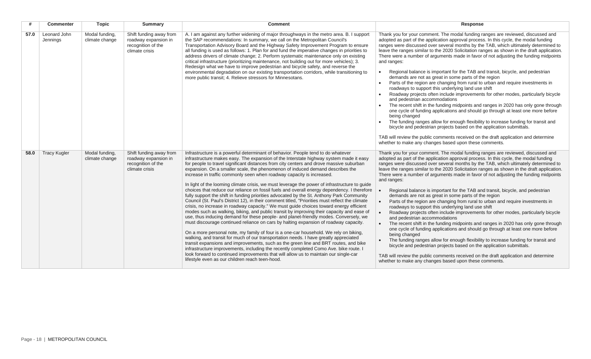| #    | <b>Commenter</b>         | <b>Topic</b>                     | <b>Summary</b>                                                                          | <b>Comment</b>                                                                                                                                                                                                                                                                                                                                                                                                                                                                                                                                                                                                                                                                                                                                                                                                                                                                                                                                                                                                                                                                                                                                                                                                                                                                                                                                                                                                                                                                                                                                                                                                                                                                                                         | Response                                                                                                                                                                                                                                                                                                                                                                                                                                                                                                                                                                                                                                                                                                                                                                                                                                                                                                                                                                                                                                                                                                                                                                                                                                                                                                                                                                                                  |
|------|--------------------------|----------------------------------|-----------------------------------------------------------------------------------------|------------------------------------------------------------------------------------------------------------------------------------------------------------------------------------------------------------------------------------------------------------------------------------------------------------------------------------------------------------------------------------------------------------------------------------------------------------------------------------------------------------------------------------------------------------------------------------------------------------------------------------------------------------------------------------------------------------------------------------------------------------------------------------------------------------------------------------------------------------------------------------------------------------------------------------------------------------------------------------------------------------------------------------------------------------------------------------------------------------------------------------------------------------------------------------------------------------------------------------------------------------------------------------------------------------------------------------------------------------------------------------------------------------------------------------------------------------------------------------------------------------------------------------------------------------------------------------------------------------------------------------------------------------------------------------------------------------------------|-----------------------------------------------------------------------------------------------------------------------------------------------------------------------------------------------------------------------------------------------------------------------------------------------------------------------------------------------------------------------------------------------------------------------------------------------------------------------------------------------------------------------------------------------------------------------------------------------------------------------------------------------------------------------------------------------------------------------------------------------------------------------------------------------------------------------------------------------------------------------------------------------------------------------------------------------------------------------------------------------------------------------------------------------------------------------------------------------------------------------------------------------------------------------------------------------------------------------------------------------------------------------------------------------------------------------------------------------------------------------------------------------------------|
| 57.0 | Leonard John<br>Jennings | Modal funding,<br>climate change | Shift funding away from<br>roadway expansion in<br>recognition of the<br>climate crisis | A. I am against any further widening of major throughways in the metro area. B. I support<br>the SAP recommendations: In summary, we call on the Metropolitan Council's<br>Transportation Advisory Board and the Highway Safety Improvement Program to ensure<br>all funding is used as follows: 1. Plan for and fund the imperative changes in priorities to<br>address drivers of climate change; 2. Perform systematic maintenance only on existing<br>critical infrastructure (prioritizing maintenance, not building out for more vehicles); 3.<br>Redesign what we have to improve pedestrian and bicycle safety, and reverse the<br>environmental degradation on our existing transportation corridors, while transitioning to<br>more public transit; 4. Relieve stressors for Minnesotans.                                                                                                                                                                                                                                                                                                                                                                                                                                                                                                                                                                                                                                                                                                                                                                                                                                                                                                                    | Thank you for your comment. The modal funding ranges are reviewed, discussed and<br>adopted as part of the application approval process. In this cycle, the modal funding<br>ranges were discussed over several months by the TAB, which ultimately determined to<br>leave the ranges similar to the 2020 Solicitation ranges as shown in the draft application.<br>There were a number of arguments made in favor of not adjusting the funding midpoints<br>and ranges:<br>Regional balance is important for the TAB and transit, bicycle, and pedestrian<br>$\bullet$<br>demands are not as great in some parts of the region<br>Parts of the region are changing from rural to urban and require investments in<br>roadways to support this underlying land use shift<br>Roadway projects often include improvements for other modes, particularly bicycle<br>and pedestrian accommodations<br>The recent shift in the funding midpoints and ranges in 2020 has only gone through<br>one cycle of funding applications and should go through at least one more before<br>being changed<br>The funding ranges allow for enough flexibility to increase funding for transit and<br>bicycle and pedestrian projects based on the application submittals.<br>TAB will review the public comments received on the draft application and determine<br>whether to make any changes based upon these comments. |
| 58.0 | <b>Tracy Kugler</b>      | Modal funding,<br>climate change | Shift funding away from<br>roadway expansion in<br>recognition of the<br>climate crisis | Infrastructure is a powerful determinant of behavior. People tend to do whatever<br>infrastructure makes easy. The expansion of the Interstate highway system made it easy<br>for people to travel significant distances from city centers and drove massive suburban<br>expansion. On a smaller scale, the phenomenon of induced demand describes the<br>increase in traffic commonly seen when roadway capacity is increased.<br>In light of the looming climate crisis, we must leverage the power of infrastructure to guide<br>choices that reduce our reliance on fossil fuels and overall energy dependency. I therefore<br>fully support the shift in funding priorities advocated by the St. Anthony Park Community<br>Council (St. Paul's District 12), in their comment titled, "Priorities must reflect the climate<br>crisis, no increase in roadway capacity." We must guide choices toward energy efficient<br>modes such as walking, biking, and public transit by improving their capacity and ease of<br>use, thus inducing demand for these people- and planet-friendly modes. Conversely, we<br>must discourage continued reliance on cars by halting expansion of roadway capacity.<br>On a more personal note, my family of four is a one-car household. We rely on biking,<br>walking, and transit for much of our transportation needs. I have greatly appreciated<br>transit expansions and improvements, such as the green line and BRT routes, and bike<br>infrastructure improvements, including the recently completed Como Ave. bike route. I<br>look forward to continued improvements that will allow us to maintain our single-car<br>lifestyle even as our children reach teen-hood. | Thank you for your comment. The modal funding ranges are reviewed, discussed and<br>adopted as part of the application approval process. In this cycle, the modal funding<br>ranges were discussed over several months by the TAB, which ultimately determined to<br>leave the ranges similar to the 2020 Solicitation ranges as shown in the draft application.<br>There were a number of arguments made in favor of not adjusting the funding midpoints<br>and ranges:<br>Regional balance is important for the TAB and transit, bicycle, and pedestrian<br>demands are not as great in some parts of the region<br>Parts of the region are changing from rural to urban and require investments in<br>roadways to support this underlying land use shift<br>Roadway projects often include improvements for other modes, particularly bicycle<br>and pedestrian accommodations<br>The recent shift in the funding midpoints and ranges in 2020 has only gone through<br>one cycle of funding applications and should go through at least one more before<br>being changed<br>The funding ranges allow for enough flexibility to increase funding for transit and<br>bicycle and pedestrian projects based on the application submittals.<br>TAB will review the public comments received on the draft application and determine<br>whether to make any changes based upon these comments.              |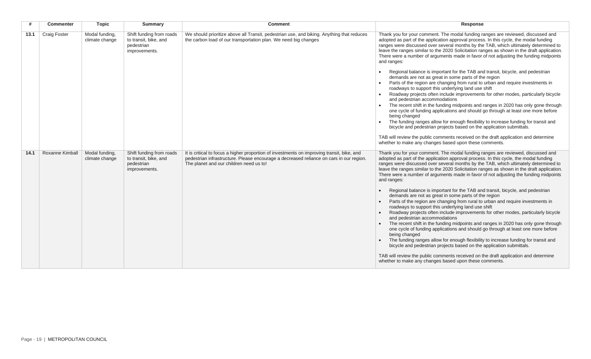|      | <b>Commenter</b>       | <b>Topic</b>                     | <b>Summary</b>                                                                   | <b>Comment</b>                                                                                                                                                                                                                   | Response                                                                                                                                                                                                                                                                                                                                                                                                                                                                                                                                                                                                                                                                                                                                                                                                                                                                                                                                                                                                                                                                                                                                                                                                                                                                                                                                                                                     |
|------|------------------------|----------------------------------|----------------------------------------------------------------------------------|----------------------------------------------------------------------------------------------------------------------------------------------------------------------------------------------------------------------------------|----------------------------------------------------------------------------------------------------------------------------------------------------------------------------------------------------------------------------------------------------------------------------------------------------------------------------------------------------------------------------------------------------------------------------------------------------------------------------------------------------------------------------------------------------------------------------------------------------------------------------------------------------------------------------------------------------------------------------------------------------------------------------------------------------------------------------------------------------------------------------------------------------------------------------------------------------------------------------------------------------------------------------------------------------------------------------------------------------------------------------------------------------------------------------------------------------------------------------------------------------------------------------------------------------------------------------------------------------------------------------------------------|
| 13.1 | <b>Craig Foster</b>    | Modal funding,<br>climate change | Shift funding from roads<br>to transit, bike, and<br>pedestrian<br>improvements. | We should prioritize above all Transit, pedestrian use, and biking. Anything that reduces<br>the carbon load of our transportation plan. We need big changes                                                                     | Thank you for your comment. The modal funding ranges are reviewed, discussed and<br>adopted as part of the application approval process. In this cycle, the modal funding<br>ranges were discussed over several months by the TAB, which ultimately determined to<br>leave the ranges similar to the 2020 Solicitation ranges as shown in the draft application.<br>There were a number of arguments made in favor of not adjusting the funding midpoints<br>and ranges:<br>Regional balance is important for the TAB and transit, bicycle, and pedestrian<br>demands are not as great in some parts of the region<br>Parts of the region are changing from rural to urban and require investments in<br>roadways to support this underlying land use shift<br>Roadway projects often include improvements for other modes, particularly bicycle<br>and pedestrian accommodations<br>The recent shift in the funding midpoints and ranges in 2020 has only gone through<br>one cycle of funding applications and should go through at least one more before<br>being changed<br>The funding ranges allow for enough flexibility to increase funding for transit and<br>bicycle and pedestrian projects based on the application submittals.<br>TAB will review the public comments received on the draft application and determine<br>whether to make any changes based upon these comments. |
| 14.1 | <b>Roxanne Kimball</b> | Modal funding,<br>climate change | Shift funding from roads<br>to transit, bike, and<br>pedestrian<br>improvements. | It is critical to focus a higher proportion of investments on improving transit, bike, and<br>pedestrian infrastructure. Please encourage a decreased reliance on cars in our region.<br>The planet and our children need us to! | Thank you for your comment. The modal funding ranges are reviewed, discussed and<br>adopted as part of the application approval process. In this cycle, the modal funding<br>ranges were discussed over several months by the TAB, which ultimately determined to<br>leave the ranges similar to the 2020 Solicitation ranges as shown in the draft application.<br>There were a number of arguments made in favor of not adjusting the funding midpoints<br>and ranges:<br>Regional balance is important for the TAB and transit, bicycle, and pedestrian<br>demands are not as great in some parts of the region<br>Parts of the region are changing from rural to urban and require investments in<br>roadways to support this underlying land use shift<br>Roadway projects often include improvements for other modes, particularly bicycle<br>and pedestrian accommodations<br>The recent shift in the funding midpoints and ranges in 2020 has only gone through<br>one cycle of funding applications and should go through at least one more before<br>being changed<br>The funding ranges allow for enough flexibility to increase funding for transit and<br>bicycle and pedestrian projects based on the application submittals.<br>TAB will review the public comments received on the draft application and determine<br>whether to make any changes based upon these comments. |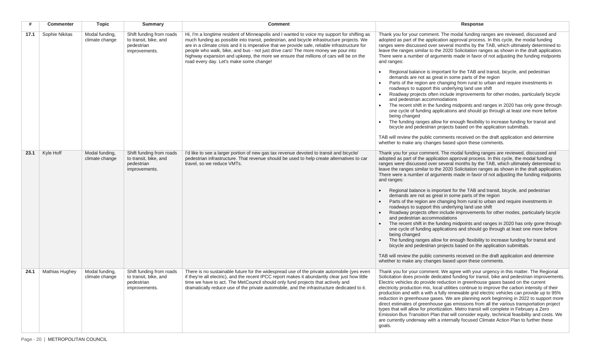|      | <b>Commenter</b> | <b>Topic</b>                     | <b>Summary</b>                                                                   | <b>Comment</b>                                                                                                                                                                                                                                                                                                                                                                                                                                                                                                       | Response                                                                                                                                                                                                                                                                                                                                                                                                                                                                                                                                                                                                                                                                                                                                                                                                                                                                                                                                                                                                                                                                                                                                                                                                                                                                                                                                                                                     |
|------|------------------|----------------------------------|----------------------------------------------------------------------------------|----------------------------------------------------------------------------------------------------------------------------------------------------------------------------------------------------------------------------------------------------------------------------------------------------------------------------------------------------------------------------------------------------------------------------------------------------------------------------------------------------------------------|----------------------------------------------------------------------------------------------------------------------------------------------------------------------------------------------------------------------------------------------------------------------------------------------------------------------------------------------------------------------------------------------------------------------------------------------------------------------------------------------------------------------------------------------------------------------------------------------------------------------------------------------------------------------------------------------------------------------------------------------------------------------------------------------------------------------------------------------------------------------------------------------------------------------------------------------------------------------------------------------------------------------------------------------------------------------------------------------------------------------------------------------------------------------------------------------------------------------------------------------------------------------------------------------------------------------------------------------------------------------------------------------|
| 17.1 | Sophie Nikitas   | Modal funding,<br>climate change | Shift funding from roads<br>to transit, bike, and<br>pedestrian<br>improvements. | Hi, I'm a longtime resident of Minneapolis and I wanted to voice my support for shifting as<br>much funding as possible into transit, pedestrian, and bicycle infrastructure projects. We<br>are in a climate crisis and it is imperative that we provide safe, reliable infrastructure for<br>people who walk, bike, and bus - not just drive cars! The more money we pour into<br>highway expansion and upkeep, the more we ensure that millions of cars will be on the<br>road every day. Let's make some change! | Thank you for your comment. The modal funding ranges are reviewed, discussed and<br>adopted as part of the application approval process. In this cycle, the modal funding<br>ranges were discussed over several months by the TAB, which ultimately determined to<br>leave the ranges similar to the 2020 Solicitation ranges as shown in the draft application.<br>There were a number of arguments made in favor of not adjusting the funding midpoints<br>and ranges:<br>Regional balance is important for the TAB and transit, bicycle, and pedestrian<br>demands are not as great in some parts of the region<br>Parts of the region are changing from rural to urban and require investments in<br>roadways to support this underlying land use shift<br>Roadway projects often include improvements for other modes, particularly bicycle<br>and pedestrian accommodations<br>The recent shift in the funding midpoints and ranges in 2020 has only gone through<br>one cycle of funding applications and should go through at least one more before<br>being changed<br>The funding ranges allow for enough flexibility to increase funding for transit and<br>bicycle and pedestrian projects based on the application submittals.<br>TAB will review the public comments received on the draft application and determine<br>whether to make any changes based upon these comments. |
| 23.1 | Kyle Hoff        | Modal funding.<br>climate change | Shift funding from roads<br>to transit, bike, and<br>pedestrian<br>improvements. | I'd like to see a larger portion of new gas tax revenue devoted to transit and bicycle/<br>pedestrian infrastructure. That revenue should be used to help create alternatives to car<br>travel, so we reduce VMTs.                                                                                                                                                                                                                                                                                                   | Thank you for your comment. The modal funding ranges are reviewed, discussed and<br>adopted as part of the application approval process. In this cycle, the modal funding<br>ranges were discussed over several months by the TAB, which ultimately determined to<br>leave the ranges similar to the 2020 Solicitation ranges as shown in the draft application.<br>There were a number of arguments made in favor of not adjusting the funding midpoints<br>and ranges:<br>Regional balance is important for the TAB and transit, bicycle, and pedestrian<br>demands are not as great in some parts of the region<br>Parts of the region are changing from rural to urban and require investments in<br>roadways to support this underlying land use shift<br>Roadway projects often include improvements for other modes, particularly bicycle<br>and pedestrian accommodations<br>The recent shift in the funding midpoints and ranges in 2020 has only gone through<br>one cycle of funding applications and should go through at least one more before<br>being changed<br>The funding ranges allow for enough flexibility to increase funding for transit and<br>bicycle and pedestrian projects based on the application submittals.<br>TAB will review the public comments received on the draft application and determine<br>whether to make any changes based upon these comments. |
| 24.1 | Mathias Hughey   | Modal funding,<br>climate change | Shift funding from roads<br>to transit, bike, and<br>pedestrian<br>improvements. | There is no sustainable future for the widespread use of the private automobile (yes even<br>if they're all electric), and the recent IPCC report makes it abundantly clear just how little<br>time we have to act. The MetCouncil should only fund projects that actively and<br>dramatically reduce use of the private automobile, and the infrastructure dedicated to it.                                                                                                                                         | Thank you for your comment. We agree with your urgency in this matter. The Regional<br>Solicitation does provide dedicated funding for transit, bike and pedestrian improvements.<br>Electric vehicles do provide reduction in greenhouse gases based on the current<br>electricity production mix, local utilities continue to improve the carbon intensity of their<br>production and with a with a fully renewable grid electric vehicles can provide up to 95%<br>reduction in greenhouse gases. We are planning work beginning in 2022 to support more<br>direct estimates of greenhouse gas emissions from all the various transportation project<br>types that will allow for prioritization. Metro transit will complete in February a Zero<br>Emission Bus Transition Plan that will consider equity, technical feasibility and costs. We<br>are currently underway with a internally focused Climate Action Plan to further these<br>goals.                                                                                                                                                                                                                                                                                                                                                                                                                                        |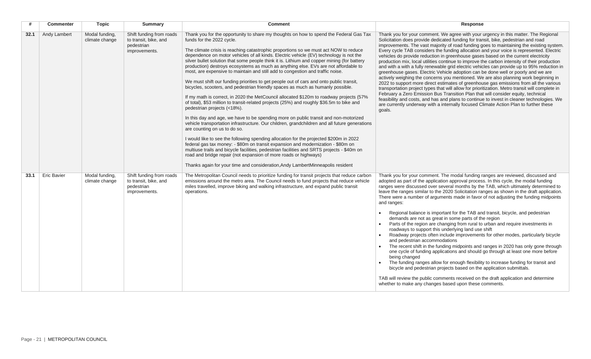| #    | <b>Commenter</b>   | <b>Topic</b>                     | <b>Summary</b>                                                                   | <b>Comment</b>                                                                                                                                                                                                                                                                                                                                                                                                                                                                                                                                                                                                                                                                                                                                                                                                                                                                                                                                                                                                                                                                                                                                                                                                                                                                                                                                                                                                                                                                                                                                                                                                                                | Response                                                                                                                                                                                                                                                                                                                                                                                                                                                                                                                                                                                                                                                                                                                                                                                                                                                                                                                                                                                                                                                                                                                                                                                                                                                                                                                                                                                     |
|------|--------------------|----------------------------------|----------------------------------------------------------------------------------|-----------------------------------------------------------------------------------------------------------------------------------------------------------------------------------------------------------------------------------------------------------------------------------------------------------------------------------------------------------------------------------------------------------------------------------------------------------------------------------------------------------------------------------------------------------------------------------------------------------------------------------------------------------------------------------------------------------------------------------------------------------------------------------------------------------------------------------------------------------------------------------------------------------------------------------------------------------------------------------------------------------------------------------------------------------------------------------------------------------------------------------------------------------------------------------------------------------------------------------------------------------------------------------------------------------------------------------------------------------------------------------------------------------------------------------------------------------------------------------------------------------------------------------------------------------------------------------------------------------------------------------------------|----------------------------------------------------------------------------------------------------------------------------------------------------------------------------------------------------------------------------------------------------------------------------------------------------------------------------------------------------------------------------------------------------------------------------------------------------------------------------------------------------------------------------------------------------------------------------------------------------------------------------------------------------------------------------------------------------------------------------------------------------------------------------------------------------------------------------------------------------------------------------------------------------------------------------------------------------------------------------------------------------------------------------------------------------------------------------------------------------------------------------------------------------------------------------------------------------------------------------------------------------------------------------------------------------------------------------------------------------------------------------------------------|
| 32.1 | Andy Lambert       | Modal funding,<br>climate change | Shift funding from roads<br>to transit, bike, and<br>pedestrian<br>improvements. | Thank you for the opportunity to share my thoughts on how to spend the Federal Gas Tax<br>funds for the 2022 cycle.<br>The climate crisis is reaching catastrophic proportions so we must act NOW to reduce<br>dependence on motor vehicles of all kinds. Electric vehicle (EV) technology is not the<br>silver bullet solution that some people think it is. Lithium and copper mining (for battery<br>production) destroys ecosystems as much as anything else. EVs are not affordable to<br>most, are expensive to maintain and still add to congestion and traffic noise.<br>We must shift our funding priorities to get people out of cars and onto public transit,<br>bicycles, scooters, and pedestrian friendly spaces as much as humanly possible.<br>If my math is correct, in 2020 the MetCouncil allocated \$120m to roadway projects (57%<br>of total), \$53 million to transit-related projects (25%) and roughly \$36.5m to bike and<br>pedestrian projects (<18%).<br>In this day and age, we have to be spending more on public transit and non-motorized<br>vehicle transportation infrastructure. Our children, grandchildren and all future generations<br>are counting on us to do so.<br>I would like to see the following spending allocation for the projected \$200m in 2022<br>federal gas tax money: - \$80m on transit expansion and modernization - \$80m on<br>multiuse trails and bicycle facilities, pedestrian facilities and SRTS projects - \$40m on<br>road and bridge repair (not expansion of more roads or highways)<br>Thanks again for your time and consideration, Andy LambertMinneapolis resident | Thank you for your comment. We agree with your urgency in this matter. The Regional<br>Solicitation does provide dedicated funding for transit, bike, pedestrian and road<br>improvements. The vast majority of road funding goes to maintaining the existing system.<br>Every cycle TAB considers the funding allocation and your voice is represented. Electric<br>vehicles do provide reduction in greenhouse gases based on the current electricity<br>production mix, local utilities continue to improve the carbon intensity of their production<br>and with a with a fully renewable grid electric vehicles can provide up to 95% reduction in<br>greenhouse gases. Electric Vehicle adoption can be done well or poorly and we are<br>actively weighing the concerns you mentioned. We are also planning work beginning in<br>2022 to support more direct estimates of greenhouse gas emissions from all the various<br>transportation project types that will allow for prioritization. Metro transit will complete in<br>February a Zero Emission Bus Transition Plan that will consider equity, technical<br>feasibility and costs, and has and plans to continue to invest in cleaner technologies. We<br>are currently underway with a internally focused Climate Action Plan to further these<br>goals.                                                                       |
| 33.1 | <b>Eric Bavier</b> | Modal funding,<br>climate change | Shift funding from roads<br>to transit, bike, and<br>pedestrian<br>improvements. | The Metropolitan Council needs to prioritize funding for transit projects that reduce carbon<br>emissions around the metro area. The Council needs to fund projects that reduce vehicle<br>miles travelled, improve biking and walking infrastructure, and expand public transit<br>operations.                                                                                                                                                                                                                                                                                                                                                                                                                                                                                                                                                                                                                                                                                                                                                                                                                                                                                                                                                                                                                                                                                                                                                                                                                                                                                                                                               | Thank you for your comment. The modal funding ranges are reviewed, discussed and<br>adopted as part of the application approval process. In this cycle, the modal funding<br>ranges were discussed over several months by the TAB, which ultimately determined to<br>leave the ranges similar to the 2020 Solicitation ranges as shown in the draft application.<br>There were a number of arguments made in favor of not adjusting the funding midpoints<br>and ranges:<br>Regional balance is important for the TAB and transit, bicycle, and pedestrian<br>demands are not as great in some parts of the region<br>Parts of the region are changing from rural to urban and require investments in<br>roadways to support this underlying land use shift<br>Roadway projects often include improvements for other modes, particularly bicycle<br>and pedestrian accommodations<br>The recent shift in the funding midpoints and ranges in 2020 has only gone through<br>one cycle of funding applications and should go through at least one more before<br>being changed<br>The funding ranges allow for enough flexibility to increase funding for transit and<br>bicycle and pedestrian projects based on the application submittals.<br>TAB will review the public comments received on the draft application and determine<br>whether to make any changes based upon these comments. |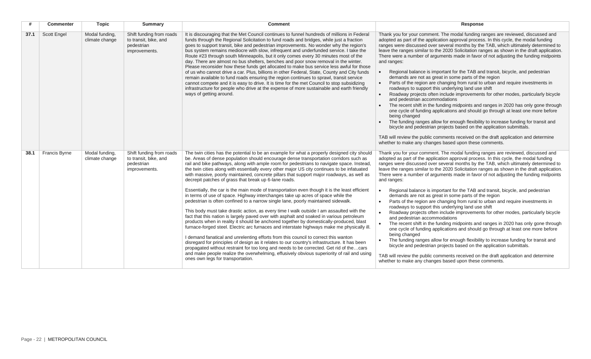|      | <b>Commenter</b>     | <b>Topic</b>                     | <b>Summary</b>                                                                   | <b>Comment</b>                                                                                                                                                                                                                                                                                                                                                                                                                                                                                                                                                                                                                                                                                                                                                                                                                                                                                                                                                                                                                                                                                                                                                                                                                                                                                                                                                                                                                                                                                                                                                                                                          | Response                                                                                                                                                                                                                                                                                                                                                                                                                                                                                                                                                                                                                                                                                                                                                                                                                                                                                                                                                                                                                                                                                                                                                                                                                                                                                                                                                                                                  |
|------|----------------------|----------------------------------|----------------------------------------------------------------------------------|-------------------------------------------------------------------------------------------------------------------------------------------------------------------------------------------------------------------------------------------------------------------------------------------------------------------------------------------------------------------------------------------------------------------------------------------------------------------------------------------------------------------------------------------------------------------------------------------------------------------------------------------------------------------------------------------------------------------------------------------------------------------------------------------------------------------------------------------------------------------------------------------------------------------------------------------------------------------------------------------------------------------------------------------------------------------------------------------------------------------------------------------------------------------------------------------------------------------------------------------------------------------------------------------------------------------------------------------------------------------------------------------------------------------------------------------------------------------------------------------------------------------------------------------------------------------------------------------------------------------------|-----------------------------------------------------------------------------------------------------------------------------------------------------------------------------------------------------------------------------------------------------------------------------------------------------------------------------------------------------------------------------------------------------------------------------------------------------------------------------------------------------------------------------------------------------------------------------------------------------------------------------------------------------------------------------------------------------------------------------------------------------------------------------------------------------------------------------------------------------------------------------------------------------------------------------------------------------------------------------------------------------------------------------------------------------------------------------------------------------------------------------------------------------------------------------------------------------------------------------------------------------------------------------------------------------------------------------------------------------------------------------------------------------------|
| 37.1 | <b>Scott Engel</b>   | Modal funding,<br>climate change | Shift funding from roads<br>to transit, bike, and<br>pedestrian<br>improvements. | It is discouraging that the Met Council continues to funnel hundreds of millions in Federal<br>funds through the Regional Solicitation to fund roads and bridges, while just a fraction<br>goes to support transit, bike and pedestrian improvements. No wonder why the region's<br>bus system remains mediocre with slow, infrequent and underfunded service. I take the<br>Route #23 through south Minneapolis, but it only comes every 30 minutes most of the<br>day. There are almost no bus shelters, benches and poor snow removal in the winter.<br>Please reconsider how these funds get allocated to make bus service less awful for those<br>of us who cannot drive a car. Plus, billions in other Federal, State, County and City funds<br>remain available to fund roads ensuring the region continues to sprawl, transit service<br>cannot compete and it is easy to drive. It is time for the met Council to stop subsidizing<br>infrastructure for people who drive at the expense of more sustainable and earth friendly<br>ways of getting around.                                                                                                                                                                                                                                                                                                                                                                                                                                                                                                                                                     | Thank you for your comment. The modal funding ranges are reviewed, discussed and<br>adopted as part of the application approval process. In this cycle, the modal funding<br>ranges were discussed over several months by the TAB, which ultimately determined to<br>leave the ranges similar to the 2020 Solicitation ranges as shown in the draft application.<br>There were a number of arguments made in favor of not adjusting the funding midpoints<br>and ranges:<br>Regional balance is important for the TAB and transit, bicycle, and pedestrian<br>demands are not as great in some parts of the region<br>Parts of the region are changing from rural to urban and require investments in<br>roadways to support this underlying land use shift<br>Roadway projects often include improvements for other modes, particularly bicycle<br>and pedestrian accommodations<br>The recent shift in the funding midpoints and ranges in 2020 has only gone through<br>one cycle of funding applications and should go through at least one more before<br>being changed<br>The funding ranges allow for enough flexibility to increase funding for transit and<br>bicycle and pedestrian projects based on the application submittals.<br>TAB will review the public comments received on the draft application and determine<br>whether to make any changes based upon these comments.              |
| 38.1 | <b>Francis Byrne</b> | Modal funding,<br>climate change | Shift funding from roads<br>to transit, bike, and<br>pedestrian<br>improvements. | The twin cities has the potential to be an example for what a properly designed city should<br>be. Areas of dense population should encourage dense transportation corridors such as<br>rail and bike pathways, along with ample room for pedestrians to navigate space. Instead,<br>the twin cities along with essentially every other major US city continues to be infatuated<br>with massive, poorly maintained, concrete pillars that support major roadways, as well as<br>decrepit patches of grass that break up 6-lane roads.<br>Essentially, the car is the main mode of transportation even though it is the least efficient<br>in terms of use of space. Highway interchanges take up acres of space while the<br>pedestrian is often confined to a narrow single lane, poorly maintained sidewalk.<br>This body must take drastic action, as every time I walk outside I am assaulted with the<br>fact that this nation is largely paved over with asphalt and soaked in various petroleum<br>products when in reality it should be anchored together by domestically-produced, blast<br>furnace-forged steel. Electric arc furnaces and interstate highways make me physically ill.<br>I demand fanatical and unrelenting efforts from this council to correct this wanton<br>disregard for principles of design as it relates to our country's infrastructure. It has been<br>propagated without restraint for too long and needs to be corrected. Get rid of thecars<br>and make people realize the overwhelming, effusively obvious superiority of rail and using<br>ones own legs for transportation. | Thank you for your comment. The modal funding ranges are reviewed, discussed and<br>adopted as part of the application approval process. In this cycle, the modal funding<br>ranges were discussed over several months by the TAB, which ultimately determined to<br>leave the ranges similar to the 2020 Solicitation ranges as shown in the draft application.<br>There were a number of arguments made in favor of not adjusting the funding midpoints<br>and ranges:<br>Regional balance is important for the TAB and transit, bicycle, and pedestrian<br>demands are not as great in some parts of the region<br>Parts of the region are changing from rural to urban and require investments in<br>roadways to support this underlying land use shift<br>Roadway projects often include improvements for other modes, particularly bicycle<br>and pedestrian accommodations<br>The recent shift in the funding midpoints and ranges in 2020 has only gone through<br>one cycle of funding applications and should go through at least one more before<br>being changed<br>The funding ranges allow for enough flexibility to increase funding for transit and<br>$\bullet$<br>bicycle and pedestrian projects based on the application submittals.<br>TAB will review the public comments received on the draft application and determine<br>whether to make any changes based upon these comments. |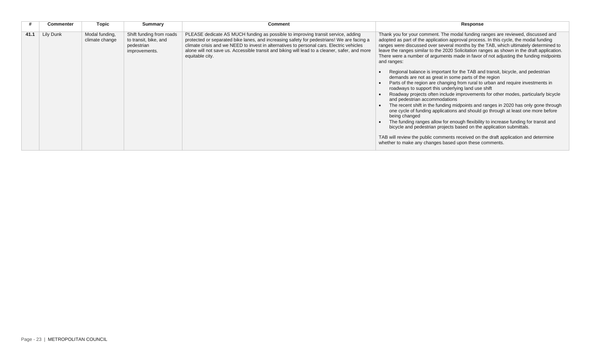|      | <b>Commenter</b> | Topic                            | <b>Summary</b>                                                                   | <b>Comment</b>                                                                                                                                                                                                                                                                                                                                                                                | Response                                                                                                                                                                                                                                                                                                                                                                                                                                                                                                                                                                                                                                                                                                                                                                                                                                                                                                                                                                                                                                                                                                                                                                                                                                                                                                                                                                                     |
|------|------------------|----------------------------------|----------------------------------------------------------------------------------|-----------------------------------------------------------------------------------------------------------------------------------------------------------------------------------------------------------------------------------------------------------------------------------------------------------------------------------------------------------------------------------------------|----------------------------------------------------------------------------------------------------------------------------------------------------------------------------------------------------------------------------------------------------------------------------------------------------------------------------------------------------------------------------------------------------------------------------------------------------------------------------------------------------------------------------------------------------------------------------------------------------------------------------------------------------------------------------------------------------------------------------------------------------------------------------------------------------------------------------------------------------------------------------------------------------------------------------------------------------------------------------------------------------------------------------------------------------------------------------------------------------------------------------------------------------------------------------------------------------------------------------------------------------------------------------------------------------------------------------------------------------------------------------------------------|
| 41.1 | Lily Dunk        | Modal funding,<br>climate change | Shift funding from roads<br>to transit, bike, and<br>pedestrian<br>improvements. | PLEASE dedicate AS MUCH funding as possible to improving transit service, adding<br>protected or separated bike lanes, and increasing safety for pedestrians! We are facing a<br>climate crisis and we NEED to invest in alternatives to personal cars. Electric vehicles<br>alone will not save us. Accessible transit and biking will lead to a cleaner, safer, and more<br>equitable city. | Thank you for your comment. The modal funding ranges are reviewed, discussed and<br>adopted as part of the application approval process. In this cycle, the modal funding<br>ranges were discussed over several months by the TAB, which ultimately determined to<br>leave the ranges similar to the 2020 Solicitation ranges as shown in the draft application.<br>There were a number of arguments made in favor of not adjusting the funding midpoints<br>and ranges:<br>Regional balance is important for the TAB and transit, bicycle, and pedestrian<br>demands are not as great in some parts of the region<br>Parts of the region are changing from rural to urban and require investments in<br>roadways to support this underlying land use shift<br>Roadway projects often include improvements for other modes, particularly bicycle<br>and pedestrian accommodations<br>The recent shift in the funding midpoints and ranges in 2020 has only gone through<br>one cycle of funding applications and should go through at least one more before<br>being changed<br>The funding ranges allow for enough flexibility to increase funding for transit and<br>bicycle and pedestrian projects based on the application submittals.<br>TAB will review the public comments received on the draft application and determine<br>whether to make any changes based upon these comments. |
|      |                  |                                  |                                                                                  |                                                                                                                                                                                                                                                                                                                                                                                               |                                                                                                                                                                                                                                                                                                                                                                                                                                                                                                                                                                                                                                                                                                                                                                                                                                                                                                                                                                                                                                                                                                                                                                                                                                                                                                                                                                                              |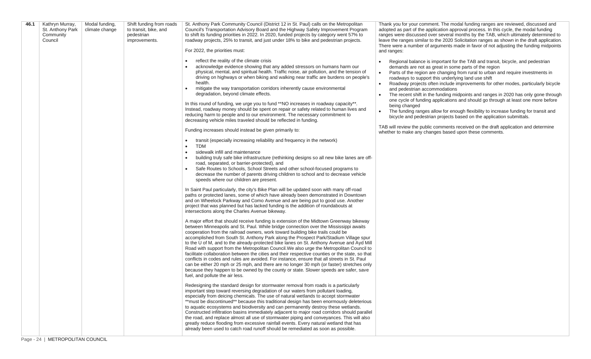| 46.1 | Kathryn Murray,<br>St. Anthony Park<br>Community<br>Council | Modal funding,<br>climate change | Shift funding from roads<br>to transit, bike, and<br>pedestrian<br>improvements. | St. Anthony Park Community Council (District 12 in St. Paul) calls on the Metropolitan<br>Council's Transportation Advisory Board and the Highway Safety Improvement Program<br>to shift its funding priorities in 2022. In 2020, funded projects by category went 57% to<br>roadway projects, 25% to transit, and just under 18% to bike and pedestrian projects.<br>For 2022, the priorities must:<br>reflect the reality of the climate crisis<br>acknowledge evidence showing that any added stressors on humans harm our<br>physical, mental, and spiritual health. Traffic noise, air pollution, and the tension of<br>driving on highways or when biking and walking near traffic are burdens on people's<br>health.<br>mitigate the way transportation corridors inherently cause environmental<br>$\bullet$<br>degradation, beyond climate effects.<br>In this round of funding, we urge you to fund **NO increases in roadway capacity**.<br>Instead, roadway money should be spent on repair or safety related to human lives and<br>reducing harm to people and to our environment. The necessary commitment to<br>decreasing vehicle miles traveled should be reflected in funding.<br>Funding increases should instead be given primarily to:<br>transit (especially increasing reliability and frequency in the network)<br>$\bullet$<br><b>TDM</b><br>$\bullet$<br>sidewalk infill and maintenance<br>$\bullet$<br>building truly safe bike infrastructure (rethinking designs so all new bike lanes are off-<br>$\bullet$<br>road, separated, or barrier-protected), and<br>Safe Routes to Schools, School Streets and other school-focused programs to<br>decrease the number of parents driving children to school and to decrease vehicle<br>speeds where our children are present.<br>In Saint Paul particularly, the city's Bike Plan will be updated soon with many off-road<br>paths or protected lanes, some of which have already been demonstrated in Downtown<br>and on Wheelock Parkway and Como Avenue and are being put to good use. Another<br>project that was planned but has lacked funding is the addition of roundabouts at<br>intersections along the Charles Avenue bikeway.<br>A major effort that should receive funding is extension of the Midtown Greenway bikeway<br>between Minneapolis and St. Paul. While bridge connection over the Mississippi awaits<br>cooperation from the railroad owners, work toward building bike trails could be<br>accomplished from South St. Anthony Park along the Prospect Park/Stadium Village spur<br>to the U of M, and to the already-protected bike lanes on St. Anthony Avenue and Ayd Mill<br>Road with support from the Metropolitan Council. We also urge the Metropolitan Council to<br>facilitate collaboration between the cities and their respective counties or the state, so that<br>conflicts in codes and rules are avoided. For instance, ensure that all streets in St. Paul<br>can be either 20 mph or 25 mph, and there are no longer 30 mph (or faster) stretches only<br>because they happen to be owned by the county or state. Slower speeds are safer, save<br>fuel, and pollute the air less.<br>Redesigning the standard design for stormwater removal from roads is a particularly<br>important step toward reversing degradation of our waters from pollutant loading,<br>especially from deicing chemicals. The use of natural wetlands to accept stormwater<br>** must be discontinued** because this traditional design has been enormously deleterious<br>to aquatic ecosystems and biodiversity and can permanently destroy these wetlands.<br>Constructed infiltration basins immediately adjacent to major road corridors should parallel<br>the road, and replace almost all use of stormwater piping and conveyances. This will also | Thank you for your comment. The modal funding ranges are reviewed, discussed and<br>adopted as part of the application approval process. In this cycle, the modal funding<br>ranges were discussed over several months by the TAB, which ultimately determined to<br>leave the ranges similar to the 2020 Solicitation ranges as shown in the draft application.<br>There were a number of arguments made in favor of not adjusting the funding midpoints<br>and ranges:<br>Regional balance is important for the TAB and transit, bicycle, and pedestrian<br>demands are not as great in some parts of the region<br>Parts of the region are changing from rural to urban and require investments in<br>$\bullet$<br>roadways to support this underlying land use shift<br>Roadway projects often include improvements for other modes, particularly bicycle<br>and pedestrian accommodations<br>The recent shift in the funding midpoints and ranges in 2020 has only gone through<br>one cycle of funding applications and should go through at least one more before<br>being changed<br>The funding ranges allow for enough flexibility to increase funding for transit and<br>bicycle and pedestrian projects based on the application submittals.<br>TAB will review the public comments received on the draft application and determine<br>whether to make any changes based upon these comments. |
|------|-------------------------------------------------------------|----------------------------------|----------------------------------------------------------------------------------|-------------------------------------------------------------------------------------------------------------------------------------------------------------------------------------------------------------------------------------------------------------------------------------------------------------------------------------------------------------------------------------------------------------------------------------------------------------------------------------------------------------------------------------------------------------------------------------------------------------------------------------------------------------------------------------------------------------------------------------------------------------------------------------------------------------------------------------------------------------------------------------------------------------------------------------------------------------------------------------------------------------------------------------------------------------------------------------------------------------------------------------------------------------------------------------------------------------------------------------------------------------------------------------------------------------------------------------------------------------------------------------------------------------------------------------------------------------------------------------------------------------------------------------------------------------------------------------------------------------------------------------------------------------------------------------------------------------------------------------------------------------------------------------------------------------------------------------------------------------------------------------------------------------------------------------------------------------------------------------------------------------------------------------------------------------------------------------------------------------------------------------------------------------------------------------------------------------------------------------------------------------------------------------------------------------------------------------------------------------------------------------------------------------------------------------------------------------------------------------------------------------------------------------------------------------------------------------------------------------------------------------------------------------------------------------------------------------------------------------------------------------------------------------------------------------------------------------------------------------------------------------------------------------------------------------------------------------------------------------------------------------------------------------------------------------------------------------------------------------------------------------------------------------------------------------------------------------------------------------------------------------------------------------------------------------------------------------------------------------------------------------------------------------------------------------------------------------------------------------------------------------------------------------------------------------------------------------------------------------------------------------------------------------------------------------------------------------------------------------------------------------------------------------------------------------------------------------------------------------|-----------------------------------------------------------------------------------------------------------------------------------------------------------------------------------------------------------------------------------------------------------------------------------------------------------------------------------------------------------------------------------------------------------------------------------------------------------------------------------------------------------------------------------------------------------------------------------------------------------------------------------------------------------------------------------------------------------------------------------------------------------------------------------------------------------------------------------------------------------------------------------------------------------------------------------------------------------------------------------------------------------------------------------------------------------------------------------------------------------------------------------------------------------------------------------------------------------------------------------------------------------------------------------------------------------------------------------------------------------------------------------------------------------|
|      |                                                             |                                  |                                                                                  | greatly reduce flooding from excessive rainfall events. Every natural wetland that has<br>already been used to catch road runoff should be remediated as soon as possible.                                                                                                                                                                                                                                                                                                                                                                                                                                                                                                                                                                                                                                                                                                                                                                                                                                                                                                                                                                                                                                                                                                                                                                                                                                                                                                                                                                                                                                                                                                                                                                                                                                                                                                                                                                                                                                                                                                                                                                                                                                                                                                                                                                                                                                                                                                                                                                                                                                                                                                                                                                                                                                                                                                                                                                                                                                                                                                                                                                                                                                                                                                                                                                                                                                                                                                                                                                                                                                                                                                                                                                                                                                                                                  |                                                                                                                                                                                                                                                                                                                                                                                                                                                                                                                                                                                                                                                                                                                                                                                                                                                                                                                                                                                                                                                                                                                                                                                                                                                                                                                                                                                                           |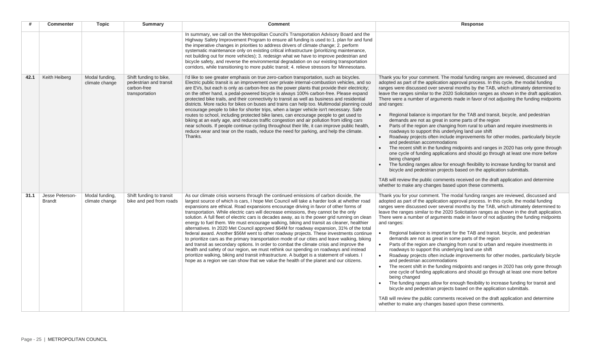|      | <b>Commenter</b>                 | <b>Topic</b>                     | <b>Summary</b>                                                                    | <b>Comment</b>                                                                                                                                                                                                                                                                                                                                                                                                                                                                                                                                                                                                                                                                                                                                                                                                                                                                                                                                                                                                                                                                                                                                                                                                                        | Response                                                                                                                                                                                                                                                                                                                                                                                                                                                                                                                                                                                                                                                                                                                                                                                                                                                                                                                                                                                                                                                                                                                                                                                                                                                                                                                                                                                                  |
|------|----------------------------------|----------------------------------|-----------------------------------------------------------------------------------|---------------------------------------------------------------------------------------------------------------------------------------------------------------------------------------------------------------------------------------------------------------------------------------------------------------------------------------------------------------------------------------------------------------------------------------------------------------------------------------------------------------------------------------------------------------------------------------------------------------------------------------------------------------------------------------------------------------------------------------------------------------------------------------------------------------------------------------------------------------------------------------------------------------------------------------------------------------------------------------------------------------------------------------------------------------------------------------------------------------------------------------------------------------------------------------------------------------------------------------|-----------------------------------------------------------------------------------------------------------------------------------------------------------------------------------------------------------------------------------------------------------------------------------------------------------------------------------------------------------------------------------------------------------------------------------------------------------------------------------------------------------------------------------------------------------------------------------------------------------------------------------------------------------------------------------------------------------------------------------------------------------------------------------------------------------------------------------------------------------------------------------------------------------------------------------------------------------------------------------------------------------------------------------------------------------------------------------------------------------------------------------------------------------------------------------------------------------------------------------------------------------------------------------------------------------------------------------------------------------------------------------------------------------|
|      |                                  |                                  |                                                                                   | In summary, we call on the Metropolitan Council's Transportation Advisory Board and the<br>Highway Safety Improvement Program to ensure all funding is used to:1. plan for and fund<br>the imperative changes in priorities to address drivers of climate change; 2. perform<br>systematic maintenance only on existing critical infrastructure (prioritizing maintenance,<br>not building out for more vehicles); 3. redesign what we have to improve pedestrian and<br>bicycle safety, and reverse the environmental degradation on our existing transportation<br>corridors, while transitioning to more public transit; 4, relieve stressors for Minnesotans.                                                                                                                                                                                                                                                                                                                                                                                                                                                                                                                                                                     |                                                                                                                                                                                                                                                                                                                                                                                                                                                                                                                                                                                                                                                                                                                                                                                                                                                                                                                                                                                                                                                                                                                                                                                                                                                                                                                                                                                                           |
| 42.1 | Keith Heiberg                    | Modal funding,<br>climate change | Shift funding to bike,<br>pedestrian and transit<br>carbon-free<br>transportation | I'd like to see greater emphasis on true zero-carbon transportation, such as bicycles.<br>Electric public transit is an improvement over private internal-combustion vehicles, and so<br>are EVs, but each is only as carbon-free as the power plants that provide their electricity;<br>on the other hand, a pedal-powered bicycle is always 100% carbon-free. Please expand<br>protected bike trails, and their connectivity to transit as well as business and residential<br>districts. More racks for bikes on buses and trains can help too. Multimodal planning could<br>encourage people to bike for shorter trips, when a larger vehicle isn't necessary. Safe<br>routes to school, including protected bike lanes, can encourage people to get used to<br>biking at an early age, and reduces traffic congestion and air pollution from idling cars<br>near schools. If people continue cycling throughout their life, it can improve public health,<br>reduce wear and tear on the roads, reduce the need for parking, and help the climate.<br>Thanks.                                                                                                                                                                    | Thank you for your comment. The modal funding ranges are reviewed, discussed and<br>adopted as part of the application approval process. In this cycle, the modal funding<br>ranges were discussed over several months by the TAB, which ultimately determined to<br>leave the ranges similar to the 2020 Solicitation ranges as shown in the draft application.<br>There were a number of arguments made in favor of not adjusting the funding midpoints<br>and ranges:<br>Regional balance is important for the TAB and transit, bicycle, and pedestrian<br>demands are not as great in some parts of the region<br>Parts of the region are changing from rural to urban and require investments in<br>$\bullet$<br>roadways to support this underlying land use shift<br>Roadway projects often include improvements for other modes, particularly bicycle<br>and pedestrian accommodations<br>The recent shift in the funding midpoints and ranges in 2020 has only gone through<br>one cycle of funding applications and should go through at least one more before<br>being changed<br>The funding ranges allow for enough flexibility to increase funding for transit and<br>bicycle and pedestrian projects based on the application submittals.<br>TAB will review the public comments received on the draft application and determine<br>whether to make any changes based upon these comments. |
| 31.1 | Jesse Peterson-<br><b>Brandt</b> | Modal funding,<br>climate change | Shift funding to transit<br>bike and ped from roads                               | As our climate crisis worsens through the continued emissions of carbon dioxide, the<br>largest source of which is cars, I hope Met Council will take a harder look at whether road<br>expansions are ethical. Road expansions encourage driving in favor of other forms of<br>transportation. While electric cars will decrease emissions, they cannot be the only<br>solution. A full fleet of electric cars is decades away, as is the power grid running on clean<br>energy to fuel them. We must encourage walking, biking and transit as cleaner, healthier<br>alternatives. In 2020 Met Council approved \$64M for roadway expansion, 31% of the total<br>federal award. Another \$56M went to other roadway projects. These investments continue<br>to prioritize cars as the primary transportation mode of our cities and leave walking, biking<br>and transit as secondary options. In order to combat the climate crisis and improve the<br>health and safety of our region, we must rethink our spending on roadways and instead<br>prioritize walking, biking and transit infrastructure. A budget is a statement of values. I<br>hope as a region we can show that we value the health of the planet and our citizens. | Thank you for your comment. The modal funding ranges are reviewed, discussed and<br>adopted as part of the application approval process. In this cycle, the modal funding<br>ranges were discussed over several months by the TAB, which ultimately determined to<br>leave the ranges similar to the 2020 Solicitation ranges as shown in the draft application.<br>There were a number of arguments made in favor of not adjusting the funding midpoints<br>and ranges:<br>Regional balance is important for the TAB and transit, bicycle, and pedestrian<br>demands are not as great in some parts of the region<br>Parts of the region are changing from rural to urban and require investments in<br>$\bullet$<br>roadways to support this underlying land use shift<br>Roadway projects often include improvements for other modes, particularly bicycle<br>and pedestrian accommodations<br>The recent shift in the funding midpoints and ranges in 2020 has only gone through<br>one cycle of funding applications and should go through at least one more before<br>being changed<br>The funding ranges allow for enough flexibility to increase funding for transit and<br>bicycle and pedestrian projects based on the application submittals.<br>TAB will review the public comments received on the draft application and determine<br>whether to make any changes based upon these comments. |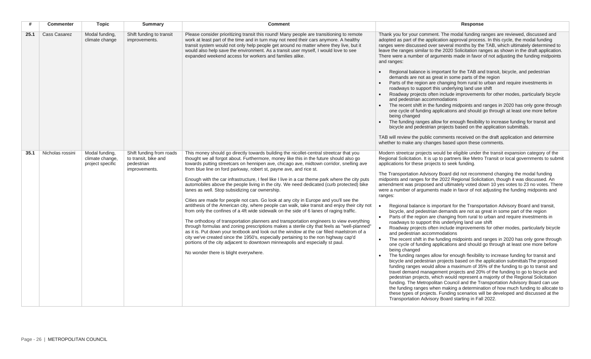| #    | <b>Commenter</b>    | <b>Topic</b>                                          | <b>Summary</b>                                                                  | <b>Comment</b>                                                                                                                                                                                                                                                                                                                                                                                                                                                                                                                                                                                                                                                                                                                                                                                                                                                                                                                                                                                                                                                                                                                                                                                                                                                                                                                                                                                  | Response                                                                                                                                                                                                                                                                                                                                                                                                                                                                                                                                                                                                                                                                                                                                                                                                                                                                                                                                                                                                                                                                                                                                                                                                                                                                                                                                                                                                                                                                                                                                                                                                                                                                                                                                                                                                                                                                                                                                                                                               |
|------|---------------------|-------------------------------------------------------|---------------------------------------------------------------------------------|-------------------------------------------------------------------------------------------------------------------------------------------------------------------------------------------------------------------------------------------------------------------------------------------------------------------------------------------------------------------------------------------------------------------------------------------------------------------------------------------------------------------------------------------------------------------------------------------------------------------------------------------------------------------------------------------------------------------------------------------------------------------------------------------------------------------------------------------------------------------------------------------------------------------------------------------------------------------------------------------------------------------------------------------------------------------------------------------------------------------------------------------------------------------------------------------------------------------------------------------------------------------------------------------------------------------------------------------------------------------------------------------------|--------------------------------------------------------------------------------------------------------------------------------------------------------------------------------------------------------------------------------------------------------------------------------------------------------------------------------------------------------------------------------------------------------------------------------------------------------------------------------------------------------------------------------------------------------------------------------------------------------------------------------------------------------------------------------------------------------------------------------------------------------------------------------------------------------------------------------------------------------------------------------------------------------------------------------------------------------------------------------------------------------------------------------------------------------------------------------------------------------------------------------------------------------------------------------------------------------------------------------------------------------------------------------------------------------------------------------------------------------------------------------------------------------------------------------------------------------------------------------------------------------------------------------------------------------------------------------------------------------------------------------------------------------------------------------------------------------------------------------------------------------------------------------------------------------------------------------------------------------------------------------------------------------------------------------------------------------------------------------------------------------|
| 25.1 | <b>Cass Casarez</b> | Modal funding,<br>climate change                      | Shift funding to transit<br>improvements.                                       | Please consider prioritizing transit this round! Many people are transitioning to remote<br>work at least part of the time and in turn may not need their cars anymore. A healthy<br>transit system would not only help people get around no matter where they live, but it<br>would also help save the environment. As a transit user myself, I would love to see<br>expanded weekend access for workers and families alike.                                                                                                                                                                                                                                                                                                                                                                                                                                                                                                                                                                                                                                                                                                                                                                                                                                                                                                                                                                   | Thank you for your comment. The modal funding ranges are reviewed, discussed and<br>adopted as part of the application approval process. In this cycle, the modal funding<br>ranges were discussed over several months by the TAB, which ultimately determined to<br>leave the ranges similar to the 2020 Solicitation ranges as shown in the draft application.<br>There were a number of arguments made in favor of not adjusting the funding midpoints<br>and ranges:<br>Regional balance is important for the TAB and transit, bicycle, and pedestrian<br>demands are not as great in some parts of the region<br>Parts of the region are changing from rural to urban and require investments in<br>roadways to support this underlying land use shift<br>Roadway projects often include improvements for other modes, particularly bicycle<br>and pedestrian accommodations<br>The recent shift in the funding midpoints and ranges in 2020 has only gone through<br>one cycle of funding applications and should go through at least one more before<br>being changed<br>The funding ranges allow for enough flexibility to increase funding for transit and<br>bicycle and pedestrian projects based on the application submittals.<br>TAB will review the public comments received on the draft application and determine<br>whether to make any changes based upon these comments.                                                                                                                                                                                                                                                                                                                                                                                                                                                                                                                                                                                                           |
| 35.1 | Nicholas rossini    | Modal funding,<br>climate change,<br>project specific | Shift funding from roads<br>to transit, bike and<br>pedestrian<br>improvements. | This money should go directly towards building the nicollet-central streetcar that you<br>thought we all forgot about. Furthermore, money like this in the future should also go<br>towards putting streetcars on hennipen ave, chicago ave, midtown corridor, snelling ave<br>from blue line on ford parkway, robert st, payne ave, and rice st.<br>Enough with the car infrastructure, I feel like I live in a car theme park where the city puts<br>automobiles above the people living in the city. We need dedicated (curb protected) bike<br>lanes as well. Stop subsidizing car ownership.<br>Cities are made for people not cars. Go look at any city in Europe and you'll see the<br>antithesis of the American city, where people can walk, take transit and enjoy their city not<br>from only the confines of a 4ft wide sidewalk on the side of 6 lanes of raging traffic.<br>The orthodoxy of transportation planners and transportation engineers to view everything<br>through formulas and zoning prescriptions makes a sterile city that feels as "well-planned"<br>as it is. Put down your textbook and look out the window at the car filled maelstrom of a<br>city we've created since the 1950's, especially pertaining to the non highway cap'd<br>portions of the city adjacent to downtown minneapolis and especially st paul.<br>No wonder there is blight everywhere. | Modern streetcar projects would be eligible under the transit expansion category of the<br>Regional Solicitation. It is up to partners like Metro Transit or local governments to submit<br>applications for these projects to seek funding.<br>The Transportation Advisory Board did not recommend changing the modal funding<br>midpoints and ranges for the 2022 Regional Solicitation, though it was discussed. An<br>amendment was proposed and ultimately voted down 10 yes votes to 23 no votes. There<br>were a number of arguments made in favor of not adjusting the funding midpoints and<br>ranges:<br>Regional balance is important for the Transportation Advisory Board and transit,<br>bicycle, and pedestrian demands are not as great in some part of the region<br>Parts of the region are changing from rural to urban and require investments in<br>roadways to support this underlying land use shift<br>Roadway projects often include improvements for other modes, particularly bicycle<br>and pedestrian accommodations<br>The recent shift in the funding midpoints and ranges in 2020 has only gone through<br>one cycle of funding applications and should go through at least one more before<br>being changed<br>The funding ranges allow for enough flexibility to increase funding for transit and<br>bicycle and pedestrian projects based on the application submittals The proposed<br>funding ranges would allow a maximum of 35% of the funding to go to transit and<br>travel demand management projects and 20% of the funding to go to bicycle and<br>pedestrian projects, which would represent a majority of the Regional Solicitation<br>funding. The Metropolitan Council and the Transportation Advisory Board can use<br>the funding ranges when making a determination of how much funding to allocate to<br>these types of projects. Funding scenarios will be developed and discussed at the<br>Transportation Advisory Board starting in Fall 2022. |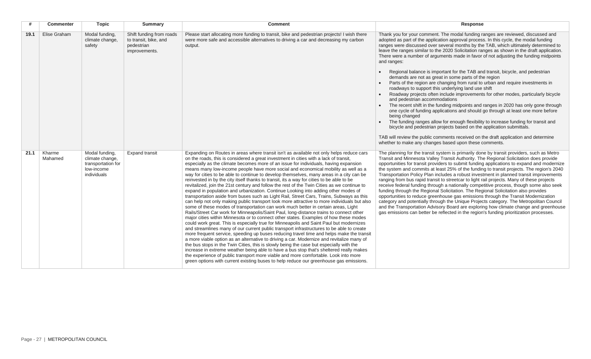|      | <b>Commenter</b>  | <b>Topic</b>                                                                         | <b>Summary</b>                                                                   | <b>Comment</b>                                                                                                                                                                                                                                                                                                                                                                                                                                                                                                                                                                                                                                                                                                                                                                                                                                                                                                                                                                                                                                                                                                                                                                                                                                                                                                                                                                                                                                                                                                                                                                                                                                                                                                                                                                                                                                                                                                                                                             | Response                                                                                                                                                                                                                                                                                                                                                                                                                                                                                                                                                                                                                                                                                                                                                                                                                                                                                                                                                                                                                                                                                                                                                                                                                                                                                                                                                                                     |
|------|-------------------|--------------------------------------------------------------------------------------|----------------------------------------------------------------------------------|----------------------------------------------------------------------------------------------------------------------------------------------------------------------------------------------------------------------------------------------------------------------------------------------------------------------------------------------------------------------------------------------------------------------------------------------------------------------------------------------------------------------------------------------------------------------------------------------------------------------------------------------------------------------------------------------------------------------------------------------------------------------------------------------------------------------------------------------------------------------------------------------------------------------------------------------------------------------------------------------------------------------------------------------------------------------------------------------------------------------------------------------------------------------------------------------------------------------------------------------------------------------------------------------------------------------------------------------------------------------------------------------------------------------------------------------------------------------------------------------------------------------------------------------------------------------------------------------------------------------------------------------------------------------------------------------------------------------------------------------------------------------------------------------------------------------------------------------------------------------------------------------------------------------------------------------------------------------------|----------------------------------------------------------------------------------------------------------------------------------------------------------------------------------------------------------------------------------------------------------------------------------------------------------------------------------------------------------------------------------------------------------------------------------------------------------------------------------------------------------------------------------------------------------------------------------------------------------------------------------------------------------------------------------------------------------------------------------------------------------------------------------------------------------------------------------------------------------------------------------------------------------------------------------------------------------------------------------------------------------------------------------------------------------------------------------------------------------------------------------------------------------------------------------------------------------------------------------------------------------------------------------------------------------------------------------------------------------------------------------------------|
| 19.1 | Elise Graham      | Modal funding,<br>climate change,<br>safety                                          | Shift funding from roads<br>to transit, bike, and<br>pedestrian<br>improvements. | Please start allocating more funding to transit, bike and pedestrian projects! I wish there<br>were more safe and accessible alternatives to driving a car and decreasing my carbon<br>output.                                                                                                                                                                                                                                                                                                                                                                                                                                                                                                                                                                                                                                                                                                                                                                                                                                                                                                                                                                                                                                                                                                                                                                                                                                                                                                                                                                                                                                                                                                                                                                                                                                                                                                                                                                             | Thank you for your comment. The modal funding ranges are reviewed, discussed and<br>adopted as part of the application approval process. In this cycle, the modal funding<br>ranges were discussed over several months by the TAB, which ultimately determined to<br>leave the ranges similar to the 2020 Solicitation ranges as shown in the draft application.<br>There were a number of arguments made in favor of not adjusting the funding midpoints<br>and ranges:<br>Regional balance is important for the TAB and transit, bicycle, and pedestrian<br>demands are not as great in some parts of the region<br>Parts of the region are changing from rural to urban and require investments in<br>roadways to support this underlying land use shift<br>Roadway projects often include improvements for other modes, particularly bicycle<br>and pedestrian accommodations<br>The recent shift in the funding midpoints and ranges in 2020 has only gone through<br>one cycle of funding applications and should go through at least one more before<br>being changed<br>The funding ranges allow for enough flexibility to increase funding for transit and<br>bicycle and pedestrian projects based on the application submittals.<br>TAB will review the public comments received on the draft application and determine<br>whether to make any changes based upon these comments. |
| 21.1 | Kharme<br>Mahamed | Modal funding,<br>climate change,<br>transportation for<br>low-income<br>individuals | <b>Expand transit</b>                                                            | Expanding on Routes in areas where transit isn't as available not only helps reduce cars<br>on the roads, this is considered a great investment in cities with a lack of transit,<br>especially as the climate becomes more of an issue for individuals, having expansion<br>means many low-income people have more social and economical mobility as well as a<br>way for cities to be able to continue to develop themselves, many areas in a city can be<br>reinvested in by the city itself thanks to transit, its a way for cities to be able to be<br>revitalized, join the 21st century and follow the rest of the Twin Cities as we continue to<br>expand in population and urbanization. Continue Looking into adding other modes of<br>transportation aside from buses such as Light Rail, Street Cars, Trains, Subways as this<br>can help not only making public transport look more attractive to more individuals but also<br>some of these modes of transportation can work much better in certain areas, Light<br>Rails/Street Car work for Minneapolis/Saint Paul, long-distance trains to connect other<br>major cities within Minnesota or to connect other states. Examples of how these modes<br>could work great. This is especially true for Minneapolis and Saint Paul but modernizes<br>and streamlines many of our current public transport infrastructures to be able to create<br>more frequent service, speeding up buses reducing travel time and helps make the transit<br>a more viable option as an alternative to driving a car. Modernize and revitalize many of<br>the bus stops in the Twin Cities, this is slowly being the case but especially with the<br>increase in extreme weather being able to have a bus stop that's sheltered really makes<br>the experience of public transport more viable and more comfortable. Look into more<br>green options with current existing buses to help reduce our greenhouse gas emissions. | The planning for the transit system is primarily done by transit providers, such as Metro<br>Transit and Minnesota Valley Transit Authority. The Regional Solicitation does provide<br>opportunities for transit providers to submit funding applications to expand and modernize<br>the system and commits at least 25% of the funding to transit projects. The region's 2040<br>Transportation Policy Plan includes a robust investment in planned transit improvements<br>ranging from bus rapid transit to streetcar to light rail projects. Many of these projects<br>receive federal funding through a nationally competitive process, though some also seek<br>funding through the Regional Solicitation. The Regional Solicitation also provides<br>opportunities to reduce greenhouse gas emissions through the Transit Modernization<br>category and potentially through the Unique Projects category. The Metropolitan Council<br>and the Transportation Advisory Board are exploring how climate change and greenhouse<br>gas emissions can better be reflected in the region's funding prioritization processes.                                                                                                                                                                                                                                                                |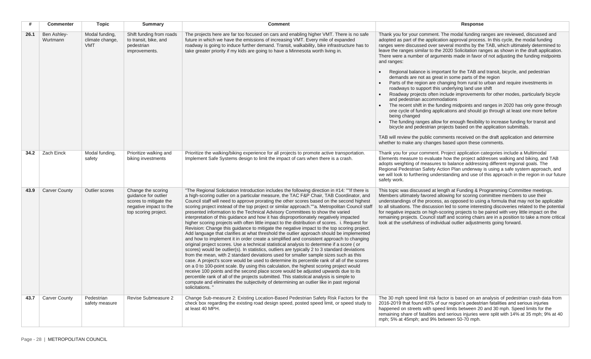| #    | <b>Commenter</b>        | <b>Topic</b>                                    | <b>Summary</b>                                                                                                         | <b>Comment</b>                                                                                                                                                                                                                                                                                                                                                                                                                                                                                                                                                                                                                                                                                                                                                                                                                                                                                                                                                                                                                                                                                                                                                                                                                                                                                                                                                                                                                                                                                                                                                                                                                                                                                                                             | Response                                                                                                                                                                                                                                                                                                                                                                                                                                                                                                                                                                                                                                                                                                                                                                                                                                                                                                                                                                                                                                                                                                                                                                                                                                                                                                                                                                                     |
|------|-------------------------|-------------------------------------------------|------------------------------------------------------------------------------------------------------------------------|--------------------------------------------------------------------------------------------------------------------------------------------------------------------------------------------------------------------------------------------------------------------------------------------------------------------------------------------------------------------------------------------------------------------------------------------------------------------------------------------------------------------------------------------------------------------------------------------------------------------------------------------------------------------------------------------------------------------------------------------------------------------------------------------------------------------------------------------------------------------------------------------------------------------------------------------------------------------------------------------------------------------------------------------------------------------------------------------------------------------------------------------------------------------------------------------------------------------------------------------------------------------------------------------------------------------------------------------------------------------------------------------------------------------------------------------------------------------------------------------------------------------------------------------------------------------------------------------------------------------------------------------------------------------------------------------------------------------------------------------|----------------------------------------------------------------------------------------------------------------------------------------------------------------------------------------------------------------------------------------------------------------------------------------------------------------------------------------------------------------------------------------------------------------------------------------------------------------------------------------------------------------------------------------------------------------------------------------------------------------------------------------------------------------------------------------------------------------------------------------------------------------------------------------------------------------------------------------------------------------------------------------------------------------------------------------------------------------------------------------------------------------------------------------------------------------------------------------------------------------------------------------------------------------------------------------------------------------------------------------------------------------------------------------------------------------------------------------------------------------------------------------------|
| 26.1 | Ben Ashley-<br>Wurtmann | Modal funding,<br>climate change.<br><b>VMT</b> | Shift funding from roads<br>to transit, bike, and<br>pedestrian<br>improvements.                                       | The projects here are far too focused on cars and enabling higher VMT. There is no safe<br>future in which we have the emissions of increasing VMT. Every mile of expanded<br>roadway is going to induce further demand. Transit, walkability, bike infrastructure has to<br>take greater priority if my kids are going to have a Minnesota worth living in.                                                                                                                                                                                                                                                                                                                                                                                                                                                                                                                                                                                                                                                                                                                                                                                                                                                                                                                                                                                                                                                                                                                                                                                                                                                                                                                                                                               | Thank you for your comment. The modal funding ranges are reviewed, discussed and<br>adopted as part of the application approval process. In this cycle, the modal funding<br>ranges were discussed over several months by the TAB, which ultimately determined to<br>leave the ranges similar to the 2020 Solicitation ranges as shown in the draft application.<br>There were a number of arguments made in favor of not adjusting the funding midpoints<br>and ranges:<br>Regional balance is important for the TAB and transit, bicycle, and pedestrian<br>demands are not as great in some parts of the region<br>Parts of the region are changing from rural to urban and require investments in<br>roadways to support this underlying land use shift<br>Roadway projects often include improvements for other modes, particularly bicycle<br>and pedestrian accommodations<br>The recent shift in the funding midpoints and ranges in 2020 has only gone through<br>one cycle of funding applications and should go through at least one more before<br>being changed<br>The funding ranges allow for enough flexibility to increase funding for transit and<br>bicycle and pedestrian projects based on the application submittals.<br>TAB will review the public comments received on the draft application and determine<br>whether to make any changes based upon these comments. |
| 34.2 | <b>Zach Einck</b>       | Modal funding,<br>safety                        | Prioritize walking and<br>biking investments                                                                           | Prioritize the walking/biking experience for all projects to promote active transportation.<br>Implement Safe Systems design to limit the impact of cars when there is a crash.                                                                                                                                                                                                                                                                                                                                                                                                                                                                                                                                                                                                                                                                                                                                                                                                                                                                                                                                                                                                                                                                                                                                                                                                                                                                                                                                                                                                                                                                                                                                                            | Thank you for your comment. Project application categories include a Multimodal<br>Elements measure to evaluate how the project addresses walking and biking, and TAB<br>adopts weighting of measures to balance addressing different regional goals. The<br>Regional Pedestrian Safety Action Plan underway is using a safe system approach, and<br>we will look to furthering understanding and use of this approach in the region in our future<br>safety work.                                                                                                                                                                                                                                                                                                                                                                                                                                                                                                                                                                                                                                                                                                                                                                                                                                                                                                                           |
| 43.9 | <b>Carver County</b>    | <b>Outlier scores</b>                           | Change the scoring<br>quidance for outlier<br>scores to mitigate the<br>negative impact to the<br>top scoring project. | "The Regional Solicitation Introduction includes the following direction in #14: ""If there is<br>a high-scoring outlier on a particular measure, the TAC F&P Chair, TAB Coordinator, and<br>Council staff will need to approve prorating the other scores based on the second highest<br>scoring project instead of the top project or similar approach.""a. Metropolitan Council staff<br>presented information to the Technical Advisory Committees to show the varied<br>interpretation of this guidance and how it has disproportionately negatively impacted<br>higher scoring projects with often little impact to the distribution of scores. i. Request for<br>Revision: Change this guidance to mitigate the negative impact to the top scoring project.<br>Add language that clarifies at what threshold the outlier approach should be implemented<br>and how to implement it in order create a simplified and consistent approach to changing<br>original project scores. Use a technical statistical analysis to determine if a score (or<br>scores) would be outlier(s). In statistics, outliers are typically 2 to 3 standard deviations<br>from the mean, with 2 standard deviations used for smaller sample sizes such as this<br>case. A project's score would be used to determine its percentile rank of all of the scores<br>on a 0 to 100-point scale. By using this calculation, the highest scoring project would<br>receive 100 points and the second place score would be adjusted upwards due to its<br>percentile rank of all of the projects submitted. This statistical analysis is simple to<br>compute and eliminates the subjectivity of determining an outlier like in past regional<br>solicitations." | This topic was discussed at length at Funding & Programming Committee meetings.<br>Members ultimately favored allowing for scoring committee members to use their<br>understandings of the process, as opposed to using a formula that may not be applicable<br>to all situations. The discussion led to some interesting discoveries related to the potential<br>for negative impacts on high-scoring projects to be paired with very little impact on the<br>remaining projects. Council staff and scoring chairs are in a position to take a more critical<br>look at the usefulness of individual outlier adjustments going forward.                                                                                                                                                                                                                                                                                                                                                                                                                                                                                                                                                                                                                                                                                                                                                     |
| 43.7 | <b>Carver County</b>    | Pedestrian<br>safety measure                    | Revise Submeasure 2                                                                                                    | Change Sub-measure 2: Existing Location-Based Pedestrian Safety Risk Factors for the<br>check box regarding the existing road design speed, posted speed limit, or speed study to<br>at least 40 MPH.                                                                                                                                                                                                                                                                                                                                                                                                                                                                                                                                                                                                                                                                                                                                                                                                                                                                                                                                                                                                                                                                                                                                                                                                                                                                                                                                                                                                                                                                                                                                      | The 30 mph speed limit risk factor is based on an analysis of pedestrian crash data from<br>2016-2019 that found 63% of our region's pedestrian fatalities and serious injuries<br>happened on streets with speed limits between 20 and 30 mph. Speed limits for the<br>remaining share of fatalities and serious injuries were split with 14% at 35 mph; 9% at 40<br>mph; 5% at 45mph; and 9% between 50-70 mph.                                                                                                                                                                                                                                                                                                                                                                                                                                                                                                                                                                                                                                                                                                                                                                                                                                                                                                                                                                            |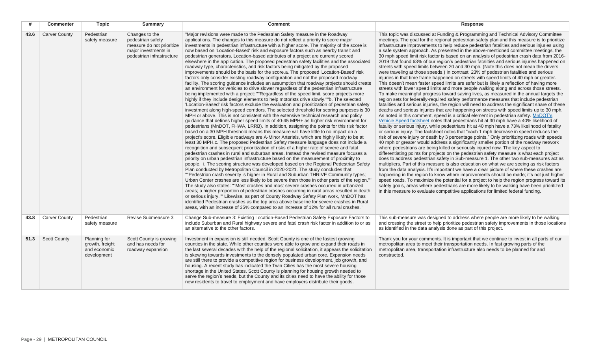|      | <b>Commenter</b>     | <b>Topic</b>                                                   | <b>Summary</b>                                                                                                        | <b>Comment</b>                                                                                                                                                                                                                                                                                                                                                                                                                                                                                                                                                                                                                                                                                                                                                                                                                                                                                                                                                                                                                                                                                                                                                                                                                                                                                                                                                                                                                                                                                                                                                                                                                                                                                                                                                                                                                                                                                                                                                                                                                                                                                                                                                                                                                                                                                                                                                                                                                                                                                                                                                                                                                                                                                                                                                                                                                                                                                                                                                                                                                                            | <b>Response</b>                                                                                                                                                                                                                                                                                                                                                                                                                                                                                                                                                                                                                                                                                                                                                                                                                                                                                                                                                                                                                                                                                                                                                                                                                                                                                                                                                                                                                                                                                                                                                                                                                                                                                                                                                                                                                                                                                                                                                                                                                                                                                                                                                                                                                                                                                                                                                                                                                                                                                                                                                                                                                                                                                                                                                                                                                                 |
|------|----------------------|----------------------------------------------------------------|-----------------------------------------------------------------------------------------------------------------------|-----------------------------------------------------------------------------------------------------------------------------------------------------------------------------------------------------------------------------------------------------------------------------------------------------------------------------------------------------------------------------------------------------------------------------------------------------------------------------------------------------------------------------------------------------------------------------------------------------------------------------------------------------------------------------------------------------------------------------------------------------------------------------------------------------------------------------------------------------------------------------------------------------------------------------------------------------------------------------------------------------------------------------------------------------------------------------------------------------------------------------------------------------------------------------------------------------------------------------------------------------------------------------------------------------------------------------------------------------------------------------------------------------------------------------------------------------------------------------------------------------------------------------------------------------------------------------------------------------------------------------------------------------------------------------------------------------------------------------------------------------------------------------------------------------------------------------------------------------------------------------------------------------------------------------------------------------------------------------------------------------------------------------------------------------------------------------------------------------------------------------------------------------------------------------------------------------------------------------------------------------------------------------------------------------------------------------------------------------------------------------------------------------------------------------------------------------------------------------------------------------------------------------------------------------------------------------------------------------------------------------------------------------------------------------------------------------------------------------------------------------------------------------------------------------------------------------------------------------------------------------------------------------------------------------------------------------------------------------------------------------------------------------------------------------------|-------------------------------------------------------------------------------------------------------------------------------------------------------------------------------------------------------------------------------------------------------------------------------------------------------------------------------------------------------------------------------------------------------------------------------------------------------------------------------------------------------------------------------------------------------------------------------------------------------------------------------------------------------------------------------------------------------------------------------------------------------------------------------------------------------------------------------------------------------------------------------------------------------------------------------------------------------------------------------------------------------------------------------------------------------------------------------------------------------------------------------------------------------------------------------------------------------------------------------------------------------------------------------------------------------------------------------------------------------------------------------------------------------------------------------------------------------------------------------------------------------------------------------------------------------------------------------------------------------------------------------------------------------------------------------------------------------------------------------------------------------------------------------------------------------------------------------------------------------------------------------------------------------------------------------------------------------------------------------------------------------------------------------------------------------------------------------------------------------------------------------------------------------------------------------------------------------------------------------------------------------------------------------------------------------------------------------------------------------------------------------------------------------------------------------------------------------------------------------------------------------------------------------------------------------------------------------------------------------------------------------------------------------------------------------------------------------------------------------------------------------------------------------------------------------------------------------------------------|
| 43.6 | <b>Carver County</b> | Pedestrian<br>safety measure                                   | Changes to the<br>pedestrian safety<br>measure do not prioritize<br>major investments in<br>pedestrian infrastructure | "Major revisions were made to the Pedestrian Safety measure in the Roadway<br>applications. The changes to this measure do not reflect a priority to score major<br>investments in pedestrian infrastructure with a higher score. The majority of the score is<br>now based on 'Location-Based' risk and exposure factors such as nearby transit and<br>pedestrian generators. Location-based attributes of a project are currently scored<br>elsewhere in the application. The proposed pedestrian safety facilities and the associated<br>roadway type, characteristics, and risk factors being mitigated by the proposed<br>improvements should be the basis for the score.a. The proposed 'Location-Based' risk<br>factors only consider existing roadway configuration and not the proposed roadway<br>facility. The scoring guidance includes an assumption that roadway projects should create<br>an environment for vehicles to drive slower regardless of the pedestrian infrastructure<br>being implemented with a project: ""Regardless of the speed limit, score projects more<br>highly if they include design elements to help motorists drive slowly.""b. The selected<br>'Location-Based' risk factors exclude the evaluation and prioritization of pedestrian safety<br>investment along high-speed corridors. The selected threshold for scoring purposes is 30<br>MPH or above. This is not consistent with the extensive technical research and policy<br>guidance that defines higher speed limits of 40-45 MPH+ as higher risk environment for<br>pedestrians (MnDOT, FHWA, LRRB). In addition, assigning the points for this risk factor<br>based on a 30 MPH threshold means this measure will have little to no impact on a<br>project's score. Eligible roadways are A-Minor Arterials, which are highly likely to be at<br>least 30 MPH.c. The proposed Pedestrian Safety measure language does not include a<br>recognition and subsequent prioritization of risks of a higher rate of severe and fatal<br>pedestrian crashes in rural and suburban areas. Instead the revised measure focuses a<br>priority on urban pedestrian infrastructure based on the measurement of proximity to<br>people. i. The scoring structure was developed based on the Regional Pedestrian Safety<br>Plan conducted by Metropolitan Council in 2020-2021. The study concludes that<br>""Pedestrian crash severity is higher in Rural and Suburban THRIVE Community types;<br>Urban Center crashes are less likely to be severe than those in other parts of the region.""<br>The study also states: ""Most crashes and most severe crashes occurred in urbanized<br>areas; a higher proportion of pedestrian crashes occurring in rural areas resulted in death<br>or serious injury."" Likewise, as part of County Roadway Safety Plan work, MnDOT has<br>identified Pedestrian crashes as the top area above baseline for severe crashes in Rural<br>areas, with an increase of 35% compared to an increase of 12% for all rural crashes." | This topic was discussed at Funding & Programming and Technical Advisory Committee<br>meetings. The goal for the regional pedestrian safety plan and this measure is to prioritize<br>infrastructure improvements to help reduce pedestrian fatalities and serious injuries using<br>a safe system approach. As presented in the above-mentioned committee meetings, the<br>30 mph speed limit risk factor is based on an analysis of pedestrian crash data from 2016-<br>2019 that found 63% of our region's pedestrian fatalities and serious injuries happened on<br>streets with speed limits between 20 and 30 mph. (Note this does not mean the drivers<br>were traveling at those speeds.) In contrast, 23% of pedestrian fatalities and serious<br>injuries in that time frame happened on streets with speed limits of 40 mph or greater.<br>This doesn't mean faster speed limits are safer but is likely a reflection of having more<br>streets with lower speed limits and more people walking along and across those streets.<br>To make meaningful progress toward saving lives, as measured in the annual targets the<br>region sets for federally-required safety performance measures that include pedestrian<br>fatalities and serious injuries, the region will need to address the significant share of these<br>deaths and serious injuries that are happening on streets with speed limits up to 30 mph.<br>As noted in this comment, speed is a critical element in pedestrian safety. MnDOT's<br>Vehicle Speed factsheet notes that pedestrians hit at 30 mph have a 40% likelihood of<br>fatality or serious injury, while pedestrians hit at 40 mph have a 73% likelihood of fatality<br>or serious injury. The factsheet notes that "each 1 mph decrease in speed reduces the<br>risk of severe injury or death by 3 percentage points." Only prioritizing roads with speeds<br>40 mph or greater would address a significantly smaller portion of the roadway network<br>where pedestrians are being killed or seriously injured now. The key aspect to<br>differentiating points for projects on the pedestrian safety measure is what each project<br>does to address pedestrian safety in Sub-measure 1. The other two sub-measures act as<br>multipliers. Part of this measure is also education on what we are seeing as risk factors<br>from the data analysis. It's important we have a clear picture of where these crashes are<br>happening in the region to know where improvements should be made; it's not just higher<br>speed roads. To maximize the potential for a project to help the region progress toward its<br>safety goals, areas where pedestrians are more likely to be walking have been prioritized<br>in this measure to evaluate competitive applications for limited federal funding. |
| 43.8 | <b>Carver County</b> | Pedestrian<br>safety measure                                   | Revise Submeasure 3                                                                                                   | Change Sub-measure 3: Existing Location-Based Pedestrian Safety Exposure Factors to<br>include Suburban and Rural highway severe and fatal crash risk factor in addition to or as<br>an alternative to the other factors.                                                                                                                                                                                                                                                                                                                                                                                                                                                                                                                                                                                                                                                                                                                                                                                                                                                                                                                                                                                                                                                                                                                                                                                                                                                                                                                                                                                                                                                                                                                                                                                                                                                                                                                                                                                                                                                                                                                                                                                                                                                                                                                                                                                                                                                                                                                                                                                                                                                                                                                                                                                                                                                                                                                                                                                                                                 | This sub-measure was designed to address where people are more likely to be walking<br>and crossing the street to help prioritize pedestrian safety improvements in those locations<br>as identified in the data analysis done as part of this project.                                                                                                                                                                                                                                                                                                                                                                                                                                                                                                                                                                                                                                                                                                                                                                                                                                                                                                                                                                                                                                                                                                                                                                                                                                                                                                                                                                                                                                                                                                                                                                                                                                                                                                                                                                                                                                                                                                                                                                                                                                                                                                                                                                                                                                                                                                                                                                                                                                                                                                                                                                                         |
| 51.3 | <b>Scott County</b>  | Planning for<br>growth, freight<br>and economic<br>development | Scott County is growing<br>and has needs for<br>roadway expansion                                                     | Investment in expansion is still needed. Scott County is one of the fastest growing<br>counties in the state. While other counties were able to grow and expand their roads in<br>the last several decades with the help of the regional solicitation, it appears the solicitation<br>is skewing towards investments to the densely populated urban core. Expansion needs<br>are still there to provide a competitive region for business development, job growth, and<br>housing. A recent study has indicated the Twin Cities has the most severe housing<br>shortage in the United States. Scott County is planning for housing growth needed to<br>serve the region's needs, but the County and its cities need to have the ability for those<br>new residents to travel to employment and have employers distribute their goods.                                                                                                                                                                                                                                                                                                                                                                                                                                                                                                                                                                                                                                                                                                                                                                                                                                                                                                                                                                                                                                                                                                                                                                                                                                                                                                                                                                                                                                                                                                                                                                                                                                                                                                                                                                                                                                                                                                                                                                                                                                                                                                                                                                                                                     | Thank you for your comments. It is important that we continue to invest in all parts of our<br>metropolitan area to meet their transportation needs. In fast growing parts of the<br>metropolitan area, transportation infrastructure also needs to be planned for and<br>constructed.                                                                                                                                                                                                                                                                                                                                                                                                                                                                                                                                                                                                                                                                                                                                                                                                                                                                                                                                                                                                                                                                                                                                                                                                                                                                                                                                                                                                                                                                                                                                                                                                                                                                                                                                                                                                                                                                                                                                                                                                                                                                                                                                                                                                                                                                                                                                                                                                                                                                                                                                                          |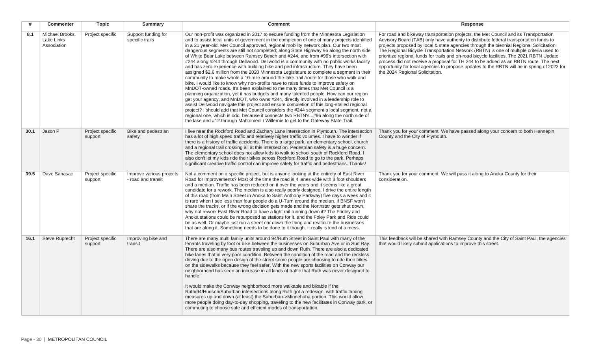| #    | <b>Commenter</b>                             | Topic                       | <b>Summary</b>                                 | <b>Comment</b>                                                                                                                                                                                                                                                                                                                                                                                                                                                                                                                                                                                                                                                                                                                                                                                                                                                                                                                                                                                                                                                                                                                                                                                                                                                                                                                                                                                                                                                                                                                                                        | <b>Response</b>                                                                                                                                                                                                                                                                                                                                                                                                                                                                                                                                                                                                                                                                            |
|------|----------------------------------------------|-----------------------------|------------------------------------------------|-----------------------------------------------------------------------------------------------------------------------------------------------------------------------------------------------------------------------------------------------------------------------------------------------------------------------------------------------------------------------------------------------------------------------------------------------------------------------------------------------------------------------------------------------------------------------------------------------------------------------------------------------------------------------------------------------------------------------------------------------------------------------------------------------------------------------------------------------------------------------------------------------------------------------------------------------------------------------------------------------------------------------------------------------------------------------------------------------------------------------------------------------------------------------------------------------------------------------------------------------------------------------------------------------------------------------------------------------------------------------------------------------------------------------------------------------------------------------------------------------------------------------------------------------------------------------|--------------------------------------------------------------------------------------------------------------------------------------------------------------------------------------------------------------------------------------------------------------------------------------------------------------------------------------------------------------------------------------------------------------------------------------------------------------------------------------------------------------------------------------------------------------------------------------------------------------------------------------------------------------------------------------------|
| 8.1  | Michael Brooks.<br>Lake Links<br>Association | Project specific            | Support funding for<br>specific trails         | Our non-profit was organized in 2017 to secure funding from the Minnesota Legislation<br>and to assist local units of government in the completion of one of many projects identified<br>in a 21 year-old, Met Council approved, regional mobility network plan. Our two most<br>dangerous segments are still not completed; along State Highway 96 along the north side<br>of White Bear Lake between Ramsey Beach and #244, and from #96's intersection with<br>#244 along #244 through Dellwood. Dellwood is a community with no public works facility<br>and has zero experience with building bike and ped infrastructure. They have been<br>assigned \$2.6 million from the 2020 Minnesota Legislature to complete a segment in their<br>community to make whole a 10-mile around-the-lake trail /route for those who walk and<br>bike. I would like to know why non-profits have to raise funds to improve safety on<br>MnDOT-owned roads. It's been explained to me many times that Met Council is a<br>planning organization, yet it has budgets and many talented people. How can our region<br>get your agency, and MnDOT, who owns #244, directly involved in a leadership role to<br>assist Dellwood navigate this project and ensure completion of this long-stalled regional<br>project? I should add that Met Council considers the #244 segment a local segment, not a<br>regional one, which is odd, because it connects two RBTN's#96 along the north side of<br>the lake and #12 through Mahtomedi / Willernie to get to the Gateway State Trail. | For road and bikeway transportation projects, the Met Council and its Transportation<br>Advisory Board (TAB) only have authority to distribute federal transportation funds to<br>projects proposed by local & state agencies through the biennial Regional Solicitation.<br>The Regional Bicycle Transportation Network (RBTN) is one of multiple criteria used to<br>prioritize regional funds for trails and on-road bicycle facilities. The 2021 RBTN Update<br>process did not receive a proposal for TH 244 to be added as an RBTN route. The next<br>opportunity for local agencies to propose updates to the RBTN will be in spring of 2023 for<br>the 2024 Regional Solicitation. |
| 30.1 | Jason P                                      | Project specific<br>support | Bike and pedestrian<br>safety                  | I live near the Rockford Road and Zachary Lane intersection in Plymouth. The intersection<br>has a lot of high speed traffic and relatively higher traffic volumes. I have to wonder if<br>there is a history of traffic accidents. There is a large park, an elementary school, church<br>and a regional trail crossing all at this intersection. Pedestrian safety is a huge concern.<br>The elementary school does not allow kids to walk to school south of Rockford Road. I<br>also don't let my kids ride their bikes across Rockford Road to go to the park. Perhaps<br>significant creative traffic control can improve safety for traffic and pedestrians. Thanks!                                                                                                                                                                                                                                                                                                                                                                                                                                                                                                                                                                                                                                                                                                                                                                                                                                                                                           | Thank you for your comment. We have passed along your concern to both Hennepin<br>County and the City of Plymouth.                                                                                                                                                                                                                                                                                                                                                                                                                                                                                                                                                                         |
| 39.5 | Dave Sanasac                                 | Project specific<br>support | Improve various projects<br>- road and transit | Not a comment on a specific project, but is anyone looking at the entirety of East River<br>Road for improvements? Most of the time the road is 4 lanes wide with 8 foot shoulders<br>and a median. Traffic has been reduced on it over the years and it seems like a great<br>candidate for a rework. The median is also really poorly designed. I drive the entire length<br>of this road (from Main Street in Anoka to Saint Anthony Parkway) five days a week and it<br>is rare when I see less than four people do a U-Turn around the median. If BNSF won't<br>share the tracks, or if the wrong decision gets made and the Northstar gets shut down,<br>why not rework East River Road to have a light rail running down it? The Fridley and<br>Anoka stations could be repurposed as stations for it, and the Foley Park and Ride could<br>be as well. Or maybe just run a street car down the thing and revitalize the businesses<br>that are along it. Something needs to be done to it though. It really is kind of a mess.                                                                                                                                                                                                                                                                                                                                                                                                                                                                                                                                | Thank you for your comment. We will pass it along to Anoka County for their<br>consideration.                                                                                                                                                                                                                                                                                                                                                                                                                                                                                                                                                                                              |
| 16.1 | <b>Steve Ruprecht</b>                        | Project specific<br>support | Improving bike and<br>transit                  | There are many multi family units around 94/Ruth Street in Saint Paul with many of the<br>tenants traveling by foot or bike between the businesses on Suburban Ave or in Sun Ray.<br>There are also many bus routes traveling up and down Ruth. There are also a dedicated<br>bike lanes that in very poor condition. Between the condition of the road and the reckless<br>driving due to the open design of the street some people are choosing to ride their bikes<br>on the sidewalks because they feel safer. With the new sports facilities on Conway our<br>neighborhood has seen an increase in all kinds of traffic that Ruth was never designed to<br>handle.<br>It would make the Conway neighborhood more walkable and bikable if the<br>Ruth/94/Hudson/Suburban intersections along Ruth got a redesign, with traffic taming<br>measures up and down (at least) the Suburban->Minnehaha portion. This would allow<br>more people doing day-to-day shopping, traveling to the new facilitates in Conway park, or<br>commuting to choose safe and efficient modes of transportation.                                                                                                                                                                                                                                                                                                                                                                                                                                                                       | This feedback will be shared with Ramsey County and the City of Saint Paul, the agencies<br>that would likely submit applications to improve this street.                                                                                                                                                                                                                                                                                                                                                                                                                                                                                                                                  |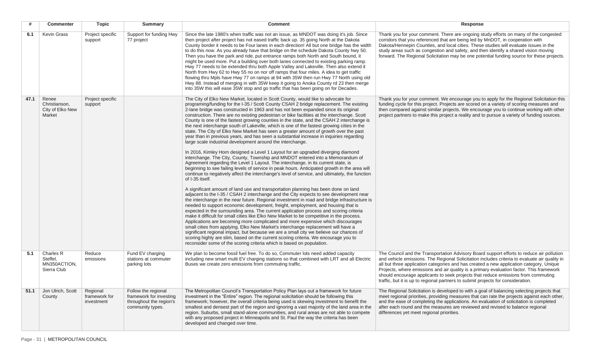| #    | <b>Commenter</b>                                     | <b>Topic</b>                            | <b>Summary</b>                                                                                | <b>Comment</b>                                                                                                                                                                                                                                                                                                                                                                                                                                                                                                                                                                                                                                                                                                                                                                                                                                                                                                                                                                                                                                                                                                                                                                                                                                                                                                                                                                                                                                                                                                                                                                                                                                                                                                                                                                                                                                                                                                                                                                                                                                                                                                                                                                                                                                                                            | Response                                                                                                                                                                                                                                                                                                                                                                                                                                                                                                                                                   |
|------|------------------------------------------------------|-----------------------------------------|-----------------------------------------------------------------------------------------------|-------------------------------------------------------------------------------------------------------------------------------------------------------------------------------------------------------------------------------------------------------------------------------------------------------------------------------------------------------------------------------------------------------------------------------------------------------------------------------------------------------------------------------------------------------------------------------------------------------------------------------------------------------------------------------------------------------------------------------------------------------------------------------------------------------------------------------------------------------------------------------------------------------------------------------------------------------------------------------------------------------------------------------------------------------------------------------------------------------------------------------------------------------------------------------------------------------------------------------------------------------------------------------------------------------------------------------------------------------------------------------------------------------------------------------------------------------------------------------------------------------------------------------------------------------------------------------------------------------------------------------------------------------------------------------------------------------------------------------------------------------------------------------------------------------------------------------------------------------------------------------------------------------------------------------------------------------------------------------------------------------------------------------------------------------------------------------------------------------------------------------------------------------------------------------------------------------------------------------------------------------------------------------------------|------------------------------------------------------------------------------------------------------------------------------------------------------------------------------------------------------------------------------------------------------------------------------------------------------------------------------------------------------------------------------------------------------------------------------------------------------------------------------------------------------------------------------------------------------------|
| 6.1  | <b>Kevin Grass</b>                                   | Project specific<br>support             | Support for funding Hwy<br>77 project                                                         | Since the late 1980's when traffic was not an issue, as MNDOT was doing it's job. Since<br>then project after project has not eased traffic back up. 35 going North at the Dakota<br>County border it needs to be Four lanes in each direction! All but one bridge has the width<br>to do this now. As you already have that bridge on the schedule Dakota County hwy 50.<br>Then you have the park and ride, put entrance ramps both North and South bound, it<br>might be used more. Put a building over both lanes connected to existing parking ramp.<br>Hwy 77 needs to be extended thru both Apple Valley and Lakeville. Then also extend it<br>North from Hwy 62 to Hwy 55 no on nor off ramps that four miles. A idea to get traffic<br>flowing thru Mpls have Hwy 77 on ramps at 94 with 35W then run Hwy 77 North using old<br>Hwy 88. Instead of merging in with 35W keep it going to Anoka County rd 23 then merge<br>into 35W this will ease 35W stop and go traffic that has been going on for Decades.                                                                                                                                                                                                                                                                                                                                                                                                                                                                                                                                                                                                                                                                                                                                                                                                                                                                                                                                                                                                                                                                                                                                                                                                                                                                     | Thank you for your comment. There are ongoing study efforts on many of the congested<br>corridors that you referenced that are being led by MnDOT, in cooperation with<br>Dakota/Hennepin Counties, and local cities. These studies will evaluate issues in the<br>study areas such as congestion and safety, and then identify a shared vision moving<br>forward. The Regional Solicitation may be one potential funding source for these projects.                                                                                                       |
| 47.1 | Renee<br>Christianson,<br>City of Elko New<br>Market | Project specific<br>support             |                                                                                               | The City of Elko New Market, located in Scott County, would like to advocate for<br>programing/funding for the I-35 / Scott County CSAH 2 bridge replacement. The existing<br>2-lane bridge was constructed in 1963 and has not been expanded since its original<br>construction. There are no existing pedestrian or bike facilities at the interchange. Scott<br>County is one of the fastest growing counties in the state, and the CSAH 2 interchange is<br>the next interchange south of Lakeville, which is one of the fastest growing cities in the<br>state. The City of Elko New Market has seen a greater amount of growth over the past<br>year than in previous years, and has seen a substantial increase in inquiries regarding<br>large scale industrial development around the interchange.<br>In 2016, Kimley Horn designed a Level 1 Layout for an upgraded diverging diamond<br>interchange. The City, County, Township and MNDOT entered into a Memorandum of<br>Agreement regarding the Level 1 Layout. The interchange, in its current state, is<br>beginning to see failing levels of service in peak hours. Anticipated growth in the area will<br>continue to negatively affect the interchange's level of service, and ultimately, the function<br>of I-35 itself.<br>A significant amount of land use and transportation planning has been done on land<br>adjacent to the I-35 / CSAH 2 interchange and the City expects to see development near<br>the interchange in the near future. Regional investment in road and bridge infrastructure is<br>needed to support economic development, freight, employment, and housing that is<br>expected in the surrounding area. The current application process and scoring criteria<br>make it difficult for small cities like Elko New Market to be competitive in the process.<br>Applications are becoming more complicated and more expensive which discourages<br>small cities from applying. Elko New Market's interchange replacement will have a<br>significant regional impact, but because we are a small city we believe our chances of<br>scoring highly are slim, based on the current scoring criteria. We encourage you to<br>reconsider some of the scoring criteria which is based on population. | Thank you for your comment. We encourage you to apply for the Regional Solicitation this<br>funding cycle for this project. Projects are scored on a variety of scoring measures and<br>then compared against similar projects. We encourage you to continue working with other<br>project partners to make this project a reality and to pursue a variety of funding sources.                                                                                                                                                                             |
| 5.1  | Charles R<br>Steffel,<br>MN350ACTION,<br>Sierra Club | Reduce<br>emissions                     | Fund EV charging<br>stations at commuter<br>parking lots                                      | We plan to become fossil fuel free. To do so, Commuter lots need added capacity<br>including new smart multi EV charging stations so that combined with LRT and all Electric<br>Buses we create zero emissions from commuting traffic.                                                                                                                                                                                                                                                                                                                                                                                                                                                                                                                                                                                                                                                                                                                                                                                                                                                                                                                                                                                                                                                                                                                                                                                                                                                                                                                                                                                                                                                                                                                                                                                                                                                                                                                                                                                                                                                                                                                                                                                                                                                    | The Council and the Transportation Advisory Board support efforts to reduce air pollution<br>and vehicle emissions. The Regional Solicitation includes criteria to evaluate air quality in<br>all but three application categories and has created a new application category, Unique<br>Projects, where emissions and air quality is a primary evaluation factor. This framework<br>should encourage applicants to seek projects that reduce emissions from commuting<br>traffic, but it is up to regional partners to submit projects for consideration. |
| 51.1 | Jon Ulrich, Scott<br>County                          | Regional<br>framework for<br>investment | Follow the regional<br>framework for investing<br>throughout the region's<br>community types. | The Metropolitan Council's Transportation Policy Plan lays out a framework for future<br>investment in the "Entire" region. The regional solicitation should be following this<br>framework; however, the overall criteria being used is skewing investment to benefit the<br>smallest and densest part of the region and ignoring a vast majority of the land area in the<br>region. Suburbs, small stand-alone communities, and rural areas are not able to compete<br>with any proposed project in Minneapolis and St. Paul the way the criteria has been<br>developed and changed over time.                                                                                                                                                                                                                                                                                                                                                                                                                                                                                                                                                                                                                                                                                                                                                                                                                                                                                                                                                                                                                                                                                                                                                                                                                                                                                                                                                                                                                                                                                                                                                                                                                                                                                          | The Regional Solicitation is developed to with a goal of balancing selecting projects that<br>meet regional priorities, providing measures that can rate the projects against each other,<br>and the ease of completing the applications. An evaluation of solicitation is completed<br>after each round and the measures are reviewed and revised to balance regional<br>differences yet meet regional priorities.                                                                                                                                        |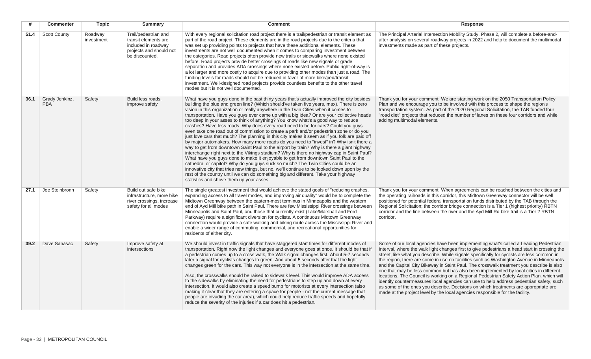| #    | <b>Commenter</b>             | <b>Topic</b>          | <b>Summary</b>                                                                                                   | <b>Comment</b>                                                                                                                                                                                                                                                                                                                                                                                                                                                                                                                                                                                                                                                                                                                                                                                                                                                                                                                                                                                                                                                                                                                                                                                                                                                                                                                                                                                                                               | Response                                                                                                                                                                                                                                                                                                                                                                                                                                                                                                                                                                                                                                                                                                                                                                                                                                                                                                                              |
|------|------------------------------|-----------------------|------------------------------------------------------------------------------------------------------------------|----------------------------------------------------------------------------------------------------------------------------------------------------------------------------------------------------------------------------------------------------------------------------------------------------------------------------------------------------------------------------------------------------------------------------------------------------------------------------------------------------------------------------------------------------------------------------------------------------------------------------------------------------------------------------------------------------------------------------------------------------------------------------------------------------------------------------------------------------------------------------------------------------------------------------------------------------------------------------------------------------------------------------------------------------------------------------------------------------------------------------------------------------------------------------------------------------------------------------------------------------------------------------------------------------------------------------------------------------------------------------------------------------------------------------------------------|---------------------------------------------------------------------------------------------------------------------------------------------------------------------------------------------------------------------------------------------------------------------------------------------------------------------------------------------------------------------------------------------------------------------------------------------------------------------------------------------------------------------------------------------------------------------------------------------------------------------------------------------------------------------------------------------------------------------------------------------------------------------------------------------------------------------------------------------------------------------------------------------------------------------------------------|
| 51.4 | <b>Scott County</b>          | Roadway<br>investment | Trail/pedestrian and<br>transit elements are<br>included in roadway<br>projects and should not<br>be discounted. | With every regional solicitation road project there is a trail/pedestrian or transit element as<br>part of the road project. These elements are in the road projects due to the criteria that<br>was set up providing points to projects that have these additional elements. These<br>investments are not well documented when it comes to comparing investment between<br>the categories. Road projects often provide new trails or sidewalks where none existed<br>before. Road projects provide better crossings of roads like new signals or grade<br>separation and provides ADA crossings where none existed before. Public right-of-way is<br>a lot larger and more costly to acquire due to providing other modes than just a road. The<br>funding levels for roads should not be reduced in favor of more bike/ped/transit<br>investment. Well-designed road projects provide countless benefits to the other travel<br>modes but it is not well documented.                                                                                                                                                                                                                                                                                                                                                                                                                                                                       | The Principal Arterial Intersection Mobility Study, Phase 2, will complete a before-and-<br>after analysis on several roadway projects in 2022 and help to document the multimodal<br>investments made as part of these projects.                                                                                                                                                                                                                                                                                                                                                                                                                                                                                                                                                                                                                                                                                                     |
| 36.1 | Grady Jenkinz,<br><b>PBA</b> | Safety                | Build less roads.<br>improve safety                                                                              | What have you guys done in the past thirty years that's actually improved the city besides<br>building the blue and green line? (Which should've taken five years, max). There is zero<br>vision in this organization or really anywhere in the Twin Cities when it comes to<br>transportation. Have you guys ever came up with a big idea? Or are your collective heads<br>too deep in your asses to think of anything? You know what's a good way to reduce<br>crashes? Have less roads. Why does every road need to be for cars? Could you guys<br>even take one road out of commission to create a park and/or pedestrian zone or do you<br>just love cars that much? The planning in this city makes it seem as if you folk are paid off<br>by major automakers. How many more roads do you need to "invest" in? Why isn't there a<br>way to get from downtown Saint Paul to the airport by train? Why is there a giant highway<br>interchange right next to the Vikings stadium? Why is there no highway cap in Saint Paul?<br>What have you guys done to make it enjoyable to get from downtown Saint Paul to the<br>cathedral or capitol? Why do you guys suck so much? The Twin Cities could be an<br>innovative city that tries new things, but no, we'll continue to be looked down upon by the<br>rest of the country until we can do something big and different. Take your highway<br>statistics and shove them up your asses. | Thank you for your comment. We are starting work on the 2050 Transportation Policy<br>Plan and we encourage you to be involved with this process to shape the region's<br>transportation system. As part of the 2020 Regional Solicitation, the TAB funded four<br>"road diet" projects that reduced the number of lanes on these four corridors and while<br>adding multimodal elements.                                                                                                                                                                                                                                                                                                                                                                                                                                                                                                                                             |
| 27.1 | Joe Steinbronn               | Safety                | Build out safe bike<br>infrastructure, more bike<br>river crossings, increase<br>safety for all modes            | The single greatest investment that would achieve the stated goals of "reducing crashes,<br>expanding access to all travel modes, and improving air quality" would be to complete the<br>Midtown Greenway between the eastern-most terminus in Minneapolis and the western<br>end of Ayd Mill bike path in Saint Paul. There are few Mississippi River crossings between<br>Minneapolis and Saint Paul, and those that currently exist (Lake/Marshall and Ford<br>Parkway) require a significant diversion for cyclists. A continuous Midtown Greenway<br>connection would provide a safe walking and biking route across the Mississippi River and<br>enable a wider range of commuting, commercial, and recreational opportunities for<br>residents of either city.                                                                                                                                                                                                                                                                                                                                                                                                                                                                                                                                                                                                                                                                        | Thank you for your comment. When agreements can be reached between the cities and<br>the operating railroads in this corridor, this Midtown Greenway connector will be well<br>positioned for potential federal transportation funds distributed by the TAB through the<br>Regional Solicitation; the corridor bridge connection is a Tier 1 (highest priority) RBTN<br>corridor and the line between the river and the Ayd Mill Rd bike trail is a Tier 2 RBTN<br>corridor.                                                                                                                                                                                                                                                                                                                                                                                                                                                          |
| 39.2 | Dave Sanasac                 | Safety                | Improve safety at<br><i>intersections</i>                                                                        | We should invest in traffic signals that have staggered start times for different modes of<br>transportation. Right now the light changes and everyone goes at once. It should be that if<br>a pedestrian comes up to a cross walk, the Walk signal changes first. About 5-7 seconds<br>later a signal for cyclists changes to green. And about 5 seconds after that the light<br>changes green for the cars. This way not everyone is in the intersection at the same time.<br>Also, the crosswalks should be raised to sidewalk level. This would improve ADA access<br>to the sidewalks by eliminating the need for pedestrians to step up and down at every<br>intersection. It would also create a speed bump for motorists at every intersection (also<br>making it clear that they are entering a space for people - not the current message that<br>people are invading the car area), which could help reduce traffic speeds and hopefully<br>reduce the severity of the injuries if a car does hit a pedestrian.                                                                                                                                                                                                                                                                                                                                                                                                                   | Some of our local agencies have been implementing what's called a Leading Pedestrian<br>Interval, where the walk light changes first to give pedestrians a head start in crossing the<br>street, like what you describe. While signals specifically for cyclists are less common in<br>the region, there are some in use on facilities such as Washington Avenue in Minneapolis<br>and the Capital City Bikeway in Saint Paul. The crosswalk treatment you describe is also<br>one that may be less common but has also been implemented by local cities in different<br>locations. The Council is working on a Regional Pedestrian Safety Action Plan, which will<br>identify countermeasures local agencies can use to help address pedestrian safety, such<br>as some of the ones you describe. Decisions on which treatments are appropriate are<br>made at the project level by the local agencies responsible for the facility. |

**Contract Contract**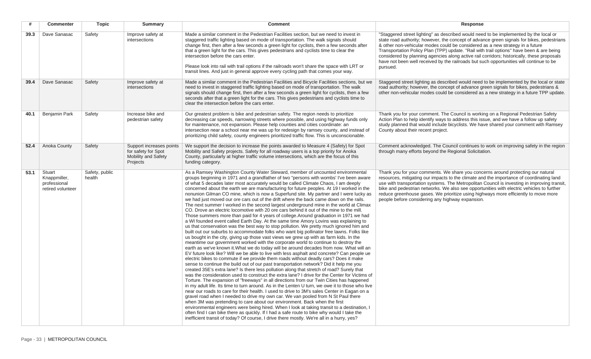| #    | <b>Commenter</b>                                            | <b>Topic</b>             | <b>Summary</b>                                                                     | <b>Comment</b>                                                                                                                                                                                                                                                                                                                                                                                                                                                                                                                                                                                                                                                                                                                                                                                                                                                                                                                                                                                                                                                                                                                                                                                                                                                                                                                                                                                                                                                                                                                                                                                                                                                                                                                                                                                                                                                                                                                                                                                                                                                                                                                                                                                                                                                                                                                                                                                                                                                                                                                                                                                                                   | <b>Response</b>                                                                                                                                                                                                                                                                                                                                                                                                                                                                                                                                                       |
|------|-------------------------------------------------------------|--------------------------|------------------------------------------------------------------------------------|----------------------------------------------------------------------------------------------------------------------------------------------------------------------------------------------------------------------------------------------------------------------------------------------------------------------------------------------------------------------------------------------------------------------------------------------------------------------------------------------------------------------------------------------------------------------------------------------------------------------------------------------------------------------------------------------------------------------------------------------------------------------------------------------------------------------------------------------------------------------------------------------------------------------------------------------------------------------------------------------------------------------------------------------------------------------------------------------------------------------------------------------------------------------------------------------------------------------------------------------------------------------------------------------------------------------------------------------------------------------------------------------------------------------------------------------------------------------------------------------------------------------------------------------------------------------------------------------------------------------------------------------------------------------------------------------------------------------------------------------------------------------------------------------------------------------------------------------------------------------------------------------------------------------------------------------------------------------------------------------------------------------------------------------------------------------------------------------------------------------------------------------------------------------------------------------------------------------------------------------------------------------------------------------------------------------------------------------------------------------------------------------------------------------------------------------------------------------------------------------------------------------------------------------------------------------------------------------------------------------------------|-----------------------------------------------------------------------------------------------------------------------------------------------------------------------------------------------------------------------------------------------------------------------------------------------------------------------------------------------------------------------------------------------------------------------------------------------------------------------------------------------------------------------------------------------------------------------|
| 39.3 | Dave Sanasac                                                | Safety                   | Improve safety at<br>intersections                                                 | Made a similar comment in the Pedestrian Facilities section, but we need to invest in<br>staggered traffic lighting based on mode of transportation. The walk signals should<br>change first, then after a few seconds a green light for cyclists, then a few seconds after<br>that a green light for the cars. This gives pedestrians and cyclists time to clear the<br>intersection before the cars enter.<br>Please look into rail with trail options if the railroads won't share the space with LRT or<br>transit lines. And just in general approve every cycling path that comes your way.                                                                                                                                                                                                                                                                                                                                                                                                                                                                                                                                                                                                                                                                                                                                                                                                                                                                                                                                                                                                                                                                                                                                                                                                                                                                                                                                                                                                                                                                                                                                                                                                                                                                                                                                                                                                                                                                                                                                                                                                                                | "Staggered street lighting" as described would need to be implemented by the local or<br>state road authority; however, the concept of advance green signals for bikes, pedestrians<br>& other non-vehicular modes could be considered as a new strategy in a future<br>Transportation Policy Plan (TPP) update. "Rail with trail options" have been & are being<br>considered by planning agencies along active rail corridors; historically, these proposals<br>have not been well received by the railroads but such opportunities will continue to be<br>pursued. |
| 39.4 | Dave Sanasac                                                | Safety                   | Improve safety at<br>intersections                                                 | Made a similar comment in the Pedestrian Facilities and Bicycle Facilities sections, but we<br>need to invest in staggered traffic lighting based on mode of transportation. The walk<br>signals should change first, then after a few seconds a green light for cyclists, then a few<br>seconds after that a green light for the cars. This gives pedestrians and cyclists time to<br>clear the intersection before the cars enter.                                                                                                                                                                                                                                                                                                                                                                                                                                                                                                                                                                                                                                                                                                                                                                                                                                                                                                                                                                                                                                                                                                                                                                                                                                                                                                                                                                                                                                                                                                                                                                                                                                                                                                                                                                                                                                                                                                                                                                                                                                                                                                                                                                                             | Staggered street lighting as described would need to be implemented by the local or state<br>road authority; however, the concept of advance green signals for bikes, pedestrians &<br>other non-vehicular modes could be considered as a new strategy in a future TPP update.                                                                                                                                                                                                                                                                                        |
| 40.1 | Benjamin Park                                               | Safety                   | Increase bike and<br>pedestrian safety                                             | Our greatest problem is bike and pedestrian safety. The region needs to prioritize<br>decreasing car speeds, narrowing streets where possible, and using highway funds only<br>for maintenance, not expansion. Please help counties and cities coordinate: an<br>intersection near a school near me was up for redesign by ramsey county, and instead of<br>prioritizing child safety, county engineers prioritized traffic flow. This is unconscionable.                                                                                                                                                                                                                                                                                                                                                                                                                                                                                                                                                                                                                                                                                                                                                                                                                                                                                                                                                                                                                                                                                                                                                                                                                                                                                                                                                                                                                                                                                                                                                                                                                                                                                                                                                                                                                                                                                                                                                                                                                                                                                                                                                                        | Thank you for your comment. The Council is working on a Regional Pedestrian Safety<br>Action Plan to help identify ways to address this issue, and we have a follow up safety<br>study planned that would include bicyclists. We have shared your comment with Ramsey<br>County about their recent project.                                                                                                                                                                                                                                                           |
| 52.4 | Anoka County                                                | Safety                   | Support increases points<br>for safety for Spot<br>Mobility and Safety<br>Projects | We support the decision to increase the points awarded to Measure 4 (Safety) for Spot<br>Mobility and Safety projects. Safety for all roadway users is a top priority for Anoka<br>County, particularly at higher traffic volume intersections, which are the focus of this<br>funding category.                                                                                                                                                                                                                                                                                                                                                                                                                                                                                                                                                                                                                                                                                                                                                                                                                                                                                                                                                                                                                                                                                                                                                                                                                                                                                                                                                                                                                                                                                                                                                                                                                                                                                                                                                                                                                                                                                                                                                                                                                                                                                                                                                                                                                                                                                                                                 | Comment acknowledged. The Council continues to work on improving safety in the region<br>through many efforts beyond the Regional Solicitation.                                                                                                                                                                                                                                                                                                                                                                                                                       |
| 53.1 | Stuart<br>Knappmiller,<br>professional<br>retired volunteer | Safety, public<br>health |                                                                                    | As a Ramsey Washington County Water Steward, member of uncounted environmental<br>groups beginning in 1971 and a grandfather of two "persons with wombs' I've been aware<br>of what 5 decades later most accurately would be called Climate Chaos, I am deeply<br>concerned about the earth we are manufacturing for future peoples. At 19 I worked in the<br>nonunion Gilman CO mine, which is now a Superfund site. My partner and I were lucky as<br>we had just moved our ore cars out of the drift where the back came down on the rails.<br>The next summer I worked in the second largest underground mine in the world at Climax<br>CO. Drove an electric locomotive with 20 ore cars behind it out of the mine to the mill.<br>Those summers more than paid for 4 years of college. Around graduation in 1971 we had<br>a WI founded event called Earth Day. At the same time Amory Lovins was explaining to<br>us that conservation was the best way to stop pollution. We pretty much ignored him and<br>built out our suburbs to accommodate folks who want big pollinator free lawns. Folks like<br>us bought in the city, giving up those vast views we grew up with as farm kids. In the<br>meantime our government worked with the corporate world to continue to destroy the<br>earth as we've known it. What we do today will be around decades from now. What will an<br>EV future look like? Will we be able to live with less asphalt and concrete? Can people ue<br>electric bikes to commute if we provide them roads without deadly cars? Does it make<br>sense to continue the build out of our past transportation network? Did it help me you<br>created 35E's extra lane? Is there less pollution along that stretch of road? Surely that<br>was the consideration used to construct the extra lane? I drive for the Center for Victims of<br>Torture. The expansion of "freeways" in all directions from our Twin Cities has happened<br>in my adult life. Its time to turn around. As in the Lenten U turn, we owe it to those who live<br>near our roads to care for their health. I used to drive to 3M's sales Center in Eagan on a<br>gravel road when I needed to drive my own car. We van pooled from N St Paul there<br>when 3M was pretending to care about our environment. Back when the first<br>environmental engineers were being hired. When I look at taking transit to a destination, I<br>often find I can bike there as quickly. If I had a safe route to bike why would I take the<br>inefficient transit of today? Of course, I drive there mostly. We're all in a hurry, yes? | Thank you for your comments. We share you concerns around protecting our natural<br>resources, mitigating our impacts to the climate and the importance of coordinating land<br>use with transportation systems. The Metropolitan Council is investing in improving transit,<br>bike and pedestrian networks. We also see opportunities with electric vehicles to further<br>reduce greenhouse gases. We prioritize using highways more efficiently to move more<br>people before considering any highway expansion.                                                  |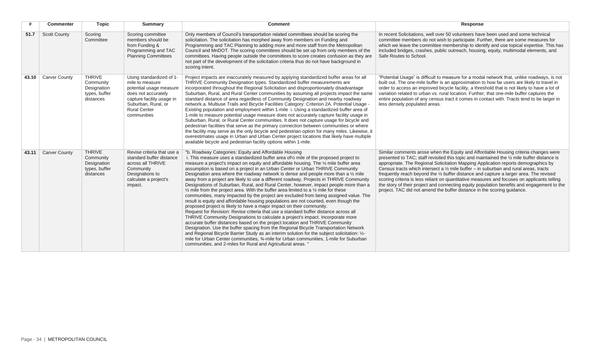|       | <b>Commenter</b>     | <b>Topic</b>                                                            | Summary                                                                                                                                                                                 | <b>Comment</b>                                                                                                                                                                                                                                                                                                                                                                                                                                                                                                                                                                                                                                                                                                                                                                                                                                                                                                                                                                                                                                                                                                                                                                                                                                                                                                                                                                                                                                                                                                                                                                                    | Response                                                                                                                                                                                                                                                                                                                                                                                                                                                                                                                                                                                                                                                                                                                                      |
|-------|----------------------|-------------------------------------------------------------------------|-----------------------------------------------------------------------------------------------------------------------------------------------------------------------------------------|---------------------------------------------------------------------------------------------------------------------------------------------------------------------------------------------------------------------------------------------------------------------------------------------------------------------------------------------------------------------------------------------------------------------------------------------------------------------------------------------------------------------------------------------------------------------------------------------------------------------------------------------------------------------------------------------------------------------------------------------------------------------------------------------------------------------------------------------------------------------------------------------------------------------------------------------------------------------------------------------------------------------------------------------------------------------------------------------------------------------------------------------------------------------------------------------------------------------------------------------------------------------------------------------------------------------------------------------------------------------------------------------------------------------------------------------------------------------------------------------------------------------------------------------------------------------------------------------------|-----------------------------------------------------------------------------------------------------------------------------------------------------------------------------------------------------------------------------------------------------------------------------------------------------------------------------------------------------------------------------------------------------------------------------------------------------------------------------------------------------------------------------------------------------------------------------------------------------------------------------------------------------------------------------------------------------------------------------------------------|
| 51.7  | <b>Scott County</b>  | Scoring<br>Committee                                                    | Scoring committee<br>members should be<br>from Funding &<br>Programming and TAC<br><b>Planning Committees</b>                                                                           | Only members of Council's transportation related committees should be scoring the<br>solicitation. The solicitation has morphed away from members on Funding and<br>Programming and TAC Planning to adding more and more staff from the Metropolitan<br>Council and MnDOT. The scoring committees should be set up from only members of the<br>committees. Having people outside the committees to score creates confusion as they are<br>not part of the development of the solicitation criteria thus do not have background in<br>scoring intent.                                                                                                                                                                                                                                                                                                                                                                                                                                                                                                                                                                                                                                                                                                                                                                                                                                                                                                                                                                                                                                              | In recent Solicitations, well over 50 volunteers have been used and some technical<br>committee members do not wish to participate. Further, there are some measures for<br>which we leave the committee membership to identify and use topical expertise. This has<br>included bridges, crashes, public outreach, housing, equity, multimodal elements, and<br>Safe Routes to School.                                                                                                                                                                                                                                                                                                                                                        |
| 43.10 | <b>Carver County</b> | <b>THRIVE</b><br>Community<br>Designation<br>types, buffer<br>distances | Using standardized of 1-<br>mile to measure<br>potential usage measure<br>does not accurately<br>capture facility usage in<br>Suburban, Rural, or<br><b>Rural Center</b><br>communities | Project impacts are inaccurately measured by applying standardized buffer areas for all<br>THRIVE Community Designation types. Standardized buffer measurements are<br>incorporated throughout the Regional Solicitation and disproportionately disadvantage<br>Suburban, Rural, and Rural Center communities by assuming all projects impact the same<br>standard distance of area regardless of Community Designation and nearby roadway<br>network.a. Multiuse Trails and Bicycle Facilities Category: Criterion 2A. Potential Usage -<br>Existing population and employment within 1-mile i. Using a standardized buffer area of<br>1-mile to measure potential usage measure does not accurately capture facility usage in<br>Suburban, Rural, or Rural Center communities. It does not capture usage for bicycle and<br>pedestrian facilities that serve as the primary connection between communities or where<br>the facility may serve as the only bicycle and pedestrian option for many miles. Likewise, it<br>overestimates usage in Urban and Urban Center project locations that likely have multiple<br>available bicycle and pedestrian facility options within 1-mile.                                                                                                                                                                                                                                                                                                                                                                                                           | "Potential Usage" is difficult to measure for a modal network that, unlike roadways, is not<br>built out. The one-mile buffer is an approximation to how far users are likely to travel in<br>order to access an improved bicycle facility, a threshold that is not likely to have a lot of<br>variation related to urban vs. rural location. Further, that one-mile buffer captures the<br>entire population of any census tract it comes in contact with. Tracts tend to be larger in<br>less densely populated areas.                                                                                                                                                                                                                      |
| 43.11 | <b>Carver County</b> | <b>THRIVE</b><br>Community<br>Designation<br>types, buffer<br>distances | Revise criteria that use a<br>standard buffer distance<br>across all THRIVE<br>Community<br>Designations to<br>calculate a project's<br>impact.                                         | "b. Roadway Categories: Equity and Affordable Housing<br>i. This measure uses a standardized buffer area of $\frac{1}{2}$ mile of the proposed project to<br>measure a project's impact on equity and affordable housing. The 1/2 mile buffer area<br>assumption is based on a project in an Urban Center or Urban THRIVE Community<br>Designation area where the roadway network is dense and people more than a 1/2 mile<br>away from a project are likely to use a different roadway. Projects in THRIVE Community<br>Designations of Suburban, Rural, and Rural Center, however, impact people more than a<br>$\frac{1}{2}$ mile from the project area. With the buffer area limited to a $\frac{1}{2}$ mile for these<br>communities, many impacted by the project are excluded from being assigned value. The<br>result is equity and affordable housing populations are not counted, even though the<br>proposed project is likely to have a major impact on their community.<br>Request for Revision: Revise criteria that use a standard buffer distance across all<br>THRIVE Community Designations to calculate a project's impact. Incorporate more<br>accurate buffer distances based on the project location and THRIVE Community<br>Designation. Use the buffer spacing from the Regional Bicycle Transportation Network<br>and Regional Bicycle Barrier Study as an interim solution for the subject solicitation: 1/2-<br>mile for Urban Center communities, 3/4-mile for Urban communities, 1-mile for Suburban<br>communities, and 2-miles for Rural and Agricultural areas. " | Similar comments arose when the Equity and Affordable Housing criteria changes were<br>presented to TAC; staff revisited this topic and maintained the 1/2 mile buffer distance is<br>appropriate. The Regional Solicitation Mapping Application reports demographics by<br>Census tracts which intersect a $\frac{1}{2}$ mile buffer – in suburban and rural areas, tracts<br>frequently reach beyond the 1/2 buffer distance and capture a larger area. The revised<br>scoring criteria is less reliant on quantitative measures and focuses on applicants telling<br>the story of their project and connecting equity population benefits and engagement to the<br>project. TAC did not amend the buffer distance in the scoring guidance. |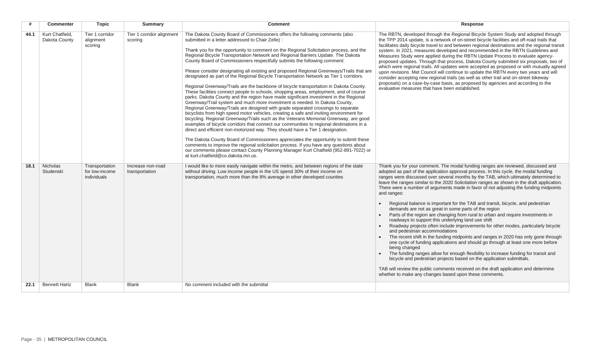| #    | <b>Commenter</b>                 | <b>Topic</b>                                    | <b>Summary</b>                       | <b>Comment</b>                                                                                                                                                                                                                                                                                                                                                                                                                                                                                                                                                                                                                                                                                                                                                                                                                                                                                                                                                                                                                                                                                                                                                                                                                                                                                                                                                                                                                                                                                                                                                                                                                                                                                                   | Response                                                                                                                                                                                                                                                                                                                                                                                                                                                                                                                                                                                                                                                                                                                                                                                                                                                                                                                                                                                                                                                                                                                                                                                                                                                                                                                                                                                     |
|------|----------------------------------|-------------------------------------------------|--------------------------------------|------------------------------------------------------------------------------------------------------------------------------------------------------------------------------------------------------------------------------------------------------------------------------------------------------------------------------------------------------------------------------------------------------------------------------------------------------------------------------------------------------------------------------------------------------------------------------------------------------------------------------------------------------------------------------------------------------------------------------------------------------------------------------------------------------------------------------------------------------------------------------------------------------------------------------------------------------------------------------------------------------------------------------------------------------------------------------------------------------------------------------------------------------------------------------------------------------------------------------------------------------------------------------------------------------------------------------------------------------------------------------------------------------------------------------------------------------------------------------------------------------------------------------------------------------------------------------------------------------------------------------------------------------------------------------------------------------------------|----------------------------------------------------------------------------------------------------------------------------------------------------------------------------------------------------------------------------------------------------------------------------------------------------------------------------------------------------------------------------------------------------------------------------------------------------------------------------------------------------------------------------------------------------------------------------------------------------------------------------------------------------------------------------------------------------------------------------------------------------------------------------------------------------------------------------------------------------------------------------------------------------------------------------------------------------------------------------------------------------------------------------------------------------------------------------------------------------------------------------------------------------------------------------------------------------------------------------------------------------------------------------------------------------------------------------------------------------------------------------------------------|
| 44.1 | Kurt Chatfield,<br>Dakota County | Tier 1 corridor<br>alignment<br>scoring         | Tier 1 corridor alignment<br>scoring | The Dakota County Board of Commissioners offers the following comments (also<br>submitted in a letter addressed to Chair Zelle) :<br>Thank you for the opportunity to comment on the Regional Solicitation process, and the<br>Regional Bicycle Transportation Network and Regional Barriers Update. The Dakota<br>County Board of Commissioners respectfully submits the following comment:<br>Please consider designating all existing and proposed Regional Greenways/Trails that are<br>designated as part of the Regional Bicycle Transportation Network as Tier 1 corridors.<br>Regional Greenway/Trails are the backbone of bicycle transportation in Dakota County.<br>These facilities connect people to schools, shopping areas, employment, and of course<br>parks. Dakota County and the region have made significant investment in the Regional<br>Greenway/Trail system and much more investment is needed. In Dakota County,<br>Regional Greenway/Trails are designed with grade separated crossings to separate<br>bicyclists from high speed motor vehicles, creating a safe and inviting environment for<br>bicycling. Regional Greenway/Trails such as the Veterans Memorial Greenway, are good<br>examples of bicycle corridors that connect our communities to regional destinations in a<br>direct and efficient non-motorized way. They should have a Tier 1 designation.<br>The Dakota County Board of Commissioners appreciates the opportunity to submit these<br>comments to improve the regional solicitation process. If you have any questions about<br>our comments please contact County Planning Manager Kurt Chatfield (952-891-7022) or<br>at kurt.chatfield@co.dakota.mn.us. | The RBTN, developed through the Regional Bicycle System Study and adopted through<br>the TPP 2014 update, is a network of on-street bicycle facilities and off-road trails that<br>facilitates daily bicycle travel to and between regional destinations and the regional transit<br>system. In 2021, measures developed and recommended in the RBTN Guidelines and<br>Measures Study were applied during the RBTN Update Process to evaluate agency-<br>proposed updates. Through that process, Dakota County submitted six proposals, two of<br>which were regional trails. All updates were accepted as proposed or with mutually agreed<br>upon revisions. Met Council will continue to update the RBTN every two years and will<br>consider accepting new regional trails (as well as other trail and on-street bikeway<br>proposals) on a case-by-case basis, as proposed by agencies and according to the<br>evaluative measures that have been established.                                                                                                                                                                                                                                                                                                                                                                                                                          |
| 18.1 | Nicholas<br>Studenski            | Transportation<br>for low-income<br>individuals | Increase non-road<br>transportation  | I would like to more easily navigate within the metro, and between regions of the state<br>without driving. Low income people in the US spend 30% of their income on<br>transportation, much more than the 8% average in other developed counties                                                                                                                                                                                                                                                                                                                                                                                                                                                                                                                                                                                                                                                                                                                                                                                                                                                                                                                                                                                                                                                                                                                                                                                                                                                                                                                                                                                                                                                                | Thank you for your comment. The modal funding ranges are reviewed, discussed and<br>adopted as part of the application approval process. In this cycle, the modal funding<br>ranges were discussed over several months by the TAB, which ultimately determined to<br>leave the ranges similar to the 2020 Solicitation ranges as shown in the draft application.<br>There were a number of arguments made in favor of not adjusting the funding midpoints<br>and ranges:<br>Regional balance is important for the TAB and transit, bicycle, and pedestrian<br>demands are not as great in some parts of the region<br>Parts of the region are changing from rural to urban and require investments in<br>roadways to support this underlying land use shift<br>Roadway projects often include improvements for other modes, particularly bicycle<br>and pedestrian accommodations<br>The recent shift in the funding midpoints and ranges in 2020 has only gone through<br>one cycle of funding applications and should go through at least one more before<br>being changed<br>The funding ranges allow for enough flexibility to increase funding for transit and<br>bicycle and pedestrian projects based on the application submittals.<br>TAB will review the public comments received on the draft application and determine<br>whether to make any changes based upon these comments. |
| 22.1 | <b>Bennett Hartz</b>             | <b>Blank</b>                                    | <b>Blank</b>                         | No comment included with the submittal                                                                                                                                                                                                                                                                                                                                                                                                                                                                                                                                                                                                                                                                                                                                                                                                                                                                                                                                                                                                                                                                                                                                                                                                                                                                                                                                                                                                                                                                                                                                                                                                                                                                           |                                                                                                                                                                                                                                                                                                                                                                                                                                                                                                                                                                                                                                                                                                                                                                                                                                                                                                                                                                                                                                                                                                                                                                                                                                                                                                                                                                                              |